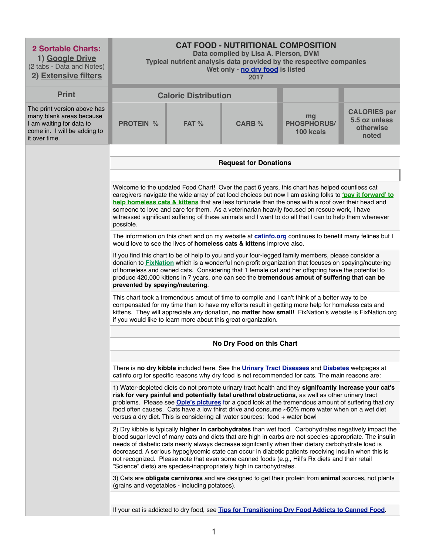| <b>2 Sortable Charts:</b><br>1) Google Drive<br>(2 tabs - Data and Notes)<br>2) Extensive filters                                    | <b>CAT FOOD - NUTRITIONAL COMPOSITION</b><br>Data compiled by Lisa A. Pierson, DVM<br>Typical nutrient analysis data provided by the respective companies<br>Wet only - no dry food is listed<br>2017                                                                                                                                                                                                                                                                                                                                |                                               |                                                                             |                                                                                                                                                                                                                                                                                                                                                                                                                                                                                                                                     |                                                            |  |  |  |
|--------------------------------------------------------------------------------------------------------------------------------------|--------------------------------------------------------------------------------------------------------------------------------------------------------------------------------------------------------------------------------------------------------------------------------------------------------------------------------------------------------------------------------------------------------------------------------------------------------------------------------------------------------------------------------------|-----------------------------------------------|-----------------------------------------------------------------------------|-------------------------------------------------------------------------------------------------------------------------------------------------------------------------------------------------------------------------------------------------------------------------------------------------------------------------------------------------------------------------------------------------------------------------------------------------------------------------------------------------------------------------------------|------------------------------------------------------------|--|--|--|
| <b>Print</b>                                                                                                                         |                                                                                                                                                                                                                                                                                                                                                                                                                                                                                                                                      | <b>Caloric Distribution</b>                   |                                                                             |                                                                                                                                                                                                                                                                                                                                                                                                                                                                                                                                     |                                                            |  |  |  |
| The print version above has<br>many blank areas because<br>I am waiting for data to<br>come in. I will be adding to<br>it over time. | <b>PROTEIN %</b>                                                                                                                                                                                                                                                                                                                                                                                                                                                                                                                     | FAT %                                         | <b>CARB %</b>                                                               | mg<br><b>PHOSPHORUS/</b><br>100 kcals                                                                                                                                                                                                                                                                                                                                                                                                                                                                                               | <b>CALORIES per</b><br>5.5 oz unless<br>otherwise<br>noted |  |  |  |
|                                                                                                                                      |                                                                                                                                                                                                                                                                                                                                                                                                                                                                                                                                      |                                               |                                                                             |                                                                                                                                                                                                                                                                                                                                                                                                                                                                                                                                     |                                                            |  |  |  |
|                                                                                                                                      |                                                                                                                                                                                                                                                                                                                                                                                                                                                                                                                                      |                                               | <b>Request for Donations</b>                                                |                                                                                                                                                                                                                                                                                                                                                                                                                                                                                                                                     |                                                            |  |  |  |
|                                                                                                                                      |                                                                                                                                                                                                                                                                                                                                                                                                                                                                                                                                      |                                               |                                                                             |                                                                                                                                                                                                                                                                                                                                                                                                                                                                                                                                     |                                                            |  |  |  |
|                                                                                                                                      | Welcome to the updated Food Chart! Over the past 6 years, this chart has helped countless cat<br>caregivers navigate the wide array of cat food choices but now I am asking folks to 'pay it forward' to<br>help homeless cats & kittens that are less fortunate than the ones with a roof over their head and<br>someone to love and care for them. As a veterinarian heavily focused on rescue work, I have<br>witnessed significant suffering of these animals and I want to do all that I can to help them whenever<br>possible. |                                               |                                                                             |                                                                                                                                                                                                                                                                                                                                                                                                                                                                                                                                     |                                                            |  |  |  |
|                                                                                                                                      |                                                                                                                                                                                                                                                                                                                                                                                                                                                                                                                                      |                                               | would love to see the lives of homeless cats & kittens improve also.        | The information on this chart and on my website at <b>catinfo.org</b> continues to benefit many felines but I                                                                                                                                                                                                                                                                                                                                                                                                                       |                                                            |  |  |  |
|                                                                                                                                      | If you find this chart to be of help to you and your four-legged family members, please consider a<br>donation to <b>FixNation</b> which is a wonderful non-profit organization that focuses on spaying/neutering<br>of homeless and owned cats. Considering that 1 female cat and her offspring have the potential to<br>produce 420,000 kittens in 7 years, one can see the tremendous amout of suffering that can be<br>prevented by spaying/neutering.                                                                           |                                               |                                                                             |                                                                                                                                                                                                                                                                                                                                                                                                                                                                                                                                     |                                                            |  |  |  |
|                                                                                                                                      |                                                                                                                                                                                                                                                                                                                                                                                                                                                                                                                                      |                                               | if you would like to learn more about this great organization.              | This chart took a tremendous amout of time to compile and I can't think of a better way to be<br>compensated for my time than to have my efforts result in getting more help for homeless cats and<br>kittens. They will appreciate any donation, no matter how small! FixNation's website is FixNation.org                                                                                                                                                                                                                         |                                                            |  |  |  |
|                                                                                                                                      |                                                                                                                                                                                                                                                                                                                                                                                                                                                                                                                                      |                                               |                                                                             |                                                                                                                                                                                                                                                                                                                                                                                                                                                                                                                                     |                                                            |  |  |  |
|                                                                                                                                      |                                                                                                                                                                                                                                                                                                                                                                                                                                                                                                                                      |                                               | No Dry Food on this Chart                                                   |                                                                                                                                                                                                                                                                                                                                                                                                                                                                                                                                     |                                                            |  |  |  |
|                                                                                                                                      |                                                                                                                                                                                                                                                                                                                                                                                                                                                                                                                                      |                                               |                                                                             |                                                                                                                                                                                                                                                                                                                                                                                                                                                                                                                                     |                                                            |  |  |  |
|                                                                                                                                      |                                                                                                                                                                                                                                                                                                                                                                                                                                                                                                                                      |                                               |                                                                             | There is no dry kibble included here. See the <b>Urinary Tract Diseases</b> and <b>Diabetes</b> webpages at<br>catinfo.org for specific reasons why dry food is not recommended for cats. The main reasons are:                                                                                                                                                                                                                                                                                                                     |                                                            |  |  |  |
|                                                                                                                                      |                                                                                                                                                                                                                                                                                                                                                                                                                                                                                                                                      |                                               | versus a dry diet. This is considering all water sources: food + water bowl | 1) Water-depleted diets do not promote urinary tract health and they signifcantly increase your cat's<br>risk for very painful and potentially fatal urethral obstructions, as well as other urinary tract<br>problems. Please see <b>Opie's pictures</b> for a good look at the tremendous amount of suffering that dry<br>food often causes. Cats have a low thirst drive and consume ~50% more water when on a wet diet                                                                                                          |                                                            |  |  |  |
|                                                                                                                                      |                                                                                                                                                                                                                                                                                                                                                                                                                                                                                                                                      |                                               | "Science" diets) are species-inappropriately high in carbohydrates.         | 2) Dry kibble is typically higher in carbohydrates than wet food. Carbohydrates negatively impact the<br>blood sugar level of many cats and diets that are high in carbs are not species-appropriate. The insulin<br>needs of diabetic cats nearly always decrease signifcantly when their dietary carbohydrate load is<br>decreased. A serious hypoglycemic state can occur in diabetic patients receiving insulin when this is<br>not recognized. Please note that even some canned foods (e.g., Hill's Rx diets and their retail |                                                            |  |  |  |
|                                                                                                                                      |                                                                                                                                                                                                                                                                                                                                                                                                                                                                                                                                      | (grains and vegetables - including potatoes). |                                                                             | 3) Cats are obligate carnivores and are designed to get their protein from animal sources, not plants                                                                                                                                                                                                                                                                                                                                                                                                                               |                                                            |  |  |  |
|                                                                                                                                      | If your cat is addicted to dry food, see Tips for Transitioning Dry Food Addicts to Canned Food.                                                                                                                                                                                                                                                                                                                                                                                                                                     |                                               |                                                                             |                                                                                                                                                                                                                                                                                                                                                                                                                                                                                                                                     |                                                            |  |  |  |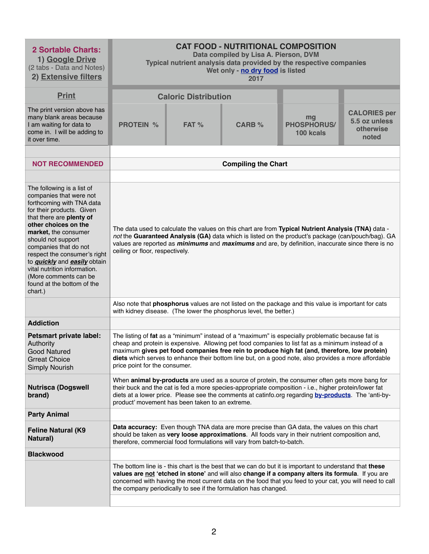| <b>2 Sortable Charts:</b><br>1) Google Drive<br>(2 tabs - Data and Notes)<br>2) Extensive filters                                                                                                                                                                                                                                                                                                                          | <b>CAT FOOD - NUTRITIONAL COMPOSITION</b><br>Data compiled by Lisa A. Pierson, DVM<br>Typical nutrient analysis data provided by the respective companies<br>Wet only - no dry food is listed<br>2017 |                                                                                                                                                                                                                                                                                                                                                                 |                                                                        |                                                                                                                                                                                                                                                                                                                                                                                                                |                                                            |  |  |  |
|----------------------------------------------------------------------------------------------------------------------------------------------------------------------------------------------------------------------------------------------------------------------------------------------------------------------------------------------------------------------------------------------------------------------------|-------------------------------------------------------------------------------------------------------------------------------------------------------------------------------------------------------|-----------------------------------------------------------------------------------------------------------------------------------------------------------------------------------------------------------------------------------------------------------------------------------------------------------------------------------------------------------------|------------------------------------------------------------------------|----------------------------------------------------------------------------------------------------------------------------------------------------------------------------------------------------------------------------------------------------------------------------------------------------------------------------------------------------------------------------------------------------------------|------------------------------------------------------------|--|--|--|
| <b>Print</b>                                                                                                                                                                                                                                                                                                                                                                                                               |                                                                                                                                                                                                       | <b>Caloric Distribution</b>                                                                                                                                                                                                                                                                                                                                     |                                                                        |                                                                                                                                                                                                                                                                                                                                                                                                                |                                                            |  |  |  |
| The print version above has<br>many blank areas because<br>I am waiting for data to<br>come in. I will be adding to<br>it over time.                                                                                                                                                                                                                                                                                       | <b>PROTEIN %</b>                                                                                                                                                                                      | FAT %                                                                                                                                                                                                                                                                                                                                                           | <b>CARB %</b>                                                          | mg<br><b>PHOSPHORUS/</b><br>100 kcals                                                                                                                                                                                                                                                                                                                                                                          | <b>CALORIES per</b><br>5.5 oz unless<br>otherwise<br>noted |  |  |  |
|                                                                                                                                                                                                                                                                                                                                                                                                                            |                                                                                                                                                                                                       |                                                                                                                                                                                                                                                                                                                                                                 |                                                                        |                                                                                                                                                                                                                                                                                                                                                                                                                |                                                            |  |  |  |
| <b>NOT RECOMMENDED</b>                                                                                                                                                                                                                                                                                                                                                                                                     |                                                                                                                                                                                                       |                                                                                                                                                                                                                                                                                                                                                                 | <b>Compiling the Chart</b>                                             |                                                                                                                                                                                                                                                                                                                                                                                                                |                                                            |  |  |  |
|                                                                                                                                                                                                                                                                                                                                                                                                                            |                                                                                                                                                                                                       |                                                                                                                                                                                                                                                                                                                                                                 |                                                                        |                                                                                                                                                                                                                                                                                                                                                                                                                |                                                            |  |  |  |
| The following is a list of<br>companies that were not<br>forthcoming with TNA data<br>for their products. Given<br>that there are plenty of<br>other choices on the<br>market, the consumer<br>should not support<br>companies that do not<br>respect the consumer's right<br>to <i>quickly</i> and <i>easily</i> obtain<br>vital nutrition information.<br>(More comments can be<br>found at the bottom of the<br>chart.) |                                                                                                                                                                                                       | The data used to calculate the values on this chart are from Typical Nutrient Analysis (TNA) data -<br>not the Guaranteed Analysis (GA) data which is listed on the product's package (can/pouch/bag). GA<br>values are reported as <i>minimums</i> and <i>maximums</i> and are, by definition, inaccurate since there is no<br>ceiling or floor, respectively. |                                                                        |                                                                                                                                                                                                                                                                                                                                                                                                                |                                                            |  |  |  |
|                                                                                                                                                                                                                                                                                                                                                                                                                            |                                                                                                                                                                                                       | Also note that <b>phosphorus</b> values are not listed on the package and this value is important for cats<br>with kidney disease. (The lower the phosphorus level, the better.)                                                                                                                                                                                |                                                                        |                                                                                                                                                                                                                                                                                                                                                                                                                |                                                            |  |  |  |
| <b>Addiction</b>                                                                                                                                                                                                                                                                                                                                                                                                           |                                                                                                                                                                                                       |                                                                                                                                                                                                                                                                                                                                                                 |                                                                        |                                                                                                                                                                                                                                                                                                                                                                                                                |                                                            |  |  |  |
| <b>Petsmart private label:</b><br>Authority<br><b>Good Natured</b><br><b>Grreat Choice</b><br><b>Simply Nourish</b>                                                                                                                                                                                                                                                                                                        | price point for the consumer.                                                                                                                                                                         |                                                                                                                                                                                                                                                                                                                                                                 |                                                                        | The listing of fat as a "minimum" instead of a "maximum" is especially problematic because fat is<br>cheap and protein is expensive. Allowing pet food companies to list fat as a minimum instead of a<br>maximum gives pet food companies free rein to produce high fat (and, therefore, low protein)<br>diets which serves to enhance their bottom line but, on a good note, also provides a more affordable |                                                            |  |  |  |
| <b>Nutrisca (Dogswell</b><br>brand)                                                                                                                                                                                                                                                                                                                                                                                        | product' movement has been taken to an extreme.                                                                                                                                                       |                                                                                                                                                                                                                                                                                                                                                                 |                                                                        | When <b>animal by-products</b> are used as a source of protein, the consumer often gets more bang for<br>their buck and the cat is fed a more species-appropriate composition - i.e., higher protein/lower fat<br>diets at a lower price. Please see the comments at catinfo.org regarding by-products. The 'anti-by-                                                                                          |                                                            |  |  |  |
| <b>Party Animal</b>                                                                                                                                                                                                                                                                                                                                                                                                        |                                                                                                                                                                                                       |                                                                                                                                                                                                                                                                                                                                                                 |                                                                        |                                                                                                                                                                                                                                                                                                                                                                                                                |                                                            |  |  |  |
| <b>Feline Natural (K9</b><br><b>Natural</b> )                                                                                                                                                                                                                                                                                                                                                                              |                                                                                                                                                                                                       |                                                                                                                                                                                                                                                                                                                                                                 | therefore, commercial food formulations will vary from batch-to-batch. | Data accuracy: Even though TNA data are more precise than GA data, the values on this chart<br>should be taken as very loose approximations. All foods vary in their nutrient composition and,                                                                                                                                                                                                                 |                                                            |  |  |  |
| <b>Blackwood</b>                                                                                                                                                                                                                                                                                                                                                                                                           |                                                                                                                                                                                                       |                                                                                                                                                                                                                                                                                                                                                                 |                                                                        |                                                                                                                                                                                                                                                                                                                                                                                                                |                                                            |  |  |  |
|                                                                                                                                                                                                                                                                                                                                                                                                                            |                                                                                                                                                                                                       |                                                                                                                                                                                                                                                                                                                                                                 | the company periodically to see if the formulation has changed.        | The bottom line is - this chart is the best that we can do but it is important to understand that these<br>values are not 'etched in stone' and will also change if a company alters its formula. If you are<br>concerned with having the most current data on the food that you feed to your cat, you will need to call                                                                                       |                                                            |  |  |  |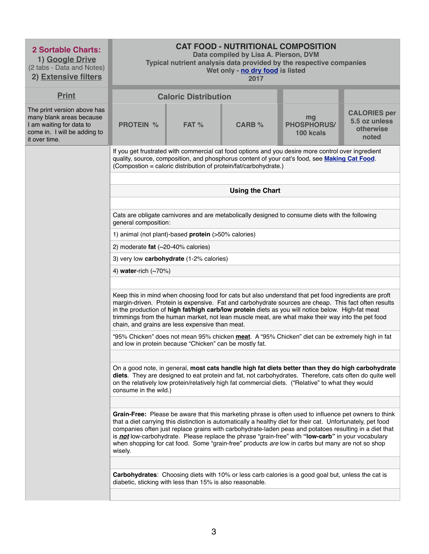| <b>2 Sortable Charts:</b><br>1) Google Drive<br>(2 tabs - Data and Notes)<br>2) Extensive filters                                    | <b>CAT FOOD - NUTRITIONAL COMPOSITION</b><br>Data compiled by Lisa A. Pierson, DVM<br>Typical nutrient analysis data provided by the respective companies<br>Wet only - no dry food is listed<br>2017 |                                                                                                                                                                                                                                                                         |                        |                                                                                                                                                                                                                                                                                                                                                                                                                                                                                                                                                  |                                                            |  |  |
|--------------------------------------------------------------------------------------------------------------------------------------|-------------------------------------------------------------------------------------------------------------------------------------------------------------------------------------------------------|-------------------------------------------------------------------------------------------------------------------------------------------------------------------------------------------------------------------------------------------------------------------------|------------------------|--------------------------------------------------------------------------------------------------------------------------------------------------------------------------------------------------------------------------------------------------------------------------------------------------------------------------------------------------------------------------------------------------------------------------------------------------------------------------------------------------------------------------------------------------|------------------------------------------------------------|--|--|
| <b>Print</b>                                                                                                                         |                                                                                                                                                                                                       | <b>Caloric Distribution</b>                                                                                                                                                                                                                                             |                        |                                                                                                                                                                                                                                                                                                                                                                                                                                                                                                                                                  |                                                            |  |  |
| The print version above has<br>many blank areas because<br>I am waiting for data to<br>come in. I will be adding to<br>it over time. | <b>PROTEIN %</b>                                                                                                                                                                                      | $FAT$ %                                                                                                                                                                                                                                                                 | <b>CARB %</b>          | mg<br><b>PHOSPHORUS/</b><br>100 kcals                                                                                                                                                                                                                                                                                                                                                                                                                                                                                                            | <b>CALORIES per</b><br>5.5 oz unless<br>otherwise<br>noted |  |  |
|                                                                                                                                      |                                                                                                                                                                                                       | If you get frustrated with commercial cat food options and you desire more control over ingredient<br>quality, source, composition, and phosphorus content of your cat's food, see Making Cat Food.<br>(Compostion = caloric distribution of protein/fat/carbohydrate.) |                        |                                                                                                                                                                                                                                                                                                                                                                                                                                                                                                                                                  |                                                            |  |  |
|                                                                                                                                      |                                                                                                                                                                                                       |                                                                                                                                                                                                                                                                         |                        |                                                                                                                                                                                                                                                                                                                                                                                                                                                                                                                                                  |                                                            |  |  |
|                                                                                                                                      |                                                                                                                                                                                                       |                                                                                                                                                                                                                                                                         | <b>Using the Chart</b> |                                                                                                                                                                                                                                                                                                                                                                                                                                                                                                                                                  |                                                            |  |  |
|                                                                                                                                      | general composition:                                                                                                                                                                                  |                                                                                                                                                                                                                                                                         |                        | Cats are obligate carnivores and are metabolically designed to consume diets with the following                                                                                                                                                                                                                                                                                                                                                                                                                                                  |                                                            |  |  |
|                                                                                                                                      |                                                                                                                                                                                                       | 1) animal (not plant)-based protein (>50% calories)                                                                                                                                                                                                                     |                        |                                                                                                                                                                                                                                                                                                                                                                                                                                                                                                                                                  |                                                            |  |  |
|                                                                                                                                      | 2) moderate fat $(\sim 20 - 40\%$ calories)                                                                                                                                                           |                                                                                                                                                                                                                                                                         |                        |                                                                                                                                                                                                                                                                                                                                                                                                                                                                                                                                                  |                                                            |  |  |
|                                                                                                                                      |                                                                                                                                                                                                       | 3) very low carbohydrate (1-2% calories)                                                                                                                                                                                                                                |                        |                                                                                                                                                                                                                                                                                                                                                                                                                                                                                                                                                  |                                                            |  |  |
|                                                                                                                                      | 4) water-rich $(\sim 70\%)$                                                                                                                                                                           |                                                                                                                                                                                                                                                                         |                        |                                                                                                                                                                                                                                                                                                                                                                                                                                                                                                                                                  |                                                            |  |  |
|                                                                                                                                      |                                                                                                                                                                                                       | chain, and grains are less expensive than meat.                                                                                                                                                                                                                         |                        | Keep this in mind when choosing food for cats but also understand that pet food ingredients are proft<br>margin-driven. Protein is expensive. Fat and carbohydrate sources are cheap. This fact often results<br>in the production of high fat/high carb/low protein diets as you will notice below. High-fat meat<br>trimmings from the human market, not lean muscle meat, are what make their way into the pet food                                                                                                                           |                                                            |  |  |
|                                                                                                                                      |                                                                                                                                                                                                       | and low in protein because "Chicken" can be mostly fat.                                                                                                                                                                                                                 |                        | "95% Chicken" does not mean 95% chicken meat. A "95% Chicken" diet can be extremely high in fat                                                                                                                                                                                                                                                                                                                                                                                                                                                  |                                                            |  |  |
|                                                                                                                                      |                                                                                                                                                                                                       |                                                                                                                                                                                                                                                                         |                        |                                                                                                                                                                                                                                                                                                                                                                                                                                                                                                                                                  |                                                            |  |  |
|                                                                                                                                      | consume in the wild.)                                                                                                                                                                                 |                                                                                                                                                                                                                                                                         |                        | On a good note, in general, most cats handle high fat diets better than they do high carbohydrate<br>diets. They are designed to eat protein and fat, not carbohydrates. Therefore, cats often do quite well<br>on the relatively low protein/relatively high fat commercial diets. ("Relative" to what they would                                                                                                                                                                                                                               |                                                            |  |  |
|                                                                                                                                      |                                                                                                                                                                                                       |                                                                                                                                                                                                                                                                         |                        |                                                                                                                                                                                                                                                                                                                                                                                                                                                                                                                                                  |                                                            |  |  |
|                                                                                                                                      | wisely.                                                                                                                                                                                               |                                                                                                                                                                                                                                                                         |                        | Grain-Free: Please be aware that this marketing phrase is often used to influence pet owners to think<br>that a diet carrying this distinction is automatically a healthy diet for their cat. Unfortunately, pet food<br>companies often just replace grains with carbohydrate-laden peas and potatoes resulting in a diet that<br>is <b>not</b> low-carbohydrate. Please replace the phrase "grain-free" with "low-carb" in your vocabulary<br>when shopping for cat food. Some "grain-free" products are low in carbs but many are not so shop |                                                            |  |  |
|                                                                                                                                      |                                                                                                                                                                                                       |                                                                                                                                                                                                                                                                         |                        |                                                                                                                                                                                                                                                                                                                                                                                                                                                                                                                                                  |                                                            |  |  |
|                                                                                                                                      |                                                                                                                                                                                                       | diabetic, sticking with less than 15% is also reasonable.                                                                                                                                                                                                               |                        | Carbohydrates: Choosing diets with 10% or less carb calories is a good goal but, unless the cat is                                                                                                                                                                                                                                                                                                                                                                                                                                               |                                                            |  |  |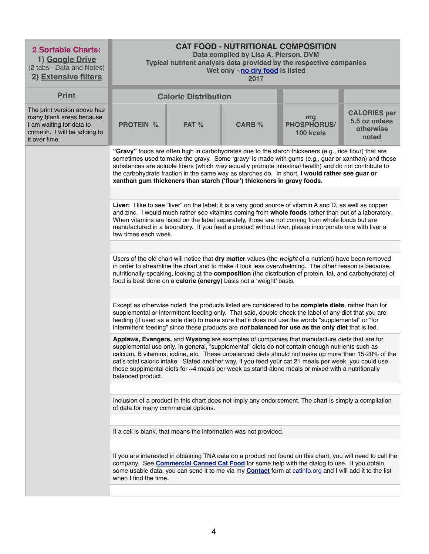| <b>2 Sortable Charts:</b><br>1) Google Drive<br>(2 tabs - Data and Notes)<br>2) Extensive filters                                    | <b>CAT FOOD - NUTRITIONAL COMPOSITION</b><br>Data compiled by Lisa A. Pierson, DVM<br>Typical nutrient analysis data provided by the respective companies<br>Wet only - no dry food is listed<br>2017                                                                                                                                                         |                                                                                                                                                                                                                                                                                                                                                                                                                                                       |                                                                         |                                                                                                                                                                                                                                                                                                                                                                                                                                                                                                                          |                                                            |  |  |
|--------------------------------------------------------------------------------------------------------------------------------------|---------------------------------------------------------------------------------------------------------------------------------------------------------------------------------------------------------------------------------------------------------------------------------------------------------------------------------------------------------------|-------------------------------------------------------------------------------------------------------------------------------------------------------------------------------------------------------------------------------------------------------------------------------------------------------------------------------------------------------------------------------------------------------------------------------------------------------|-------------------------------------------------------------------------|--------------------------------------------------------------------------------------------------------------------------------------------------------------------------------------------------------------------------------------------------------------------------------------------------------------------------------------------------------------------------------------------------------------------------------------------------------------------------------------------------------------------------|------------------------------------------------------------|--|--|
| <b>Print</b>                                                                                                                         |                                                                                                                                                                                                                                                                                                                                                               | <b>Caloric Distribution</b>                                                                                                                                                                                                                                                                                                                                                                                                                           |                                                                         |                                                                                                                                                                                                                                                                                                                                                                                                                                                                                                                          |                                                            |  |  |
| The print version above has<br>many blank areas because<br>I am waiting for data to<br>come in. I will be adding to<br>it over time. | <b>PROTEIN %</b>                                                                                                                                                                                                                                                                                                                                              | FAT %                                                                                                                                                                                                                                                                                                                                                                                                                                                 | <b>CARB %</b>                                                           | mg<br><b>PHOSPHORUS/</b><br>100 kcals                                                                                                                                                                                                                                                                                                                                                                                                                                                                                    | <b>CALORIES per</b><br>5.5 oz unless<br>otherwise<br>noted |  |  |
|                                                                                                                                      |                                                                                                                                                                                                                                                                                                                                                               |                                                                                                                                                                                                                                                                                                                                                                                                                                                       | xanthan gum thickeners than starch ('flour') thickeners in gravy foods. | "Gravy" foods are often high in carbohydrates due to the starch thickeners (e.g., rice flour) that are<br>sometimes used to make the gravy. Some 'gravy' is made with gums (e.g., guar or xanthan) and those<br>substances are soluble fibers (which may actually promote intestinal health) and do not contribute to<br>the carbohydrate fraction in the same way as starches do. In short, I would rather see guar or                                                                                                  |                                                            |  |  |
|                                                                                                                                      |                                                                                                                                                                                                                                                                                                                                                               |                                                                                                                                                                                                                                                                                                                                                                                                                                                       |                                                                         |                                                                                                                                                                                                                                                                                                                                                                                                                                                                                                                          |                                                            |  |  |
|                                                                                                                                      |                                                                                                                                                                                                                                                                                                                                                               | Liver: I like to see "liver" on the label; it is a very good source of vitamin A and D, as well as copper<br>and zinc. I would much rather see vitamins coming from whole foods rather than out of a laboratory.<br>When vitamins are listed on the label separately, those are not coming from whole foods but are<br>manufactured in a laboratory. If you feed a product without liver, please incorporate one with liver a<br>few times each week. |                                                                         |                                                                                                                                                                                                                                                                                                                                                                                                                                                                                                                          |                                                            |  |  |
|                                                                                                                                      |                                                                                                                                                                                                                                                                                                                                                               |                                                                                                                                                                                                                                                                                                                                                                                                                                                       |                                                                         |                                                                                                                                                                                                                                                                                                                                                                                                                                                                                                                          |                                                            |  |  |
|                                                                                                                                      |                                                                                                                                                                                                                                                                                                                                                               |                                                                                                                                                                                                                                                                                                                                                                                                                                                       | food is best done on a calorie (energy) basis not a 'weight' basis.     | Users of the old chart will notice that dry matter values (the weight of a nutrient) have been removed<br>in order to streamline the chart and to make it look less overwhelming. The other reason is because,<br>nutritionally-speaking, looking at the composition (the distribution of protein, fat, and carbohydrate) of                                                                                                                                                                                             |                                                            |  |  |
|                                                                                                                                      |                                                                                                                                                                                                                                                                                                                                                               |                                                                                                                                                                                                                                                                                                                                                                                                                                                       |                                                                         | Except as otherwise noted, the products listed are considered to be <b>complete diets</b> , rather than for<br>supplemental or intermittent feeding only. That said, double check the label of any diet that you are<br>feeding (if used as a sole diet) to make sure that it does not use the words "supplemental" or "for<br>intermittent feeding" since these products are not balanced for use as the only diet that is fed.                                                                                         |                                                            |  |  |
|                                                                                                                                      | balanced product.                                                                                                                                                                                                                                                                                                                                             |                                                                                                                                                                                                                                                                                                                                                                                                                                                       |                                                                         | Applaws, Evangers, and Wysong are examples of companies that manufacture diets that are for<br>supplemental use only. In general, "supplemental" diets do not contain enough nutrients such as<br>calcium, B vitamins, iodine, etc. These unbalanced diets should not make up more than 15-20% of the<br>cat's total caloric intake. Stated another way, if you feed your cat 21 meals per week, you could use<br>these supplmental diets for $\sim$ 4 meals per week as stand-alone meals or mixed with a nutritionally |                                                            |  |  |
|                                                                                                                                      | of data for many commercial options.                                                                                                                                                                                                                                                                                                                          |                                                                                                                                                                                                                                                                                                                                                                                                                                                       |                                                                         | Inclusion of a product in this chart does not imply any endorsement. The chart is simply a compilation                                                                                                                                                                                                                                                                                                                                                                                                                   |                                                            |  |  |
|                                                                                                                                      |                                                                                                                                                                                                                                                                                                                                                               |                                                                                                                                                                                                                                                                                                                                                                                                                                                       |                                                                         |                                                                                                                                                                                                                                                                                                                                                                                                                                                                                                                          |                                                            |  |  |
|                                                                                                                                      |                                                                                                                                                                                                                                                                                                                                                               |                                                                                                                                                                                                                                                                                                                                                                                                                                                       | If a cell is blank, that means the information was not provided.        |                                                                                                                                                                                                                                                                                                                                                                                                                                                                                                                          |                                                            |  |  |
|                                                                                                                                      | If you are interested in obtaining TNA data on a product not found on this chart, you will need to call the<br>company. See <b>Commercial Canned Cat Food</b> for some help with the dialog to use. If you obtain<br>some usable data, you can send it to me via my <b>Contact</b> form at catinfo.org and I will add it to the list<br>when I find the time. |                                                                                                                                                                                                                                                                                                                                                                                                                                                       |                                                                         |                                                                                                                                                                                                                                                                                                                                                                                                                                                                                                                          |                                                            |  |  |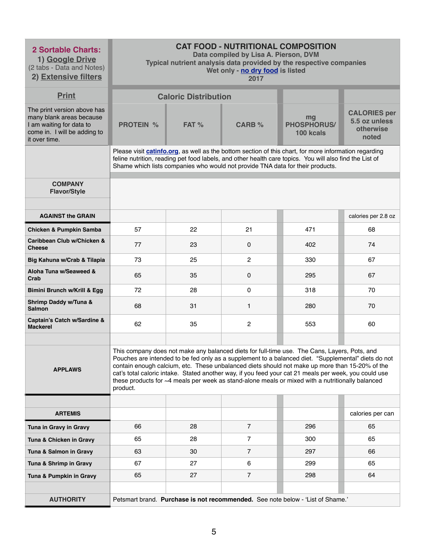| <b>2 Sortable Charts:</b><br>1) Google Drive<br>(2 tabs - Data and Notes)<br>2) Extensive filters                                    |                  |                             | <b>CAT FOOD - NUTRITIONAL COMPOSITION</b><br>Data compiled by Lisa A. Pierson, DVM<br>Wet only - no dry food is listed<br>2017 | Typical nutrient analysis data provided by the respective companies                                                                                                                                                                                                                                                                                                                                                                                                                                                |                                                            |
|--------------------------------------------------------------------------------------------------------------------------------------|------------------|-----------------------------|--------------------------------------------------------------------------------------------------------------------------------|--------------------------------------------------------------------------------------------------------------------------------------------------------------------------------------------------------------------------------------------------------------------------------------------------------------------------------------------------------------------------------------------------------------------------------------------------------------------------------------------------------------------|------------------------------------------------------------|
| <b>Print</b>                                                                                                                         |                  | <b>Caloric Distribution</b> |                                                                                                                                |                                                                                                                                                                                                                                                                                                                                                                                                                                                                                                                    |                                                            |
| The print version above has<br>many blank areas because<br>I am waiting for data to<br>come in. I will be adding to<br>it over time. | <b>PROTEIN %</b> | FAT %                       | <b>CARB %</b>                                                                                                                  | mg<br><b>PHOSPHORUS/</b><br>100 kcals                                                                                                                                                                                                                                                                                                                                                                                                                                                                              | <b>CALORIES per</b><br>5.5 oz unless<br>otherwise<br>noted |
|                                                                                                                                      |                  |                             | Shame which lists companies who would not provide TNA data for their products.                                                 | Please visit catinfo.org, as well as the bottom section of this chart, for more information regarding<br>feline nutrition, reading pet food labels, and other health care topics. You will also find the List of                                                                                                                                                                                                                                                                                                   |                                                            |
| <b>COMPANY</b><br><b>Flavor/Style</b>                                                                                                |                  |                             |                                                                                                                                |                                                                                                                                                                                                                                                                                                                                                                                                                                                                                                                    |                                                            |
| <b>AGAINST the GRAIN</b>                                                                                                             |                  |                             |                                                                                                                                |                                                                                                                                                                                                                                                                                                                                                                                                                                                                                                                    | calories per 2.8 oz                                        |
| <b>Chicken &amp; Pumpkin Samba</b>                                                                                                   | 57               | 22                          | 21                                                                                                                             | 471                                                                                                                                                                                                                                                                                                                                                                                                                                                                                                                | 68                                                         |
| Caribbean Club w/Chicken &<br><b>Cheese</b>                                                                                          | 77               | 23                          | $\overline{0}$                                                                                                                 | 402                                                                                                                                                                                                                                                                                                                                                                                                                                                                                                                | 74                                                         |
| Big Kahuna w/Crab & Tilapia                                                                                                          | 73               | 25                          | $\overline{2}$                                                                                                                 | 330                                                                                                                                                                                                                                                                                                                                                                                                                                                                                                                | 67                                                         |
| Aloha Tuna w/Seaweed &<br>Crab                                                                                                       | 65               | 35                          | $\mathbf 0$                                                                                                                    | 295                                                                                                                                                                                                                                                                                                                                                                                                                                                                                                                | 67                                                         |
| Bimini Brunch w/Krill & Egg                                                                                                          | 72               | 28                          | 0                                                                                                                              | 318                                                                                                                                                                                                                                                                                                                                                                                                                                                                                                                | 70                                                         |
| <b>Shrimp Daddy w/Tuna &amp;</b><br><b>Salmon</b>                                                                                    | 68               | 31                          | $\mathbf{1}$                                                                                                                   | 280                                                                                                                                                                                                                                                                                                                                                                                                                                                                                                                | 70                                                         |
| <b>Captain's Catch w/Sardine &amp;</b><br><b>Mackerel</b>                                                                            | 62               | 35                          | $\overline{2}$                                                                                                                 | 553                                                                                                                                                                                                                                                                                                                                                                                                                                                                                                                | 60                                                         |
| <b>APPLAWS</b>                                                                                                                       | product.         |                             |                                                                                                                                | This company does not make any balanced diets for full-time use. The Cans, Layers, Pots, and<br>Pouches are intended to be fed only as a supplement to a balanced diet. "Supplemental" diets do not<br>contain enough calcium, etc. These unbalanced diets should not make up more than 15-20% of the<br>cat's total caloric intake. Stated another way, if you feed your cat 21 meals per week, you could use<br>these products for ~4 meals per week as stand-alone meals or mixed with a nutritionally balanced |                                                            |
|                                                                                                                                      |                  |                             |                                                                                                                                |                                                                                                                                                                                                                                                                                                                                                                                                                                                                                                                    |                                                            |
| <b>ARTEMIS</b>                                                                                                                       |                  |                             |                                                                                                                                |                                                                                                                                                                                                                                                                                                                                                                                                                                                                                                                    | calories per can                                           |
| Tuna in Gravy in Gravy                                                                                                               | 66               | 28                          | $\overline{7}$                                                                                                                 | 296                                                                                                                                                                                                                                                                                                                                                                                                                                                                                                                | 65                                                         |
| Tuna & Chicken in Gravy                                                                                                              | 65               | 28                          | $\overline{7}$                                                                                                                 | 300                                                                                                                                                                                                                                                                                                                                                                                                                                                                                                                | 65                                                         |
| Tuna & Salmon in Gravy                                                                                                               | 63               | 30                          | $\overline{7}$                                                                                                                 | 297                                                                                                                                                                                                                                                                                                                                                                                                                                                                                                                | 66                                                         |
| Tuna & Shrimp in Gravy                                                                                                               | 67               | 27                          | 6                                                                                                                              | 299                                                                                                                                                                                                                                                                                                                                                                                                                                                                                                                | 65                                                         |
| Tuna & Pumpkin in Gravy                                                                                                              | 65               | 27                          | $\overline{7}$                                                                                                                 | 298                                                                                                                                                                                                                                                                                                                                                                                                                                                                                                                | 64                                                         |
| <b>AUTHORITY</b>                                                                                                                     |                  |                             |                                                                                                                                | Petsmart brand. Purchase is not recommended. See note below - 'List of Shame.'                                                                                                                                                                                                                                                                                                                                                                                                                                     |                                                            |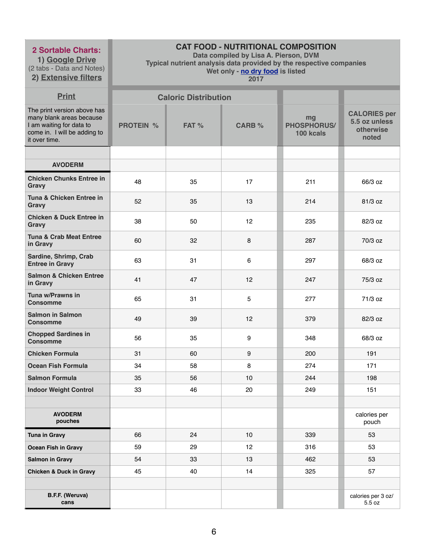**1) Google Drive** (2 tabs - Data and Notes) **2) Extensive filters**

# **CAT FOOD - NUTRITIONAL COMPOSITION**

**Data compiled by Lisa A. Pierson, DVM** 

**Typical nutrient analysis data provided by the respective companies** 

**Wet only - no dry food is listed** 

| <b>Print</b>                                                                                                                         |                  | <b>Caloric Distribution</b> |                |                                       |                                                            |
|--------------------------------------------------------------------------------------------------------------------------------------|------------------|-----------------------------|----------------|---------------------------------------|------------------------------------------------------------|
| The print version above has<br>many blank areas because<br>I am waiting for data to<br>come in. I will be adding to<br>it over time. | <b>PROTEIN %</b> | FAT %                       | <b>CARB %</b>  | mg<br><b>PHOSPHORUS/</b><br>100 kcals | <b>CALORIES per</b><br>5.5 oz unless<br>otherwise<br>noted |
|                                                                                                                                      |                  |                             |                |                                       |                                                            |
| <b>AVODERM</b>                                                                                                                       |                  |                             |                |                                       |                                                            |
| <b>Chicken Chunks Entree in</b><br>Gravy                                                                                             | 48               | 35                          | 17             | 211                                   | 66/3 oz                                                    |
| Tuna & Chicken Entree in<br><b>Gravy</b>                                                                                             | 52               | 35                          | 13             | 214                                   | 81/3 oz                                                    |
| <b>Chicken &amp; Duck Entree in</b><br><b>Gravy</b>                                                                                  | 38               | 50                          | 12             | 235                                   | 82/3 oz                                                    |
| <b>Tuna &amp; Crab Meat Entree</b><br>in Gravy                                                                                       | 60               | 32                          | 8              | 287                                   | 70/3 oz                                                    |
| Sardine, Shrimp, Crab<br><b>Entree in Gravy</b>                                                                                      | 63               | 31                          | 6              | 297                                   | 68/3 oz                                                    |
| <b>Salmon &amp; Chicken Entree</b><br>in Gravy                                                                                       | 41               | 47                          | 12             | 247                                   | 75/3 oz                                                    |
| Tuna w/Prawns in<br><b>Consomme</b>                                                                                                  | 65               | 31                          | $\overline{5}$ | 277                                   | 71/3 oz                                                    |
| <b>Salmon in Salmon</b><br><b>Consomme</b>                                                                                           | 49               | 39                          | 12             | 379                                   | 82/3 oz                                                    |
| <b>Chopped Sardines in</b><br><b>Consomme</b>                                                                                        | 56               | 35                          | 9              | 348                                   | 68/3 oz                                                    |
| <b>Chicken Formula</b>                                                                                                               | 31               | 60                          | 9              | 200                                   | 191                                                        |
| <b>Ocean Fish Formula</b>                                                                                                            | 34               | 58                          | 8              | 274                                   | 171                                                        |
| <b>Salmon Formula</b>                                                                                                                | 35               | 56                          | 10             | 244                                   | 198                                                        |
| <b>Indoor Weight Control</b>                                                                                                         | 33               | 46                          | 20             | 249                                   | 151                                                        |
|                                                                                                                                      |                  |                             |                |                                       |                                                            |
| <b>AVODERM</b><br>pouches                                                                                                            |                  |                             |                |                                       | calories per<br>pouch                                      |
| <b>Tuna in Gravy</b>                                                                                                                 | 66               | 24                          | 10             | 339                                   | 53                                                         |
| <b>Ocean Fish in Gravy</b>                                                                                                           | 59               | 29                          | 12             | 316                                   | 53                                                         |
| <b>Salmon in Gravy</b>                                                                                                               | 54               | 33                          | 13             | 462                                   | 53                                                         |
| <b>Chicken &amp; Duck in Gravy</b>                                                                                                   | 45               | 40                          | 14             | 325                                   | 57                                                         |
|                                                                                                                                      |                  |                             |                |                                       |                                                            |
| B.F.F. (Weruva)<br>cans                                                                                                              |                  |                             |                |                                       | calories per 3 oz/<br>5.5 oz                               |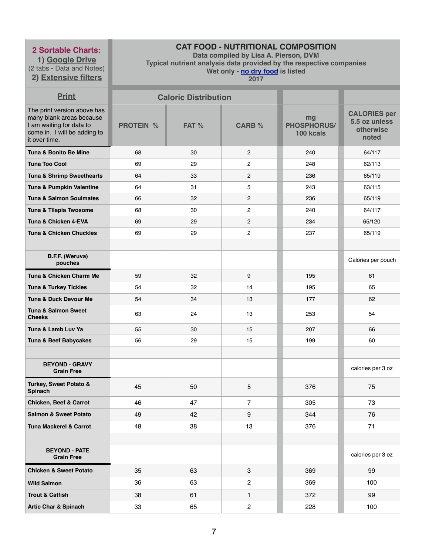**1) Google Drive** (2 tabs - Data and Notes) **2) Extensive filters**

# **CAT FOOD - NUTRITIONAL COMPOSITION**

**Data compiled by Lisa A. Pierson, DVM** 

**Typical nutrient analysis data provided by the respective companies** 

**Wet only - no dry food is listed** 

| <b>Print</b>                                                                                                                         |                  | <b>Caloric Distribution</b> |                |                                       |                                                            |
|--------------------------------------------------------------------------------------------------------------------------------------|------------------|-----------------------------|----------------|---------------------------------------|------------------------------------------------------------|
| The print version above has<br>many blank areas because<br>I am waiting for data to<br>come in. I will be adding to<br>it over time. | <b>PROTEIN %</b> | FAT %                       | <b>CARB %</b>  | mg<br><b>PHOSPHORUS/</b><br>100 kcals | <b>CALORIES per</b><br>5.5 oz unless<br>otherwise<br>noted |
| Tuna & Bonito Be Mine                                                                                                                | 68               | 30                          | $\mathbf{2}$   | 240                                   | 64/117                                                     |
| <b>Tuna Too Cool</b>                                                                                                                 | 69               | 29                          | $\overline{c}$ | 248                                   | 62/113                                                     |
| Tuna & Shrimp Sweethearts                                                                                                            | 64               | 33                          | $\overline{c}$ | 236                                   | 65/119                                                     |
| Tuna & Pumpkin Valentine                                                                                                             | 64               | 31                          | 5              | 243                                   | 63/115                                                     |
| <b>Tuna &amp; Salmon Soulmates</b>                                                                                                   | 66               | 32                          | $\overline{c}$ | 236                                   | 65/119                                                     |
| Tuna & Tilapia Twosome                                                                                                               | 68               | 30                          | $\overline{c}$ | 240                                   | 64/117                                                     |
| Tuna & Chicken 4-EVA                                                                                                                 | 69               | 29                          | $\overline{c}$ | 234                                   | 65/120                                                     |
| <b>Tuna &amp; Chicken Chuckles</b>                                                                                                   | 69               | 29                          | $\mathbf{2}$   | 237                                   | 65/119                                                     |
|                                                                                                                                      |                  |                             |                |                                       |                                                            |
| B.F.F. (Weruva)<br>pouches                                                                                                           |                  |                             |                |                                       | Calories per pouch                                         |
| Tuna & Chicken Charm Me                                                                                                              | 59               | 32                          | 9              | 195                                   | 61                                                         |
| <b>Tuna &amp; Turkey Tickles</b>                                                                                                     | 54               | 32                          | 14             | 195                                   | 65                                                         |
| <b>Tuna &amp; Duck Devour Me</b>                                                                                                     | 54               | 34                          | 13             | 177                                   | 62                                                         |
| <b>Tuna &amp; Salmon Sweet</b><br><b>Cheeks</b>                                                                                      | 63               | 24                          | 13             | 253                                   | 54                                                         |
| Tuna & Lamb Luv Ya                                                                                                                   | 55               | 30                          | 15             | 207                                   | 66                                                         |
| Tuna & Beef Babycakes                                                                                                                | 56               | 29                          | 15             | 199                                   | 60                                                         |
|                                                                                                                                      |                  |                             |                |                                       |                                                            |
| <b>BEYOND - GRAVY</b><br><b>Grain Free</b>                                                                                           |                  |                             |                |                                       | calories per 3 oz                                          |
| <b>Turkey, Sweet Potato &amp;</b><br><b>Spinach</b>                                                                                  | 45               | 50                          | 5              | 376                                   | 75                                                         |
| <b>Chicken, Beef &amp; Carrot</b>                                                                                                    | 46               | 47                          | $\overline{7}$ | 305                                   | 73                                                         |
| <b>Salmon &amp; Sweet Potato</b>                                                                                                     | 49               | 42                          | 9              | 344                                   | 76                                                         |
| <b>Tuna Mackerel &amp; Carrot</b>                                                                                                    | 48               | 38                          | 13             | 376                                   | 71                                                         |
|                                                                                                                                      |                  |                             |                |                                       |                                                            |
| <b>BEYOND - PATE</b><br><b>Grain Free</b>                                                                                            |                  |                             |                |                                       | calories per 3 oz                                          |
| <b>Chicken &amp; Sweet Potato</b>                                                                                                    | 35               | 63                          | 3              | 369                                   | 99                                                         |
| <b>Wild Salmon</b>                                                                                                                   | 36               | 63                          | $\overline{c}$ | 369                                   | 100                                                        |
| <b>Trout &amp; Catfish</b>                                                                                                           | 38               | 61                          | 1              | 372                                   | 99                                                         |
| <b>Artic Char &amp; Spinach</b>                                                                                                      | 33               | 65                          | $\overline{c}$ | 228                                   | 100                                                        |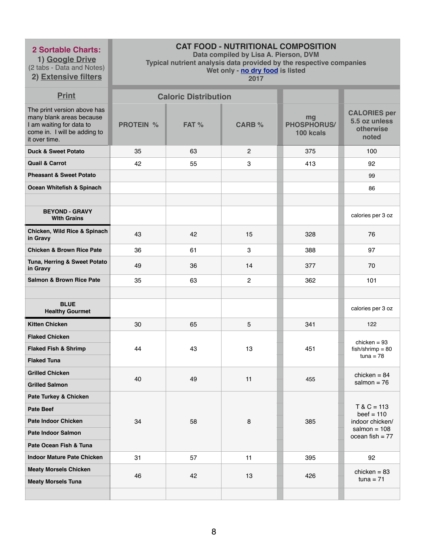**1) Google Drive** (2 tabs - Data and Notes) **2) Extensive filters**

# **CAT FOOD - NUTRITIONAL COMPOSITION**

**Data compiled by Lisa A. Pierson, DVM** 

**Typical nutrient analysis data provided by the respective companies** 

**Wet only - no dry food is listed** 

| <b>Print</b>                                                                                                                         |                  | <b>Caloric Distribution</b> |                |                                       |                                                            |
|--------------------------------------------------------------------------------------------------------------------------------------|------------------|-----------------------------|----------------|---------------------------------------|------------------------------------------------------------|
| The print version above has<br>many blank areas because<br>I am waiting for data to<br>come in. I will be adding to<br>it over time. | <b>PROTEIN %</b> | FAT %                       | <b>CARB %</b>  | mg<br><b>PHOSPHORUS/</b><br>100 kcals | <b>CALORIES per</b><br>5.5 oz unless<br>otherwise<br>noted |
| <b>Duck &amp; Sweet Potato</b>                                                                                                       | 35               | 63                          | 2              | 375                                   | 100                                                        |
| <b>Quail &amp; Carrot</b>                                                                                                            | 42               | 55                          | 3              | 413                                   | 92                                                         |
| <b>Pheasant &amp; Sweet Potato</b>                                                                                                   |                  |                             |                |                                       | 99                                                         |
| Ocean Whitefish & Spinach                                                                                                            |                  |                             |                |                                       | 86                                                         |
|                                                                                                                                      |                  |                             |                |                                       |                                                            |
| <b>BEYOND - GRAVY</b><br><b>With Grains</b>                                                                                          |                  |                             |                |                                       | calories per 3 oz                                          |
| <b>Chicken, Wild Rice &amp; Spinach</b><br>in Gravy                                                                                  | 43               | 42                          | 15             | 328                                   | 76                                                         |
| <b>Chicken &amp; Brown Rice Pate</b>                                                                                                 | 36               | 61                          | 3              | 388                                   | 97                                                         |
| Tuna, Herring & Sweet Potato<br>in Gravy                                                                                             | 49               | 36                          | 14             | 377                                   | 70                                                         |
| <b>Salmon &amp; Brown Rice Pate</b>                                                                                                  | 35               | 63                          | $\overline{c}$ | 362                                   | 101                                                        |
|                                                                                                                                      |                  |                             |                |                                       |                                                            |
| <b>BLUE</b><br><b>Healthy Gourmet</b>                                                                                                |                  |                             |                |                                       | calories per 3 oz                                          |
| <b>Kitten Chicken</b>                                                                                                                | 30               | 65                          | 5              | 341                                   | 122                                                        |
| <b>Flaked Chicken</b>                                                                                                                |                  |                             |                |                                       | chicken = $93$                                             |
| <b>Flaked Fish &amp; Shrimp</b>                                                                                                      | 44               | 43                          | 13             | 451                                   | $fish/shrimp = 80$                                         |
| <b>Flaked Tuna</b>                                                                                                                   |                  |                             |                |                                       | $tuna = 78$                                                |
| <b>Grilled Chicken</b>                                                                                                               | 40               | 49                          | 11             | 455                                   | chicken = $84$                                             |
| <b>Grilled Salmon</b>                                                                                                                |                  |                             |                |                                       | salmon = $76$                                              |
| <b>Pate Turkey &amp; Chicken</b>                                                                                                     |                  |                             |                |                                       |                                                            |
| <b>Pate Beef</b>                                                                                                                     |                  |                             |                |                                       | $T & C = 113$<br>$beef = 110$                              |
| <b>Pate Indoor Chicken</b>                                                                                                           | 34               | 58                          | 8              | 385                                   | indoor chicken/<br>salmon = $108$                          |
| <b>Pate Indoor Salmon</b>                                                                                                            |                  |                             |                |                                       | ocean fish $= 77$                                          |
| Pate Ocean Fish & Tuna                                                                                                               |                  |                             |                |                                       |                                                            |
| <b>Indoor Mature Pate Chicken</b>                                                                                                    | 31               | 57                          | 11             | 395                                   | 92                                                         |
| <b>Meaty Morsels Chicken</b>                                                                                                         | 46               | 42                          | 13             | 426                                   | chicken = $83$                                             |
| <b>Meaty Morsels Tuna</b>                                                                                                            |                  |                             |                |                                       | $tuna = 71$                                                |
|                                                                                                                                      |                  |                             |                |                                       |                                                            |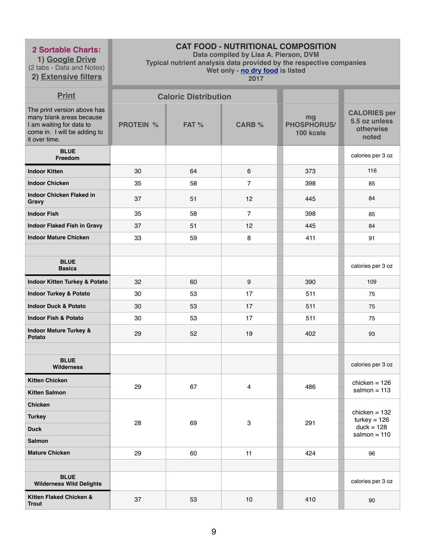**1) Google Drive** (2 tabs - Data and Notes)

**2) Extensive filters**

# **CAT FOOD - NUTRITIONAL COMPOSITION**

**Data compiled by Lisa A. Pierson, DVM** 

**Typical nutrient analysis data provided by the respective companies** 

**Wet only - no dry food is listed** 

| <b>Print</b>                                                                                                                         |                  | <b>Caloric Distribution</b> |                |                                       |                                                            |
|--------------------------------------------------------------------------------------------------------------------------------------|------------------|-----------------------------|----------------|---------------------------------------|------------------------------------------------------------|
| The print version above has<br>many blank areas because<br>I am waiting for data to<br>come in. I will be adding to<br>it over time. | <b>PROTEIN %</b> | FAT %                       | <b>CARB %</b>  | mg<br><b>PHOSPHORUS/</b><br>100 kcals | <b>CALORIES per</b><br>5.5 oz unless<br>otherwise<br>noted |
| <b>BLUE</b><br>Freedom                                                                                                               |                  |                             |                |                                       | calories per 3 oz                                          |
| <b>Indoor Kitten</b>                                                                                                                 | 30               | 64                          | 6              | 373                                   | 116                                                        |
| <b>Indoor Chicken</b>                                                                                                                | 35               | 58                          | $\overline{7}$ | 398                                   | 85                                                         |
| <b>Indoor Chicken Flaked in</b><br>Gravy                                                                                             | 37               | 51                          | 12             | 445                                   | 84                                                         |
| <b>Indoor Fish</b>                                                                                                                   | 35               | 58                          | $\overline{7}$ | 398                                   | 85                                                         |
| <b>Indoor Flaked Fish in Gravy</b>                                                                                                   | 37               | 51                          | 12             | 445                                   | 84                                                         |
| <b>Indoor Mature Chicken</b>                                                                                                         | 33               | 59                          | 8              | 411                                   | 91                                                         |
|                                                                                                                                      |                  |                             |                |                                       |                                                            |
| <b>BLUE</b><br><b>Basics</b>                                                                                                         |                  |                             |                |                                       | calories per 3 oz                                          |
| <b>Indoor Kitten Turkey &amp; Potato</b>                                                                                             | 32               | 60                          | 9              | 390                                   | 109                                                        |
| <b>Indoor Turkey &amp; Potato</b>                                                                                                    | 30               | 53                          | 17             | 511                                   | 75                                                         |
| <b>Indoor Duck &amp; Potato</b>                                                                                                      | 30               | 53                          | 17             | 511                                   | 75                                                         |
| <b>Indoor Fish &amp; Potato</b>                                                                                                      | 30               | 53                          | 17             | 511                                   | 75                                                         |
| <b>Indoor Mature Turkey &amp;</b><br><b>Potato</b>                                                                                   | 29               | 52                          | 19             | 402                                   | 93                                                         |
|                                                                                                                                      |                  |                             |                |                                       |                                                            |
| <b>BLUE</b><br><b>Wilderness</b>                                                                                                     |                  |                             |                |                                       | calories per 3 oz                                          |
| <b>Kitten Chicken</b>                                                                                                                |                  |                             |                |                                       | chicken = $126$                                            |
| <b>Kitten Salmon</b>                                                                                                                 | 29               | 67                          | $\overline{4}$ | 486                                   | salmon = $113$                                             |
| <b>Chicken</b>                                                                                                                       |                  |                             |                |                                       |                                                            |
| <b>Turkey</b>                                                                                                                        | 28               | 69                          | $\mathbf{3}$   | 291                                   | chicken = $132$<br>$turkey = 126$                          |
| <b>Duck</b>                                                                                                                          |                  |                             |                |                                       | $duck = 128$<br>salmon = $110$                             |
| <b>Salmon</b>                                                                                                                        |                  |                             |                |                                       |                                                            |
| <b>Mature Chicken</b>                                                                                                                | 29               | 60                          | 11             | 424                                   | 96                                                         |
|                                                                                                                                      |                  |                             |                |                                       |                                                            |
| <b>BLUE</b><br><b>Wilderness Wild Delights</b>                                                                                       |                  |                             |                |                                       | calories per 3 oz                                          |
| Kitten Flaked Chicken &<br><b>Trout</b>                                                                                              | 37               | 53                          | 10             | 410                                   | 90                                                         |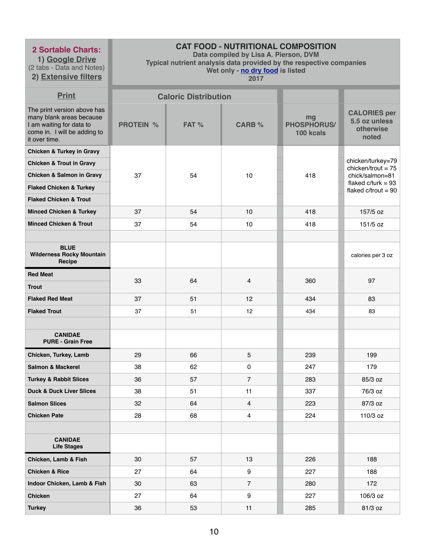**1) Google Drive** (2 tabs - Data and Notes)

**2) Extensive filters**

# **CAT FOOD - NUTRITIONAL COMPOSITION**

**Data compiled by Lisa A. Pierson, DVM** 

**Typical nutrient analysis data provided by the respective companies** 

**Wet only - no dry food is listed** 

| <b>Print</b>                                                                                                                         |                  | <b>Caloric Distribution</b> |                 |                                       |                                                            |
|--------------------------------------------------------------------------------------------------------------------------------------|------------------|-----------------------------|-----------------|---------------------------------------|------------------------------------------------------------|
| The print version above has<br>many blank areas because<br>I am waiting for data to<br>come in. I will be adding to<br>it over time. | <b>PROTEIN %</b> | FAT %                       | <b>CARB %</b>   | mg<br><b>PHOSPHORUS/</b><br>100 kcals | <b>CALORIES per</b><br>5.5 oz unless<br>otherwise<br>noted |
| <b>Chicken &amp; Turkey in Gravy</b>                                                                                                 |                  |                             |                 |                                       |                                                            |
| <b>Chicken &amp; Trout in Gravy</b>                                                                                                  |                  |                             |                 |                                       | chicken/turkey=79<br>chicken/trout = $75$                  |
| <b>Chicken &amp; Salmon in Gravy</b>                                                                                                 | 37               | 54                          | 10              | 418                                   | chick/salmon=81                                            |
| <b>Flaked Chicken &amp; Turkey</b>                                                                                                   |                  |                             |                 |                                       | flaked $c/turk = 93$<br>flaked $c$ /trout = 90             |
| <b>Flaked Chicken &amp; Trout</b>                                                                                                    |                  |                             |                 |                                       |                                                            |
| <b>Minced Chicken &amp; Turkey</b>                                                                                                   | 37               | 54                          | 10              | 418                                   | 157/5 oz                                                   |
| <b>Minced Chicken &amp; Trout</b>                                                                                                    | 37               | 54                          | 10              | 418                                   | 151/5 oz                                                   |
|                                                                                                                                      |                  |                             |                 |                                       |                                                            |
| <b>BLUE</b><br><b>Wilderness Rocky Mountain</b><br>Recipe                                                                            |                  |                             |                 |                                       | calories per 3 oz                                          |
| <b>Red Meat</b>                                                                                                                      |                  |                             |                 |                                       |                                                            |
| <b>Trout</b>                                                                                                                         | 33               | 64                          | $\overline{4}$  | 360                                   | 97                                                         |
| <b>Flaked Red Meat</b>                                                                                                               | 37               | 51                          | 12              | 434                                   | 83                                                         |
| <b>Flaked Trout</b>                                                                                                                  | 37               | 51                          | 12              | 434                                   | 83                                                         |
|                                                                                                                                      |                  |                             |                 |                                       |                                                            |
| <b>CANIDAE</b><br><b>PURE - Grain Free</b>                                                                                           |                  |                             |                 |                                       |                                                            |
| Chicken, Turkey, Lamb                                                                                                                | 29               | 66                          | $5\phantom{.0}$ | 239                                   | 199                                                        |
| <b>Salmon &amp; Mackerel</b>                                                                                                         | 38               | 62                          | 0               | 247                                   | 179                                                        |
| <b>Turkey &amp; Rabbit Slices</b>                                                                                                    | 36               | 57                          | $\overline{7}$  | 283                                   | 85/3 oz                                                    |
| <b>Duck &amp; Duck Liver Slices</b>                                                                                                  | 38               | 51                          | 11              | 337                                   | 76/3 oz                                                    |
| <b>Salmon Slices</b>                                                                                                                 | 32               | 64                          | $\overline{4}$  | 223                                   | 87/3 oz                                                    |
| <b>Chicken Pate</b>                                                                                                                  | 28               | 68                          | 4               | 224                                   | 110/3 oz                                                   |
|                                                                                                                                      |                  |                             |                 |                                       |                                                            |
| <b>CANIDAE</b><br><b>Life Stages</b>                                                                                                 |                  |                             |                 |                                       |                                                            |
| Chicken, Lamb & Fish                                                                                                                 | 30               | 57                          | 13              | 226                                   | 188                                                        |
| <b>Chicken &amp; Rice</b>                                                                                                            | 27               | 64                          | 9               | 227                                   | 188                                                        |
| Indoor Chicken, Lamb & Fish                                                                                                          | 30               | 63                          | $\overline{7}$  | 280                                   | 172                                                        |
| <b>Chicken</b>                                                                                                                       | 27               | 64                          | 9               | 227                                   | 106/3 oz                                                   |
| <b>Turkey</b>                                                                                                                        | 36               | 53                          | 11              | 285                                   | 81/3 oz                                                    |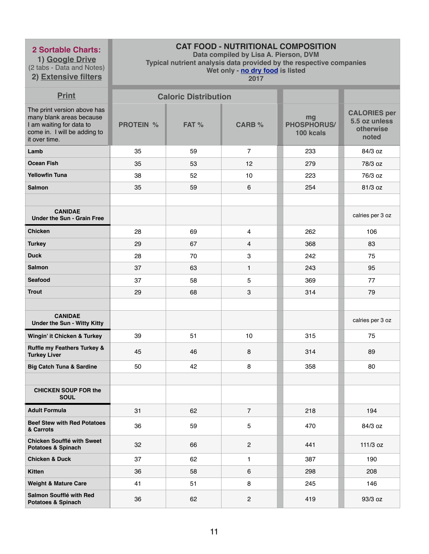**1) Google Drive** (2 tabs - Data and Notes) **2) Extensive filters**

# **CAT FOOD - NUTRITIONAL COMPOSITION**

**Data compiled by Lisa A. Pierson, DVM** 

**Typical nutrient analysis data provided by the respective companies** 

**Wet only - no dry food is listed** 

| <b>Print</b>                                                                                                                         |                  | <b>Caloric Distribution</b> |                |                                       |                                                            |
|--------------------------------------------------------------------------------------------------------------------------------------|------------------|-----------------------------|----------------|---------------------------------------|------------------------------------------------------------|
| The print version above has<br>many blank areas because<br>I am waiting for data to<br>come in. I will be adding to<br>it over time. | <b>PROTEIN %</b> | FAT %                       | <b>CARB %</b>  | mg<br><b>PHOSPHORUS/</b><br>100 kcals | <b>CALORIES per</b><br>5.5 oz unless<br>otherwise<br>noted |
| Lamb                                                                                                                                 | 35               | 59                          | $\overline{7}$ | 233                                   | 84/3 oz                                                    |
| <b>Ocean Fish</b>                                                                                                                    | 35               | 53                          | 12             | 279                                   | 78/3 oz                                                    |
| <b>Yellowfin Tuna</b>                                                                                                                | 38               | 52                          | 10             | 223                                   | 76/3 oz                                                    |
| <b>Salmon</b>                                                                                                                        | 35               | 59                          | 6              | 254                                   | 81/3 oz                                                    |
|                                                                                                                                      |                  |                             |                |                                       |                                                            |
| <b>CANIDAE</b><br><b>Under the Sun - Grain Free</b>                                                                                  |                  |                             |                |                                       | calries per 3 oz                                           |
| <b>Chicken</b>                                                                                                                       | 28               | 69                          | $\overline{4}$ | 262                                   | 106                                                        |
| <b>Turkey</b>                                                                                                                        | 29               | 67                          | $\overline{4}$ | 368                                   | 83                                                         |
| <b>Duck</b>                                                                                                                          | 28               | 70                          | 3              | 242                                   | 75                                                         |
| <b>Salmon</b>                                                                                                                        | 37               | 63                          | $\mathbf{1}$   | 243                                   | 95                                                         |
| <b>Seafood</b>                                                                                                                       | 37               | 58                          | $\overline{5}$ | 369                                   | 77                                                         |
| <b>Trout</b>                                                                                                                         | 29               | 68                          | 3              | 314                                   | 79                                                         |
|                                                                                                                                      |                  |                             |                |                                       |                                                            |
| <b>CANIDAE</b><br><b>Under the Sun - Witty Kitty</b>                                                                                 |                  |                             |                |                                       | calries per 3 oz                                           |
| Wingin' it Chicken & Turkey                                                                                                          | 39               | 51                          | 10             | 315                                   | 75                                                         |
| <b>Ruffle my Feathers Turkey &amp;</b><br><b>Turkey Liver</b>                                                                        | 45               | 46                          | 8              | 314                                   | 89                                                         |
| <b>Big Catch Tuna &amp; Sardine</b>                                                                                                  | 50               | 42                          | 8              | 358                                   | 80                                                         |
|                                                                                                                                      |                  |                             |                |                                       |                                                            |
| <b>CHICKEN SOUP FOR the</b><br><b>SOUL</b>                                                                                           |                  |                             |                |                                       |                                                            |
| <b>Adult Formula</b>                                                                                                                 | 31               | 62                          | $\overline{7}$ | 218                                   | 194                                                        |
| <b>Beef Stew with Red Potatoes</b><br>& Carrots                                                                                      | 36               | 59                          | 5              | 470                                   | 84/3 oz                                                    |
| <b>Chicken Soufflé with Sweet</b><br><b>Potatoes &amp; Spinach</b>                                                                   | 32               | 66                          | $\overline{2}$ | 441                                   | 111/3 oz                                                   |
| <b>Chicken &amp; Duck</b>                                                                                                            | 37               | 62                          | $\mathbf{1}$   | 387                                   | 190                                                        |
| <b>Kitten</b>                                                                                                                        | 36               | 58                          | 6              | 298                                   | 208                                                        |
| <b>Weight &amp; Mature Care</b>                                                                                                      | 41               | 51                          | 8              | 245                                   | 146                                                        |
| Salmon Soufflé with Red<br><b>Potatoes &amp; Spinach</b>                                                                             | 36               | 62                          | $\overline{2}$ | 419                                   | 93/3 oz                                                    |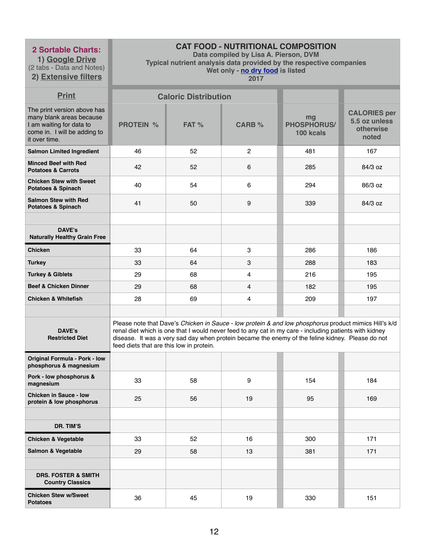**1) Google Drive** (2 tabs - Data and Notes)

**2) Extensive filters**

# **CAT FOOD - NUTRITIONAL COMPOSITION**

**Data compiled by Lisa A. Pierson, DVM** 

**Typical nutrient analysis data provided by the respective companies** 

**Wet only - no dry food is listed** 

| <b>Print</b>                                                                                                                         |                                          | <b>Caloric Distribution</b> |                |                                                                                                                                                                                                                                                                                                                     |                                                            |
|--------------------------------------------------------------------------------------------------------------------------------------|------------------------------------------|-----------------------------|----------------|---------------------------------------------------------------------------------------------------------------------------------------------------------------------------------------------------------------------------------------------------------------------------------------------------------------------|------------------------------------------------------------|
| The print version above has<br>many blank areas because<br>I am waiting for data to<br>come in. I will be adding to<br>it over time. | <b>PROTEIN %</b>                         | FAT %                       | <b>CARB %</b>  | mg<br><b>PHOSPHORUS/</b><br>100 kcals                                                                                                                                                                                                                                                                               | <b>CALORIES per</b><br>5.5 oz unless<br>otherwise<br>noted |
| <b>Salmon Limited Ingredient</b>                                                                                                     | 46                                       | 52                          | $\overline{2}$ | 481                                                                                                                                                                                                                                                                                                                 | 167                                                        |
| <b>Minced Beef with Red</b><br><b>Potatoes &amp; Carrots</b>                                                                         | 42                                       | 52                          | 6              | 285                                                                                                                                                                                                                                                                                                                 | 84/3 oz                                                    |
| <b>Chicken Stew with Sweet</b><br><b>Potatoes &amp; Spinach</b>                                                                      | 40                                       | 54                          | 6              | 294                                                                                                                                                                                                                                                                                                                 | 86/3 oz                                                    |
| <b>Salmon Stew with Red</b><br><b>Potatoes &amp; Spinach</b>                                                                         | 41                                       | 50                          | 9              | 339                                                                                                                                                                                                                                                                                                                 | 84/3 oz                                                    |
|                                                                                                                                      |                                          |                             |                |                                                                                                                                                                                                                                                                                                                     |                                                            |
| <b>DAVE's</b><br><b>Naturally Healthy Grain Free</b>                                                                                 |                                          |                             |                |                                                                                                                                                                                                                                                                                                                     |                                                            |
| <b>Chicken</b>                                                                                                                       | 33                                       | 64                          | 3              | 286                                                                                                                                                                                                                                                                                                                 | 186                                                        |
| <b>Turkey</b>                                                                                                                        | 33                                       | 64                          | 3              | 288                                                                                                                                                                                                                                                                                                                 | 183                                                        |
| <b>Turkey &amp; Giblets</b>                                                                                                          | 29                                       | 68                          | 4              | 216                                                                                                                                                                                                                                                                                                                 | 195                                                        |
| <b>Beef &amp; Chicken Dinner</b>                                                                                                     | 29                                       | 68                          | 4              | 182                                                                                                                                                                                                                                                                                                                 | 195                                                        |
| <b>Chicken &amp; Whitefish</b>                                                                                                       | 28                                       | 69                          | $\overline{4}$ | 209                                                                                                                                                                                                                                                                                                                 | 197                                                        |
|                                                                                                                                      |                                          |                             |                |                                                                                                                                                                                                                                                                                                                     |                                                            |
| <b>DAVE's</b><br><b>Restricted Diet</b>                                                                                              | feed diets that are this low in protein. |                             |                | Please note that Dave's Chicken in Sauce - low protein & and low phosphorus product mimics Hill's k/d<br>renal diet which is one that I would never feed to any cat in my care - including patients with kidney<br>disease. It was a very sad day when protein became the enemy of the feline kidney. Please do not |                                                            |
| <b>Original Formula - Pork - low</b><br>phosphorus & magnesium                                                                       |                                          |                             |                |                                                                                                                                                                                                                                                                                                                     |                                                            |
| Pork - low phosphorus &<br>magnesium                                                                                                 | 33                                       | 58                          | 9              | 154                                                                                                                                                                                                                                                                                                                 | 184                                                        |
| <b>Chicken in Sauce - low</b><br>protein & low phosphorus                                                                            | 25                                       | 56                          | 19             | 95                                                                                                                                                                                                                                                                                                                  | 169                                                        |
|                                                                                                                                      |                                          |                             |                |                                                                                                                                                                                                                                                                                                                     |                                                            |
| DR. TIM'S                                                                                                                            |                                          |                             |                |                                                                                                                                                                                                                                                                                                                     |                                                            |
| <b>Chicken &amp; Vegetable</b>                                                                                                       | 33                                       | 52                          | 16             | 300                                                                                                                                                                                                                                                                                                                 | 171                                                        |
| <b>Salmon &amp; Vegetable</b>                                                                                                        | 29                                       | 58                          | 13             | 381                                                                                                                                                                                                                                                                                                                 | 171                                                        |
|                                                                                                                                      |                                          |                             |                |                                                                                                                                                                                                                                                                                                                     |                                                            |
| <b>DRS. FOSTER &amp; SMITH</b><br><b>Country Classics</b>                                                                            |                                          |                             |                |                                                                                                                                                                                                                                                                                                                     |                                                            |
| <b>Chicken Stew w/Sweet</b><br><b>Potatoes</b>                                                                                       | 36                                       | 45                          | 19             | 330                                                                                                                                                                                                                                                                                                                 | 151                                                        |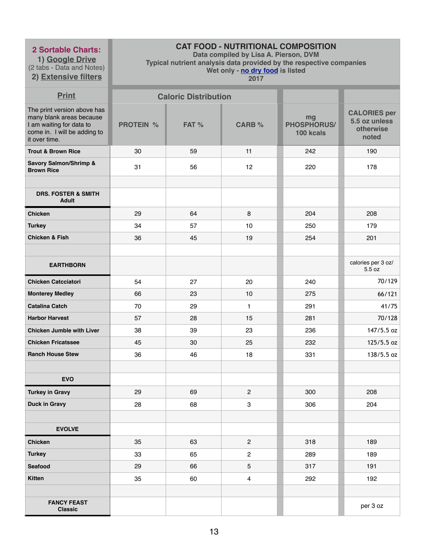**1) Google Drive** (2 tabs - Data and Notes)

# **2) Extensive filters**

# **CAT FOOD - NUTRITIONAL COMPOSITION**

**Data compiled by Lisa A. Pierson, DVM** 

**Typical nutrient analysis data provided by the respective companies** 

**Wet only - no dry food is listed** 

| <b>Print</b>                                                                                                                         |                  | <b>Caloric Distribution</b> |                |                                       |                                                            |
|--------------------------------------------------------------------------------------------------------------------------------------|------------------|-----------------------------|----------------|---------------------------------------|------------------------------------------------------------|
| The print version above has<br>many blank areas because<br>I am waiting for data to<br>come in. I will be adding to<br>it over time. | <b>PROTEIN %</b> | FAT %                       | <b>CARB %</b>  | mg<br><b>PHOSPHORUS/</b><br>100 kcals | <b>CALORIES per</b><br>5.5 oz unless<br>otherwise<br>noted |
| <b>Trout &amp; Brown Rice</b>                                                                                                        | 30               | 59                          | 11             | 242                                   | 190                                                        |
| <b>Savory Salmon/Shrimp &amp;</b><br><b>Brown Rice</b>                                                                               | 31               | 56                          | 12             | 220                                   | 178                                                        |
|                                                                                                                                      |                  |                             |                |                                       |                                                            |
| <b>DRS. FOSTER &amp; SMITH</b><br><b>Adult</b>                                                                                       |                  |                             |                |                                       |                                                            |
| <b>Chicken</b>                                                                                                                       | 29               | 64                          | 8              | 204                                   | 208                                                        |
| <b>Turkey</b>                                                                                                                        | 34               | 57                          | 10             | 250                                   | 179                                                        |
| <b>Chicken &amp; Fish</b>                                                                                                            | 36               | 45                          | 19             | 254                                   | 201                                                        |
|                                                                                                                                      |                  |                             |                |                                       |                                                            |
| <b>EARTHBORN</b>                                                                                                                     |                  |                             |                |                                       | calories per 3 oz/<br>5.5 oz                               |
| <b>Chicken Catcciatori</b>                                                                                                           | 54               | 27                          | 20             | 240                                   | 70/129                                                     |
| <b>Monterey Medley</b>                                                                                                               | 66               | 23                          | 10             | 275                                   | 66/121                                                     |
| <b>Catalina Catch</b>                                                                                                                | 70               | 29                          | $\mathbf{1}$   | 291                                   | 41/75                                                      |
| <b>Harbor Harvest</b>                                                                                                                | 57               | 28                          | 15             | 281                                   | 70/128                                                     |
| <b>Chicken Jumble with Liver</b>                                                                                                     | 38               | 39                          | 23             | 236                                   | 147/5.5 oz                                                 |
| <b>Chicken Fricatssee</b>                                                                                                            | 45               | 30                          | 25             | 232                                   | 125/5.5 oz                                                 |
| <b>Ranch House Stew</b>                                                                                                              | 36               | 46                          | 18             | 331                                   | $138/5.5$ oz                                               |
|                                                                                                                                      |                  |                             |                |                                       |                                                            |
| <b>EVO</b>                                                                                                                           |                  |                             |                |                                       |                                                            |
| <b>Turkey in Gravy</b>                                                                                                               | 29               | 69                          | $\overline{2}$ | 300                                   | 208                                                        |
| <b>Duck in Gravy</b>                                                                                                                 | 28               | 68                          | $\mathbf{3}$   | 306                                   | 204                                                        |
|                                                                                                                                      |                  |                             |                |                                       |                                                            |
| <b>EVOLVE</b>                                                                                                                        |                  |                             |                |                                       |                                                            |
| <b>Chicken</b>                                                                                                                       | 35               | 63                          | 2              | 318                                   | 189                                                        |
| <b>Turkey</b>                                                                                                                        | 33               | 65                          | $\overline{2}$ | 289                                   | 189                                                        |
| <b>Seafood</b>                                                                                                                       | 29               | 66                          | 5              | 317                                   | 191                                                        |
| <b>Kitten</b>                                                                                                                        | 35               | 60                          | $\overline{4}$ | 292                                   | 192                                                        |
|                                                                                                                                      |                  |                             |                |                                       |                                                            |
| <b>FANCY FEAST</b><br><b>Classic</b>                                                                                                 |                  |                             |                |                                       | per 3 oz                                                   |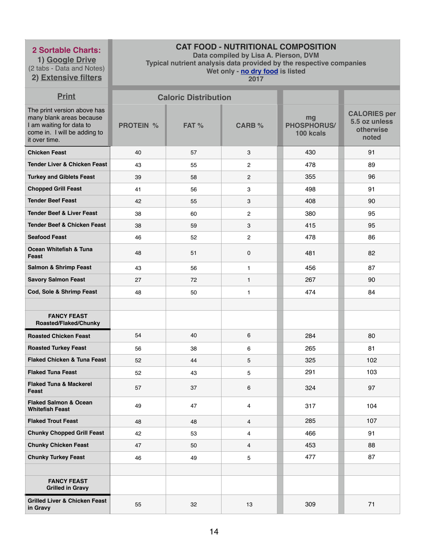**1) Google Drive** (2 tabs - Data and Notes) **2) Extensive filters**

# **CAT FOOD - NUTRITIONAL COMPOSITION**

**Data compiled by Lisa A. Pierson, DVM** 

**Typical nutrient analysis data provided by the respective companies** 

**Wet only - no dry food is listed** 

| <b>Print</b>                                                                                                                         |                  | <b>Caloric Distribution</b> |                  |                                       |                                                            |
|--------------------------------------------------------------------------------------------------------------------------------------|------------------|-----------------------------|------------------|---------------------------------------|------------------------------------------------------------|
| The print version above has<br>many blank areas because<br>I am waiting for data to<br>come in. I will be adding to<br>it over time. | <b>PROTEIN %</b> | FAT %                       | <b>CARB %</b>    | mg<br><b>PHOSPHORUS/</b><br>100 kcals | <b>CALORIES per</b><br>5.5 oz unless<br>otherwise<br>noted |
| <b>Chicken Feast</b>                                                                                                                 | 40               | 57                          | 3                | 430                                   | 91                                                         |
| <b>Tender Liver &amp; Chicken Feast</b>                                                                                              | 43               | 55                          | $\mathbf{2}$     | 478                                   | 89                                                         |
| <b>Turkey and Giblets Feast</b>                                                                                                      | 39               | 58                          | $\mathbf{2}$     | 355                                   | 96                                                         |
| <b>Chopped Grill Feast</b>                                                                                                           | 41               | 56                          | $\boldsymbol{3}$ | 498                                   | 91                                                         |
| <b>Tender Beef Feast</b>                                                                                                             | 42               | 55                          | 3                | 408                                   | 90                                                         |
| <b>Tender Beef &amp; Liver Feast</b>                                                                                                 | 38               | 60                          | $\overline{2}$   | 380                                   | 95                                                         |
| <b>Tender Beef &amp; Chicken Feast</b>                                                                                               | 38               | 59                          | 3                | 415                                   | 95                                                         |
| <b>Seafood Feast</b>                                                                                                                 | 46               | 52                          | $\overline{2}$   | 478                                   | 86                                                         |
| <b>Ocean Whitefish &amp; Tuna</b><br>Feast                                                                                           | 48               | 51                          | $\mathbf 0$      | 481                                   | 82                                                         |
| <b>Salmon &amp; Shrimp Feast</b>                                                                                                     | 43               | 56                          | 1                | 456                                   | 87                                                         |
| <b>Savory Salmon Feast</b>                                                                                                           | 27               | 72                          | $\mathbf{1}$     | 267                                   | 90                                                         |
| Cod, Sole & Shrimp Feast                                                                                                             | 48               | 50                          | 1                | 474                                   | 84                                                         |
|                                                                                                                                      |                  |                             |                  |                                       |                                                            |
| <b>FANCY FEAST</b><br>Roasted/Flaked/Chunky                                                                                          |                  |                             |                  |                                       |                                                            |
| <b>Roasted Chicken Feast</b>                                                                                                         | 54               | 40                          | 6                | 284                                   | 80                                                         |
| <b>Roasted Turkey Feast</b>                                                                                                          | 56               | 38                          | 6                | 265                                   | 81                                                         |
| <b>Flaked Chicken &amp; Tuna Feast</b>                                                                                               | 52               | 44                          | 5                | 325                                   | 102                                                        |
| <b>Flaked Tuna Feast</b>                                                                                                             | 52               | 43                          | 5                | 291                                   | 103                                                        |
| <b>Flaked Tuna &amp; Mackerel</b><br>Feast                                                                                           | 57               | 37                          | 6                | 324                                   | 97                                                         |
| <b>Flaked Salmon &amp; Ocean</b><br><b>Whitefish Feast</b>                                                                           | 49               | 47                          | 4                | 317                                   | 104                                                        |
| <b>Flaked Trout Feast</b>                                                                                                            | 48               | 48                          | $\overline{4}$   | 285                                   | 107                                                        |
| <b>Chunky Chopped Grill Feast</b>                                                                                                    | 42               | 53                          | 4                | 466                                   | 91                                                         |
| <b>Chunky Chicken Feast</b>                                                                                                          | 47               | 50                          | 4                | 453                                   | 88                                                         |
| <b>Chunky Turkey Feast</b>                                                                                                           | 46               | 49                          | 5                | 477                                   | 87                                                         |
|                                                                                                                                      |                  |                             |                  |                                       |                                                            |
| <b>FANCY FEAST</b><br><b>Grilled in Gravy</b>                                                                                        |                  |                             |                  |                                       |                                                            |
| <b>Grilled Liver &amp; Chicken Feast</b><br>in Gravy                                                                                 | 55               | 32                          | 13               | 309                                   | 71                                                         |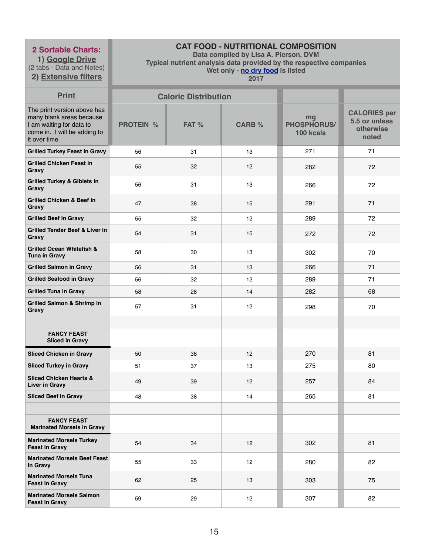**1) Google Drive** (2 tabs - Data and Notes)

# **2) Extensive filters**

# **CAT FOOD - NUTRITIONAL COMPOSITION**

**Data compiled by Lisa A. Pierson, DVM** 

**Typical nutrient analysis data provided by the respective companies** 

**Wet only - no dry food is listed** 

| <b>Print</b>                                                                                                                         |                  | <b>Caloric Distribution</b> |               |                                       |                                                            |
|--------------------------------------------------------------------------------------------------------------------------------------|------------------|-----------------------------|---------------|---------------------------------------|------------------------------------------------------------|
| The print version above has<br>many blank areas because<br>I am waiting for data to<br>come in. I will be adding to<br>it over time. | <b>PROTEIN %</b> | FAT %                       | <b>CARB %</b> | mg<br><b>PHOSPHORUS/</b><br>100 kcals | <b>CALORIES per</b><br>5.5 oz unless<br>otherwise<br>noted |
| <b>Grilled Turkey Feast in Gravy</b>                                                                                                 | 56               | 31                          | 13            | 271                                   | 71                                                         |
| <b>Grilled Chicken Feast in</b><br>Gravy                                                                                             | 55               | 32                          | 12            | 282                                   | 72                                                         |
| <b>Grilled Turkey &amp; Giblets in</b><br>Gravy                                                                                      | 56               | 31                          | 13            | 266                                   | 72                                                         |
| <b>Grilled Chicken &amp; Beef in</b><br>Gravy                                                                                        | 47               | 38                          | 15            | 291                                   | 71                                                         |
| <b>Grilled Beef in Gravy</b>                                                                                                         | 55               | 32                          | 12            | 289                                   | 72                                                         |
| <b>Grilled Tender Beef &amp; Liver in</b><br>Gravy                                                                                   | 54               | 31                          | 15            | 272                                   | 72                                                         |
| <b>Grilled Ocean Whitefish &amp;</b><br><b>Tuna in Gravy</b>                                                                         | 58               | 30                          | 13            | 302                                   | 70                                                         |
| <b>Grilled Salmon in Gravy</b>                                                                                                       | 56               | 31                          | 13            | 266                                   | 71                                                         |
| <b>Grilled Seafood in Gravy</b>                                                                                                      | 56               | 32                          | 12            | 289                                   | 71                                                         |
| <b>Grilled Tuna in Gravy</b>                                                                                                         | 58               | 28                          | 14            | 282                                   | 68                                                         |
| <b>Grilled Salmon &amp; Shrimp in</b><br>Gravy                                                                                       | 57               | 31                          | 12            | 298                                   | 70                                                         |
|                                                                                                                                      |                  |                             |               |                                       |                                                            |
| <b>FANCY FEAST</b><br><b>Sliced in Gravy</b>                                                                                         |                  |                             |               |                                       |                                                            |
| <b>Sliced Chicken in Gravy</b>                                                                                                       | 50               | 38                          | 12            | 270                                   | 81                                                         |
| <b>Sliced Turkey in Gravy</b>                                                                                                        | 51               | 37                          | 13            | 275                                   | 80                                                         |
| <b>Sliced Chicken Hearts &amp;</b><br><b>Liver in Gravy</b>                                                                          | 49               | 39                          | 12            | 257                                   | 84                                                         |
| <b>Sliced Beef in Gravy</b>                                                                                                          | 48               | 38                          | 14            | 265                                   | 81                                                         |
|                                                                                                                                      |                  |                             |               |                                       |                                                            |
| <b>FANCY FEAST</b><br><b>Marinated Morsels in Gravy</b>                                                                              |                  |                             |               |                                       |                                                            |
| <b>Marinated Morsels Turkey</b><br><b>Feast in Gravy</b>                                                                             | 54               | 34                          | 12            | 302                                   | 81                                                         |
| <b>Marinated Morsels Beef Feast</b><br>in Gravy                                                                                      | 55               | 33                          | 12            | 280                                   | 82                                                         |
| <b>Marinated Morsels Tuna</b><br><b>Feast in Gravy</b>                                                                               | 62               | 25                          | 13            | 303                                   | 75                                                         |
| <b>Marinated Morsels Salmon</b><br><b>Feast in Gravy</b>                                                                             | 59               | 29                          | 12            | 307                                   | 82                                                         |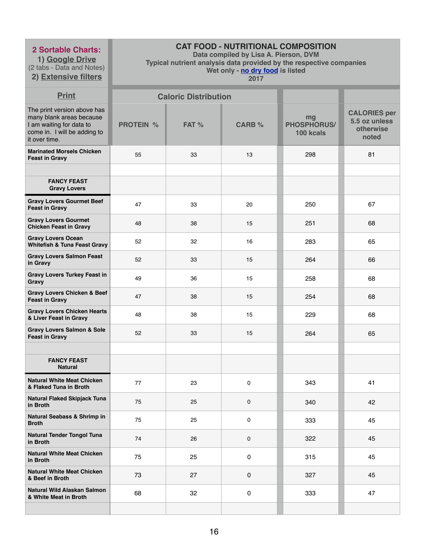**1) Google Drive** (2 tabs - Data and Notes)

**2) Extensive filters**

# **CAT FOOD - NUTRITIONAL COMPOSITION**

**Data compiled by Lisa A. Pierson, DVM** 

**Typical nutrient analysis data provided by the respective companies** 

**Wet only - no dry food is listed** 

| <b>Print</b>                                                                                                                         |                  | <b>Caloric Distribution</b> |               |                                       |                                                            |
|--------------------------------------------------------------------------------------------------------------------------------------|------------------|-----------------------------|---------------|---------------------------------------|------------------------------------------------------------|
| The print version above has<br>many blank areas because<br>I am waiting for data to<br>come in. I will be adding to<br>it over time. | <b>PROTEIN %</b> | FAT %                       | <b>CARB %</b> | mg<br><b>PHOSPHORUS/</b><br>100 kcals | <b>CALORIES per</b><br>5.5 oz unless<br>otherwise<br>noted |
| <b>Marinated Morsels Chicken</b><br><b>Feast in Gravy</b>                                                                            | 55               | 33                          | 13            | 298                                   | 81                                                         |
|                                                                                                                                      |                  |                             |               |                                       |                                                            |
| <b>FANCY FEAST</b><br><b>Gravy Lovers</b>                                                                                            |                  |                             |               |                                       |                                                            |
| <b>Gravy Lovers Gourmet Beef</b><br><b>Feast in Gravy</b>                                                                            | 47               | 33                          | 20            | 250                                   | 67                                                         |
| <b>Gravy Lovers Gourmet</b><br><b>Chicken Feast in Gravy</b>                                                                         | 48               | 38                          | 15            | 251                                   | 68                                                         |
| <b>Gravy Lovers Ocean</b><br><b>Whitefish &amp; Tuna Feast Gravy</b>                                                                 | 52               | 32                          | 16            | 283                                   | 65                                                         |
| <b>Gravy Lovers Salmon Feast</b><br>in Gravy                                                                                         | 52               | 33                          | 15            | 264                                   | 66                                                         |
| <b>Gravy Lovers Turkey Feast in</b><br>Gravy                                                                                         | 49               | 36                          | 15            | 258                                   | 68                                                         |
| <b>Gravy Lovers Chicken &amp; Beef</b><br><b>Feast in Gravy</b>                                                                      | 47               | 38                          | 15            | 254                                   | 68                                                         |
| <b>Gravy Lovers Chicken Hearts</b><br>& Liver Feast in Gravy                                                                         | 48               | 38                          | 15            | 229                                   | 68                                                         |
| <b>Gravy Lovers Salmon &amp; Sole</b><br><b>Feast in Gravy</b>                                                                       | 52               | 33                          | 15            | 264                                   | 65                                                         |
|                                                                                                                                      |                  |                             |               |                                       |                                                            |
| <b>FANCY FEAST</b><br><b>Natural</b>                                                                                                 |                  |                             |               |                                       |                                                            |
| <b>Natural White Meat Chicken</b><br>& Flaked Tuna in Broth                                                                          | 77               | 23                          | 0             | 343                                   | 41                                                         |
| <b>Natural Flaked Skipjack Tuna</b><br>in Broth                                                                                      | 75               | 25                          | 0             | 340                                   | 42                                                         |
| <b>Natural Seabass &amp; Shrimp in</b><br><b>Broth</b>                                                                               | 75               | 25                          | 0             | 333                                   | 45                                                         |
| <b>Natural Tender Tongol Tuna</b><br>in Broth                                                                                        | 74               | 26                          | 0             | 322                                   | 45                                                         |
| <b>Natural White Meat Chicken</b><br>in Broth                                                                                        | 75               | 25                          | 0             | 315                                   | 45                                                         |
| <b>Natural White Meat Chicken</b><br>& Beef in Broth                                                                                 | 73               | 27                          | 0             | 327                                   | 45                                                         |
| Natural Wild Alaskan Salmon<br>& White Meat in Broth                                                                                 | 68               | 32                          | 0             | 333                                   | 47                                                         |
|                                                                                                                                      |                  |                             |               |                                       |                                                            |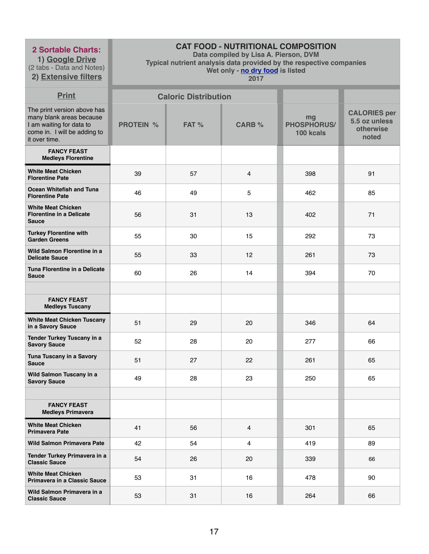**1) Google Drive** (2 tabs - Data and Notes)

# **2) Extensive filters**

# **CAT FOOD - NUTRITIONAL COMPOSITION**

**Data compiled by Lisa A. Pierson, DVM** 

**Typical nutrient analysis data provided by the respective companies** 

**Wet only - no dry food is listed** 

| <b>Print</b>                                                                                                                         |                  | <b>Caloric Distribution</b> |                         |                                       |                                                            |
|--------------------------------------------------------------------------------------------------------------------------------------|------------------|-----------------------------|-------------------------|---------------------------------------|------------------------------------------------------------|
| The print version above has<br>many blank areas because<br>I am waiting for data to<br>come in. I will be adding to<br>it over time. | <b>PROTEIN %</b> | FAT %                       | <b>CARB %</b>           | mg<br><b>PHOSPHORUS/</b><br>100 kcals | <b>CALORIES per</b><br>5.5 oz unless<br>otherwise<br>noted |
| <b>FANCY FEAST</b><br><b>Medleys Florentine</b>                                                                                      |                  |                             |                         |                                       |                                                            |
| <b>White Meat Chicken</b><br><b>Florentine Pate</b>                                                                                  | 39               | 57                          | 4                       | 398                                   | 91                                                         |
| <b>Ocean Whitefish and Tuna</b><br><b>Florentine Pate</b>                                                                            | 46               | 49                          | 5                       | 462                                   | 85                                                         |
| <b>White Meat Chicken</b><br><b>Florentine in a Delicate</b><br><b>Sauce</b>                                                         | 56               | 31                          | 13                      | 402                                   | 71                                                         |
| <b>Turkey Florentine with</b><br><b>Garden Greens</b>                                                                                | 55               | 30                          | 15                      | 292                                   | 73                                                         |
| Wild Salmon Florentine in a<br><b>Delicate Sauce</b>                                                                                 | 55               | 33                          | 12                      | 261                                   | 73                                                         |
| Tuna Florentine in a Delicate<br><b>Sauce</b>                                                                                        | 60               | 26                          | 14                      | 394                                   | 70                                                         |
|                                                                                                                                      |                  |                             |                         |                                       |                                                            |
| <b>FANCY FEAST</b><br><b>Medleys Tuscany</b>                                                                                         |                  |                             |                         |                                       |                                                            |
| <b>White Meat Chicken Tuscany</b><br>in a Savory Sauce                                                                               | 51               | 29                          | 20                      | 346                                   | 64                                                         |
| Tender Turkey Tuscany in a<br><b>Savory Sauce</b>                                                                                    | 52               | 28                          | 20                      | 277                                   | 66                                                         |
| Tuna Tuscany in a Savory<br><b>Sauce</b>                                                                                             | 51               | 27                          | 22                      | 261                                   | 65                                                         |
| Wild Salmon Tuscany in a<br><b>Savory Sauce</b>                                                                                      | 49               | 28                          | 23                      | 250                                   | 65                                                         |
|                                                                                                                                      |                  |                             |                         |                                       |                                                            |
| <b>FANCY FEAST</b><br><b>Medleys Primavera</b>                                                                                       |                  |                             |                         |                                       |                                                            |
| <b>White Meat Chicken</b><br><b>Primavera Pate</b>                                                                                   | 41               | 56                          | $\overline{4}$          | 301                                   | 65                                                         |
| <b>Wild Salmon Primavera Pate</b>                                                                                                    | 42               | 54                          | $\overline{\mathbf{4}}$ | 419                                   | 89                                                         |
| Tender Turkey Primavera in a<br><b>Classic Sauce</b>                                                                                 | 54               | 26                          | 20                      | 339                                   | 66                                                         |
| <b>White Meat Chicken</b><br><b>Primavera in a Classic Sauce</b>                                                                     | 53               | 31                          | 16                      | 478                                   | 90                                                         |
| Wild Salmon Primavera in a<br><b>Classic Sauce</b>                                                                                   | 53               | 31                          | 16                      | 264                                   | 66                                                         |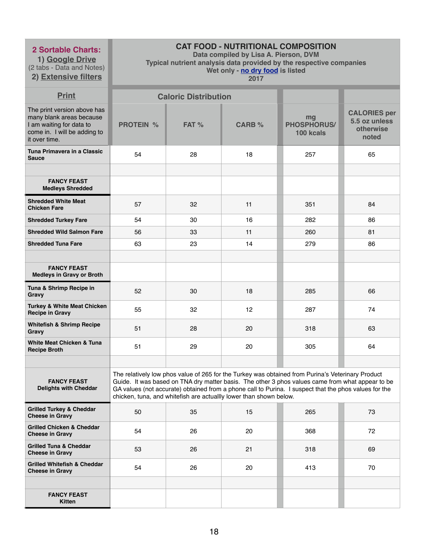**1) Google Drive** (2 tabs - Data and Notes)

**2) Extensive filters**

# **CAT FOOD - NUTRITIONAL COMPOSITION**

**Data compiled by Lisa A. Pierson, DVM** 

**Typical nutrient analysis data provided by the respective companies** 

**Wet only - no dry food is listed** 

| <b>Print</b>                                                                                                                         |                  | <b>Caloric Distribution</b> |                                                                    |                                                                                                                                                                                                                                                                                                                |                                                            |
|--------------------------------------------------------------------------------------------------------------------------------------|------------------|-----------------------------|--------------------------------------------------------------------|----------------------------------------------------------------------------------------------------------------------------------------------------------------------------------------------------------------------------------------------------------------------------------------------------------------|------------------------------------------------------------|
| The print version above has<br>many blank areas because<br>I am waiting for data to<br>come in. I will be adding to<br>it over time. | <b>PROTEIN %</b> | FAT %                       | <b>CARB %</b>                                                      | mg<br><b>PHOSPHORUS/</b><br>100 kcals                                                                                                                                                                                                                                                                          | <b>CALORIES per</b><br>5.5 oz unless<br>otherwise<br>noted |
| Tuna Primavera in a Classic<br><b>Sauce</b>                                                                                          | 54               | 28                          | 18                                                                 | 257                                                                                                                                                                                                                                                                                                            | 65                                                         |
|                                                                                                                                      |                  |                             |                                                                    |                                                                                                                                                                                                                                                                                                                |                                                            |
| <b>FANCY FEAST</b><br><b>Medleys Shredded</b>                                                                                        |                  |                             |                                                                    |                                                                                                                                                                                                                                                                                                                |                                                            |
| <b>Shredded White Meat</b><br><b>Chicken Fare</b>                                                                                    | 57               | 32                          | 11                                                                 | 351                                                                                                                                                                                                                                                                                                            | 84                                                         |
| <b>Shredded Turkey Fare</b>                                                                                                          | 54               | 30                          | 16                                                                 | 282                                                                                                                                                                                                                                                                                                            | 86                                                         |
| <b>Shredded Wild Salmon Fare</b>                                                                                                     | 56               | 33                          | 11                                                                 | 260                                                                                                                                                                                                                                                                                                            | 81                                                         |
| <b>Shredded Tuna Fare</b>                                                                                                            | 63               | 23                          | 14                                                                 | 279                                                                                                                                                                                                                                                                                                            | 86                                                         |
|                                                                                                                                      |                  |                             |                                                                    |                                                                                                                                                                                                                                                                                                                |                                                            |
| <b>FANCY FEAST</b><br><b>Medleys in Gravy or Broth</b>                                                                               |                  |                             |                                                                    |                                                                                                                                                                                                                                                                                                                |                                                            |
| Tuna & Shrimp Recipe in<br>Gravy                                                                                                     | 52               | 30                          | 18                                                                 | 285                                                                                                                                                                                                                                                                                                            | 66                                                         |
| <b>Turkey &amp; White Meat Chicken</b><br><b>Recipe in Gravy</b>                                                                     | 55               | 32                          | 12                                                                 | 287                                                                                                                                                                                                                                                                                                            | 74                                                         |
| <b>Whitefish &amp; Shrimp Recipe</b><br>Gravy                                                                                        | 51               | 28                          | 20                                                                 | 318                                                                                                                                                                                                                                                                                                            | 63                                                         |
| <b>White Meat Chicken &amp; Tuna</b><br><b>Recipe Broth</b>                                                                          | 51               | 29                          | 20                                                                 | 305                                                                                                                                                                                                                                                                                                            | 64                                                         |
|                                                                                                                                      |                  |                             |                                                                    |                                                                                                                                                                                                                                                                                                                |                                                            |
| <b>FANCY FEAST</b><br><b>Delights with Cheddar</b>                                                                                   |                  |                             | chicken, tuna, and whitefish are actuallly lower than shown below. | The relatively low phos value of 265 for the Turkey was obtained from Purina's Veterinary Product<br>Guide. It was based on TNA dry matter basis. The other 3 phos values came from what appear to be<br>GA values (not accurate) obtained from a phone call to Purina. I suspect that the phos values for the |                                                            |
| <b>Grilled Turkey &amp; Cheddar</b><br><b>Cheese in Gravy</b>                                                                        | 50               | 35                          | 15                                                                 | 265                                                                                                                                                                                                                                                                                                            | 73                                                         |
| <b>Grilled Chicken &amp; Cheddar</b><br><b>Cheese in Gravy</b>                                                                       | 54               | 26                          | 20                                                                 | 368                                                                                                                                                                                                                                                                                                            | 72                                                         |
| <b>Grilled Tuna &amp; Cheddar</b><br><b>Cheese in Gravy</b>                                                                          | 53               | 26                          | 21                                                                 | 318                                                                                                                                                                                                                                                                                                            | 69                                                         |
| <b>Grilled Whitefish &amp; Cheddar</b><br><b>Cheese in Gravy</b>                                                                     | 54               | 26                          | 20                                                                 | 413                                                                                                                                                                                                                                                                                                            | 70                                                         |
|                                                                                                                                      |                  |                             |                                                                    |                                                                                                                                                                                                                                                                                                                |                                                            |
| <b>FANCY FEAST</b><br><b>Kitten</b>                                                                                                  |                  |                             |                                                                    |                                                                                                                                                                                                                                                                                                                |                                                            |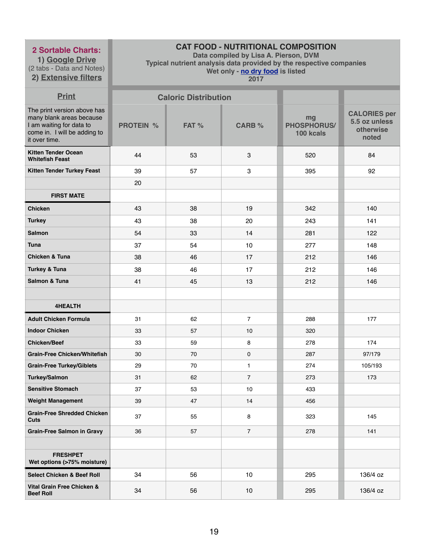**1) Google Drive** (2 tabs - Data and Notes) **2) Extensive filters**

# **CAT FOOD - NUTRITIONAL COMPOSITION**

**Data compiled by Lisa A. Pierson, DVM** 

**Typical nutrient analysis data provided by the respective companies** 

**Wet only - no dry food is listed** 

| <b>Print</b>                                                                                                                         |                  | <b>Caloric Distribution</b> |                |                                |                                                            |
|--------------------------------------------------------------------------------------------------------------------------------------|------------------|-----------------------------|----------------|--------------------------------|------------------------------------------------------------|
| The print version above has<br>many blank areas because<br>I am waiting for data to<br>come in. I will be adding to<br>it over time. | <b>PROTEIN %</b> | FAT %                       | <b>CARB %</b>  | mg<br>PHOSPHORUS/<br>100 kcals | <b>CALORIES per</b><br>5.5 oz unless<br>otherwise<br>noted |
| <b>Kitten Tender Ocean</b><br><b>Whitefish Feast</b>                                                                                 | 44               | 53                          | 3              | 520                            | 84                                                         |
| <b>Kitten Tender Turkey Feast</b>                                                                                                    | 39               | 57                          | $\mathbf{3}$   | 395                            | 92                                                         |
|                                                                                                                                      | 20               |                             |                |                                |                                                            |
| <b>FIRST MATE</b>                                                                                                                    |                  |                             |                |                                |                                                            |
| <b>Chicken</b>                                                                                                                       | 43               | 38                          | 19             | 342                            | 140                                                        |
| <b>Turkey</b>                                                                                                                        | 43               | 38                          | 20             | 243                            | 141                                                        |
| <b>Salmon</b>                                                                                                                        | 54               | 33                          | 14             | 281                            | 122                                                        |
| <b>Tuna</b>                                                                                                                          | 37               | 54                          | 10             | 277                            | 148                                                        |
| <b>Chicken &amp; Tuna</b>                                                                                                            | 38               | 46                          | 17             | 212                            | 146                                                        |
| <b>Turkey &amp; Tuna</b>                                                                                                             | 38               | 46                          | 17             | 212                            | 146                                                        |
| Salmon & Tuna                                                                                                                        | 41               | 45                          | 13             | 212                            | 146                                                        |
|                                                                                                                                      |                  |                             |                |                                |                                                            |
| <b>4HEALTH</b>                                                                                                                       |                  |                             |                |                                |                                                            |
| <b>Adult Chicken Formula</b>                                                                                                         | 31               | 62                          | $\overline{7}$ | 288                            | 177                                                        |
| <b>Indoor Chicken</b>                                                                                                                | 33               | 57                          | 10             | 320                            |                                                            |
| <b>Chicken/Beef</b>                                                                                                                  | 33               | 59                          | 8              | 278                            | 174                                                        |
| <b>Grain-Free Chicken/Whitefish</b>                                                                                                  | 30               | 70                          | $\mathbf 0$    | 287                            | 97/179                                                     |
| <b>Grain-Free Turkey/Giblets</b>                                                                                                     | 29               | 70                          | $\mathbf{1}$   | 274                            | 105/193                                                    |
| <b>Turkey/Salmon</b>                                                                                                                 | 31               | 62                          | $\overline{7}$ | 273                            | 173                                                        |
| <b>Sensitive Stomach</b>                                                                                                             | 37               | 53                          | $10$           | 433                            |                                                            |
| <b>Weight Management</b>                                                                                                             | 39               | 47                          | 14             | 456                            |                                                            |
| <b>Grain-Free Shredded Chicken</b><br><b>Cuts</b>                                                                                    | 37               | 55                          | 8              | 323                            | 145                                                        |
| <b>Grain-Free Salmon in Gravy</b>                                                                                                    | 36               | 57                          | $\overline{7}$ | 278                            | 141                                                        |
|                                                                                                                                      |                  |                             |                |                                |                                                            |
| <b>FRESHPET</b><br>Wet options (>75% moisture)                                                                                       |                  |                             |                |                                |                                                            |
| <b>Select Chicken &amp; Beef Roll</b>                                                                                                | 34               | 56                          | 10             | 295                            | 136/4 oz                                                   |
| <b>Vital Grain Free Chicken &amp;</b><br><b>Beef Roll</b>                                                                            | 34               | 56                          | 10             | 295                            | 136/4 oz                                                   |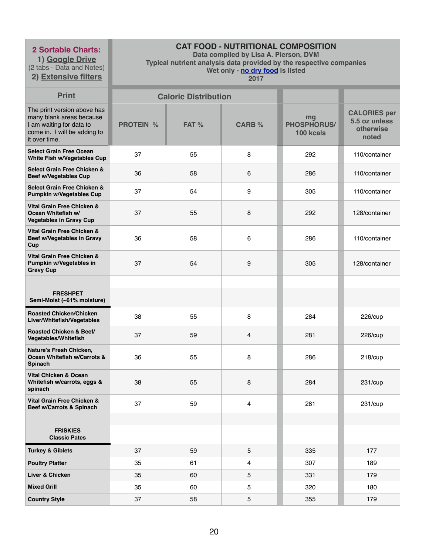**1) Google Drive** (2 tabs - Data and Notes) **2) Extensive filters**

# **CAT FOOD - NUTRITIONAL COMPOSITION**

**Data compiled by Lisa A. Pierson, DVM** 

**Typical nutrient analysis data provided by the respective companies** 

**Wet only - no dry food is listed** 

| <b>Print</b>                                                                                                                         |                  | <b>Caloric Distribution</b> |               |                                       |                                                            |
|--------------------------------------------------------------------------------------------------------------------------------------|------------------|-----------------------------|---------------|---------------------------------------|------------------------------------------------------------|
| The print version above has<br>many blank areas because<br>I am waiting for data to<br>come in. I will be adding to<br>it over time. | <b>PROTEIN %</b> | FAT %                       | <b>CARB %</b> | mg<br><b>PHOSPHORUS/</b><br>100 kcals | <b>CALORIES per</b><br>5.5 oz unless<br>otherwise<br>noted |
| <b>Select Grain Free Ocean</b><br>White Fish w/Vegetables Cup                                                                        | 37               | 55                          | 8             | 292                                   | 110/container                                              |
| Select Grain Free Chicken &<br><b>Beef w/Vegetables Cup</b>                                                                          | 36               | 58                          | 6             | 286                                   | 110/container                                              |
| <b>Select Grain Free Chicken &amp;</b><br><b>Pumpkin w/Vegetables Cup</b>                                                            | 37               | 54                          | 9             | 305                                   | 110/container                                              |
| Vital Grain Free Chicken &<br>Ocean Whitefish w/<br><b>Vegetables in Gravy Cup</b>                                                   | 37               | 55                          | 8             | 292                                   | 128/container                                              |
| Vital Grain Free Chicken &<br>Beef w/Vegetables in Gravy<br>Cup                                                                      | 36               | 58                          | 6             | 286                                   | 110/container                                              |
| Vital Grain Free Chicken &<br>Pumpkin w/Vegetables in<br><b>Gravy Cup</b>                                                            | 37               | 54                          | 9             | 305                                   | 128/container                                              |
|                                                                                                                                      |                  |                             |               |                                       |                                                            |
| <b>FRESHPET</b><br>Semi-Moist (~61% moisture)                                                                                        |                  |                             |               |                                       |                                                            |
| <b>Roasted Chicken/Chicken</b><br>Liver/Whitefish/Vegetables                                                                         | 38               | 55                          | 8             | 284                                   | 226/cup                                                    |
| Roasted Chicken & Beef/<br><b>Vegetables/Whitefish</b>                                                                               | 37               | 59                          | 4             | 281                                   | 226/cup                                                    |
| Nature's Fresh Chicken,<br>Ocean Whitefish w/Carrots &<br><b>Spinach</b>                                                             | 36               | 55                          | 8             | 286                                   | 218/cup                                                    |
| <b>Vital Chicken &amp; Ocean</b><br>Whitefish w/carrots, eggs &<br>spinach                                                           | 38               | 55                          | 8             | 284                                   | 231/cup                                                    |
| Vital Grain Free Chicken &<br>Beef w/Carrots & Spinach                                                                               | 37               | 59                          | 4             | 281                                   | 231/cup                                                    |
|                                                                                                                                      |                  |                             |               |                                       |                                                            |
| <b>FRISKIES</b><br><b>Classic Pates</b>                                                                                              |                  |                             |               |                                       |                                                            |
| <b>Turkey &amp; Giblets</b>                                                                                                          | 37               | 59                          | 5             | 335                                   | 177                                                        |
| <b>Poultry Platter</b>                                                                                                               | 35               | 61                          | 4             | 307                                   | 189                                                        |
| Liver & Chicken                                                                                                                      | 35               | 60                          | 5             | 331                                   | 179                                                        |
| <b>Mixed Grill</b>                                                                                                                   | 35               | 60                          | 5             | 320                                   | 180                                                        |
| <b>Country Style</b>                                                                                                                 | 37               | 58                          | 5             | 355                                   | 179                                                        |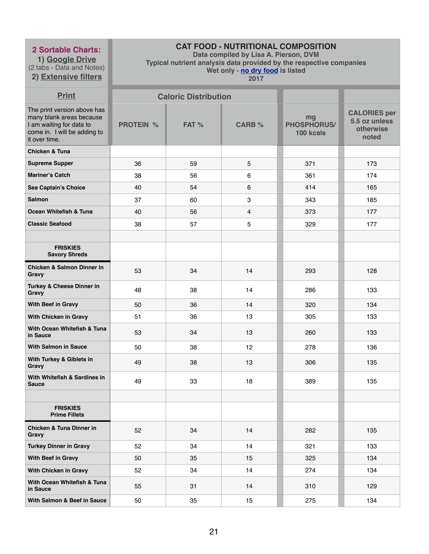**1) Google Drive** (2 tabs - Data and Notes) **2) Extensive filters**

# **CAT FOOD - NUTRITIONAL COMPOSITION**

**Data compiled by Lisa A. Pierson, DVM** 

**Typical nutrient analysis data provided by the respective companies** 

**Wet only - no dry food is listed** 

| <b>Print</b>                                                                                                                         |                  | <b>Caloric Distribution</b> |                |                                       |                                                            |
|--------------------------------------------------------------------------------------------------------------------------------------|------------------|-----------------------------|----------------|---------------------------------------|------------------------------------------------------------|
| The print version above has<br>many blank areas because<br>I am waiting for data to<br>come in. I will be adding to<br>it over time. | <b>PROTEIN %</b> | FAT %                       | <b>CARB %</b>  | mg<br><b>PHOSPHORUS/</b><br>100 kcals | <b>CALORIES per</b><br>5.5 oz unless<br>otherwise<br>noted |
| <b>Chicken &amp; Tuna</b>                                                                                                            |                  |                             |                |                                       |                                                            |
| <b>Supreme Supper</b>                                                                                                                | 36               | 59                          | 5              | 371                                   | 173                                                        |
| <b>Mariner's Catch</b>                                                                                                               | 38               | 56                          | 6              | 361                                   | 174                                                        |
| Sea Captain's Choice                                                                                                                 | 40               | 54                          | 6              | 414                                   | 165                                                        |
| <b>Salmon</b>                                                                                                                        | 37               | 60                          | 3              | 343                                   | 185                                                        |
| Ocean Whitefish & Tuna                                                                                                               | 40               | 56                          | $\overline{4}$ | 373                                   | 177                                                        |
| <b>Classic Seafood</b>                                                                                                               | 38               | 57                          | $\overline{5}$ | 329                                   | 177                                                        |
|                                                                                                                                      |                  |                             |                |                                       |                                                            |
| <b>FRISKIES</b><br><b>Savory Shreds</b>                                                                                              |                  |                             |                |                                       |                                                            |
| <b>Chicken &amp; Salmon Dinner in</b><br>Gravy                                                                                       | 53               | 34                          | 14             | 293                                   | 128                                                        |
| Turkey & Cheese Dinner in<br><b>Gravy</b>                                                                                            | 48               | 38                          | 14             | 286                                   | 133                                                        |
| With Beef in Gravy                                                                                                                   | 50               | 36                          | 14             | 320                                   | 134                                                        |
| With Chicken in Gravy                                                                                                                | 51               | 36                          | 13             | 305                                   | 133                                                        |
| With Ocean Whitefish & Tuna<br>in Sauce                                                                                              | 53               | 34                          | 13             | 260                                   | 133                                                        |
| <b>With Salmon in Sauce</b>                                                                                                          | 50               | 38                          | 12             | 278                                   | 136                                                        |
| With Turkey & Giblets in<br>Gravy                                                                                                    | 49               | 38                          | 13             | 306                                   | 135                                                        |
| With Whitefish & Sardines in<br><b>Sauce</b>                                                                                         | 49               | 33                          | 18             | 389                                   | 135                                                        |
|                                                                                                                                      |                  |                             |                |                                       |                                                            |
| <b>FRISKIES</b><br><b>Prime Fillets</b>                                                                                              |                  |                             |                |                                       |                                                            |
| <b>Chicken &amp; Tuna Dinner in</b><br>Gravy                                                                                         | 52               | 34                          | 14             | 282                                   | 135                                                        |
| <b>Turkey Dinner in Gravy</b>                                                                                                        | 52               | 34                          | 14             | 321                                   | 133                                                        |
| With Beef in Gravy                                                                                                                   | 50               | 35                          | 15             | 325                                   | 134                                                        |
| With Chicken in Gravy                                                                                                                | 52               | 34                          | 14             | 274                                   | 134                                                        |
| With Ocean Whitefish & Tuna<br>in Sauce                                                                                              | 55               | 31                          | 14             | 310                                   | 129                                                        |
| With Salmon & Beef in Sauce                                                                                                          | 50               | 35                          | 15             | 275                                   | 134                                                        |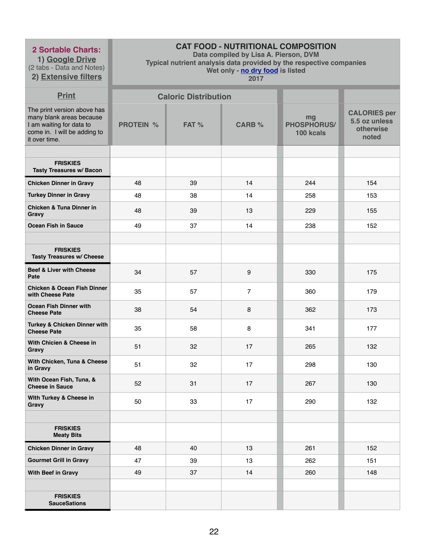**1) Google Drive** (2 tabs - Data and Notes)

# **2) Extensive filters**

# **CAT FOOD - NUTRITIONAL COMPOSITION**

**Data compiled by Lisa A. Pierson, DVM** 

**Typical nutrient analysis data provided by the respective companies** 

**Wet only - no dry food is listed** 

| <b>Print</b>                                                                                                                         |                  | <b>Caloric Distribution</b> |                |                                       |                                                            |
|--------------------------------------------------------------------------------------------------------------------------------------|------------------|-----------------------------|----------------|---------------------------------------|------------------------------------------------------------|
| The print version above has<br>many blank areas because<br>I am waiting for data to<br>come in. I will be adding to<br>it over time. | <b>PROTEIN %</b> | FAT %                       | <b>CARB %</b>  | mg<br><b>PHOSPHORUS/</b><br>100 kcals | <b>CALORIES per</b><br>5.5 oz unless<br>otherwise<br>noted |
|                                                                                                                                      |                  |                             |                |                                       |                                                            |
| <b>FRISKIES</b><br><b>Tasty Treasures w/ Bacon</b>                                                                                   |                  |                             |                |                                       |                                                            |
| <b>Chicken Dinner in Gravy</b>                                                                                                       | 48               | 39                          | 14             | 244                                   | 154                                                        |
| <b>Turkey Dinner in Gravy</b>                                                                                                        | 48               | 38                          | 14             | 258                                   | 153                                                        |
| <b>Chicken &amp; Tuna Dinner in</b><br>Gravy                                                                                         | 48               | 39                          | 13             | 229                                   | 155                                                        |
| <b>Ocean Fish in Sauce</b>                                                                                                           | 49               | 37                          | 14             | 238                                   | 152                                                        |
|                                                                                                                                      |                  |                             |                |                                       |                                                            |
| <b>FRISKIES</b><br><b>Tasty Treasures w/ Cheese</b>                                                                                  |                  |                             |                |                                       |                                                            |
| <b>Beef &amp; Liver with Cheese</b><br>Pate                                                                                          | 34               | 57                          | 9              | 330                                   | 175                                                        |
| <b>Chicken &amp; Ocean Fish Dinner</b><br>with Cheese Pate                                                                           | 35               | 57                          | $\overline{7}$ | 360                                   | 179                                                        |
| <b>Ocean Fish Dinner with</b><br><b>Cheese Pate</b>                                                                                  | 38               | 54                          | 8              | 362                                   | 173                                                        |
| Turkey & Chicken Dinner with<br><b>Cheese Pate</b>                                                                                   | 35               | 58                          | 8              | 341                                   | 177                                                        |
| With Chicien & Cheese in<br>Gravy                                                                                                    | 51               | 32                          | 17             | 265                                   | 132                                                        |
| With Chicken, Tuna & Cheese<br>in Gravy                                                                                              | 51               | 32                          | 17             | 298                                   | 130                                                        |
| With Ocean Fish, Tuna, &<br><b>Cheese in Sauce</b>                                                                                   | 52               | 31                          | 17             | 267                                   | 130                                                        |
| With Turkey & Cheese in<br>Gravy                                                                                                     | 50               | 33                          | 17             | 290                                   | 132                                                        |
|                                                                                                                                      |                  |                             |                |                                       |                                                            |
| <b>FRISKIES</b><br><b>Meaty Bits</b>                                                                                                 |                  |                             |                |                                       |                                                            |
| <b>Chicken Dinner in Gravy</b>                                                                                                       | 48               | 40                          | 13             | 261                                   | 152                                                        |
| <b>Gourmet Grill in Gravy</b>                                                                                                        | 47               | 39                          | 13             | 262                                   | 151                                                        |
| With Beef in Gravy                                                                                                                   | 49               | 37                          | 14             | 260                                   | 148                                                        |
|                                                                                                                                      |                  |                             |                |                                       |                                                            |
| <b>FRISKIES</b><br><b>SauceSations</b>                                                                                               |                  |                             |                |                                       |                                                            |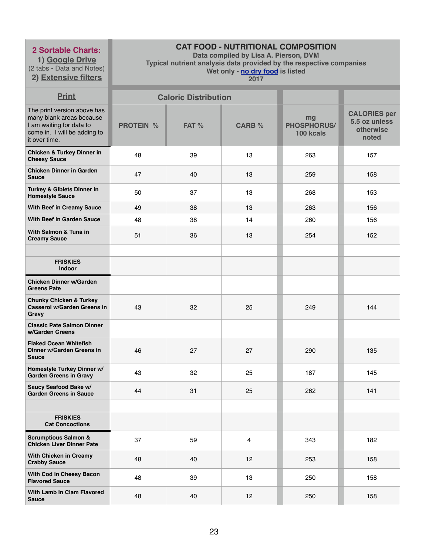**1) Google Drive** (2 tabs - Data and Notes) **2) Extensive filters**

# **CAT FOOD - NUTRITIONAL COMPOSITION**

**Data compiled by Lisa A. Pierson, DVM** 

**Typical nutrient analysis data provided by the respective companies** 

**Wet only - no dry food is listed** 

| <b>Print</b>                                                                                                                         |                  | <b>Caloric Distribution</b> |                |                                       |                                                            |
|--------------------------------------------------------------------------------------------------------------------------------------|------------------|-----------------------------|----------------|---------------------------------------|------------------------------------------------------------|
| The print version above has<br>many blank areas because<br>I am waiting for data to<br>come in. I will be adding to<br>it over time. | <b>PROTEIN %</b> | FAT %                       | <b>CARB %</b>  | mg<br><b>PHOSPHORUS/</b><br>100 kcals | <b>CALORIES per</b><br>5.5 oz unless<br>otherwise<br>noted |
| <b>Chicken &amp; Turkey Dinner in</b><br><b>Cheesy Sauce</b>                                                                         | 48               | 39                          | 13             | 263                                   | 157                                                        |
| <b>Chicken Dinner in Garden</b><br><b>Sauce</b>                                                                                      | 47               | 40                          | 13             | 259                                   | 158                                                        |
| Turkey & Giblets Dinner in<br><b>Homestyle Sauce</b>                                                                                 | 50               | 37                          | 13             | 268                                   | 153                                                        |
| <b>With Beef in Creamy Sauce</b>                                                                                                     | 49               | 38                          | 13             | 263                                   | 156                                                        |
| <b>With Beef in Garden Sauce</b>                                                                                                     | 48               | 38                          | 14             | 260                                   | 156                                                        |
| With Salmon & Tuna in<br><b>Creamy Sauce</b>                                                                                         | 51               | 36                          | 13             | 254                                   | 152                                                        |
|                                                                                                                                      |                  |                             |                |                                       |                                                            |
| <b>FRISKIES</b><br>Indoor                                                                                                            |                  |                             |                |                                       |                                                            |
| <b>Chicken Dinner w/Garden</b><br><b>Greens Pate</b>                                                                                 |                  |                             |                |                                       |                                                            |
| <b>Chunky Chicken &amp; Turkey</b><br><b>Casserol w/Garden Greens in</b><br>Gravy                                                    | 43               | 32                          | 25             | 249                                   | 144                                                        |
| <b>Classic Pate Salmon Dinner</b><br>w/Garden Greens                                                                                 |                  |                             |                |                                       |                                                            |
| <b>Flaked Ocean Whitefish</b><br>Dinner w/Garden Greens in<br><b>Sauce</b>                                                           | 46               | 27                          | 27             | 290                                   | 135                                                        |
| Homestyle Turkey Dinner w/<br><b>Garden Greens in Gravy</b>                                                                          | 43               | 32                          | 25             | 187                                   | 145                                                        |
| Saucy Seafood Bake w/<br><b>Garden Greens in Sauce</b>                                                                               | 44               | 31                          | 25             | 262                                   | 141                                                        |
|                                                                                                                                      |                  |                             |                |                                       |                                                            |
| <b>FRISKIES</b><br><b>Cat Concoctions</b>                                                                                            |                  |                             |                |                                       |                                                            |
| <b>Scrumptious Salmon &amp;</b><br><b>Chicken Liver Dinner Pate</b>                                                                  | 37               | 59                          | $\overline{4}$ | 343                                   | 182                                                        |
| With Chicken in Creamy<br><b>Crabby Sauce</b>                                                                                        | 48               | 40                          | 12             | 253                                   | 158                                                        |
| With Cod in Cheesy Bacon<br><b>Flavored Sauce</b>                                                                                    | 48               | 39                          | 13             | 250                                   | 158                                                        |
| With Lamb in Clam Flavored<br><b>Sauce</b>                                                                                           | 48               | 40                          | 12             | 250                                   | 158                                                        |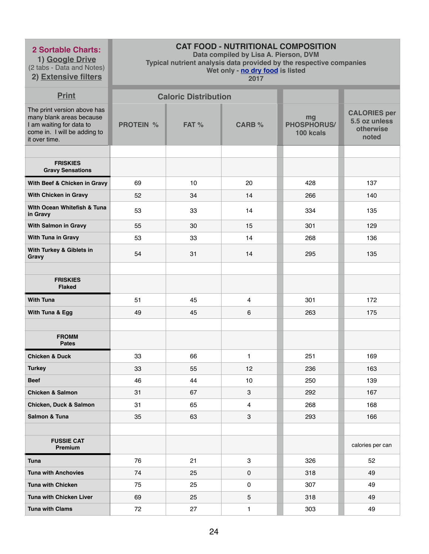**1) Google Drive** (2 tabs - Data and Notes)

# **2) Extensive filters**

# **CAT FOOD - NUTRITIONAL COMPOSITION**

**Data compiled by Lisa A. Pierson, DVM** 

**Typical nutrient analysis data provided by the respective companies** 

**Wet only - no dry food is listed** 

| <b>Print</b>                                                                                                                         |                  | <b>Caloric Distribution</b> |                |                                       |                                                            |
|--------------------------------------------------------------------------------------------------------------------------------------|------------------|-----------------------------|----------------|---------------------------------------|------------------------------------------------------------|
| The print version above has<br>many blank areas because<br>I am waiting for data to<br>come in. I will be adding to<br>it over time. | <b>PROTEIN %</b> | FAT %                       | <b>CARB %</b>  | mg<br><b>PHOSPHORUS/</b><br>100 kcals | <b>CALORIES per</b><br>5.5 oz unless<br>otherwise<br>noted |
|                                                                                                                                      |                  |                             |                |                                       |                                                            |
| <b>FRISKIES</b><br><b>Gravy Sensations</b>                                                                                           |                  |                             |                |                                       |                                                            |
| With Beef & Chicken in Gravy                                                                                                         | 69               | 10                          | 20             | 428                                   | 137                                                        |
| With Chicken in Gravy                                                                                                                | 52               | 34                          | 14             | 266                                   | 140                                                        |
| With Ocean Whitefish & Tuna<br>in Gravy                                                                                              | 53               | 33                          | 14             | 334                                   | 135                                                        |
| <b>With Salmon in Gravy</b>                                                                                                          | 55               | 30                          | 15             | 301                                   | 129                                                        |
| With Tuna in Gravy                                                                                                                   | 53               | 33                          | 14             | 268                                   | 136                                                        |
| With Turkey & Giblets in<br>Gravy                                                                                                    | 54               | 31                          | 14             | 295                                   | 135                                                        |
|                                                                                                                                      |                  |                             |                |                                       |                                                            |
| <b>FRISKIES</b><br><b>Flaked</b>                                                                                                     |                  |                             |                |                                       |                                                            |
| <b>With Tuna</b>                                                                                                                     | 51               | 45                          | 4              | 301                                   | 172                                                        |
| With Tuna & Egg                                                                                                                      | 49               | 45                          | 6              | 263                                   | 175                                                        |
|                                                                                                                                      |                  |                             |                |                                       |                                                            |
| <b>FROMM</b><br><b>Pates</b>                                                                                                         |                  |                             |                |                                       |                                                            |
| <b>Chicken &amp; Duck</b>                                                                                                            | 33               | 66                          | $\mathbf{1}$   | 251                                   | 169                                                        |
| <b>Turkey</b>                                                                                                                        | 33               | 55                          | 12             | 236                                   | 163                                                        |
| <b>Beef</b>                                                                                                                          | 46               | 44                          | 10             | 250                                   | 139                                                        |
| <b>Chicken &amp; Salmon</b>                                                                                                          | 31               | 67                          | 3              | 292                                   | 167                                                        |
| <b>Chicken, Duck &amp; Salmon</b>                                                                                                    | 31               | 65                          | $\overline{4}$ | 268                                   | 168                                                        |
| Salmon & Tuna                                                                                                                        | 35               | 63                          | 3              | 293                                   | 166                                                        |
|                                                                                                                                      |                  |                             |                |                                       |                                                            |
| <b>FUSSIE CAT</b><br>Premium                                                                                                         |                  |                             |                |                                       | calories per can                                           |
| <b>Tuna</b>                                                                                                                          | 76               | 21                          | 3              | 326                                   | 52                                                         |
| <b>Tuna with Anchovies</b>                                                                                                           | 74               | 25                          | 0              | 318                                   | 49                                                         |
| <b>Tuna with Chicken</b>                                                                                                             | 75               | 25                          | 0              | 307                                   | 49                                                         |
| <b>Tuna with Chicken Liver</b>                                                                                                       | 69               | 25                          | $\overline{5}$ | 318                                   | 49                                                         |
| <b>Tuna with Clams</b>                                                                                                               | 72               | 27                          | $\mathbf{1}$   | 303                                   | 49                                                         |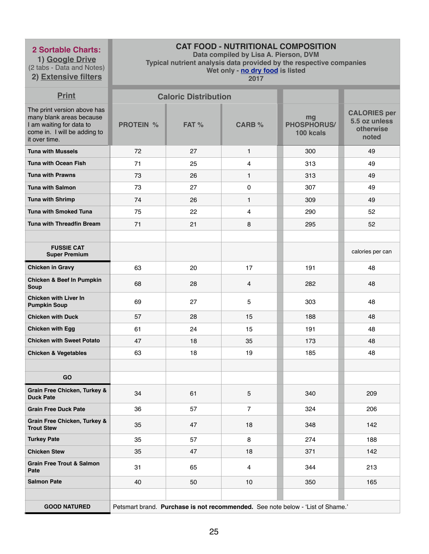**1) Google Drive** (2 tabs - Data and Notes) **2) Extensive filters**

# **CAT FOOD - NUTRITIONAL COMPOSITION**

**Data compiled by Lisa A. Pierson, DVM** 

**Typical nutrient analysis data provided by the respective companies** 

**Wet only - no dry food is listed** 

| <b>Print</b>                                                                                                                         |                  | <b>Caloric Distribution</b> |                 |                                                                                |                                                            |
|--------------------------------------------------------------------------------------------------------------------------------------|------------------|-----------------------------|-----------------|--------------------------------------------------------------------------------|------------------------------------------------------------|
| The print version above has<br>many blank areas because<br>I am waiting for data to<br>come in. I will be adding to<br>it over time. | <b>PROTEIN %</b> | FAT %                       | <b>CARB %</b>   | mg<br><b>PHOSPHORUS/</b><br>100 kcals                                          | <b>CALORIES per</b><br>5.5 oz unless<br>otherwise<br>noted |
| <b>Tuna with Mussels</b>                                                                                                             | 72               | 27                          | $\mathbf{1}$    | 300                                                                            | 49                                                         |
| <b>Tuna with Ocean Fish</b>                                                                                                          | 71               | 25                          | $\overline{4}$  | 313                                                                            | 49                                                         |
| <b>Tuna with Prawns</b>                                                                                                              | 73               | 26                          | $\mathbf{1}$    | 313                                                                            | 49                                                         |
| <b>Tuna with Salmon</b>                                                                                                              | 73               | 27                          | $\pmb{0}$       | 307                                                                            | 49                                                         |
| <b>Tuna with Shrimp</b>                                                                                                              | 74               | 26                          | $\mathbf{1}$    | 309                                                                            | 49                                                         |
| <b>Tuna with Smoked Tuna</b>                                                                                                         | 75               | 22                          | 4               | 290                                                                            | 52                                                         |
| <b>Tuna with Threadfin Bream</b>                                                                                                     | 71               | 21                          | 8               | 295                                                                            | 52                                                         |
|                                                                                                                                      |                  |                             |                 |                                                                                |                                                            |
| <b>FUSSIE CAT</b><br><b>Super Premium</b>                                                                                            |                  |                             |                 |                                                                                | calories per can                                           |
| <b>Chicken in Gravy</b>                                                                                                              | 63               | 20                          | 17              | 191                                                                            | 48                                                         |
| <b>Chicken &amp; Beef In Pumpkin</b><br><b>Soup</b>                                                                                  | 68               | 28                          | $\overline{4}$  | 282                                                                            | 48                                                         |
| <b>Chicken with Liver In</b><br><b>Pumpkin Soup</b>                                                                                  | 69               | 27                          | 5               | 303                                                                            | 48                                                         |
| <b>Chicken with Duck</b>                                                                                                             | 57               | 28                          | 15              | 188                                                                            | 48                                                         |
| <b>Chicken with Egg</b>                                                                                                              | 61               | 24                          | 15              | 191                                                                            | 48                                                         |
| <b>Chicken with Sweet Potato</b>                                                                                                     | 47               | 18                          | 35              | 173                                                                            | 48                                                         |
| <b>Chicken &amp; Vegetables</b>                                                                                                      | 63               | 18                          | 19              | 185                                                                            | 48                                                         |
|                                                                                                                                      |                  |                             |                 |                                                                                |                                                            |
| GO                                                                                                                                   |                  |                             |                 |                                                                                |                                                            |
| <b>Grain Free Chicken, Turkey &amp;</b><br><b>Duck Pate</b>                                                                          | 34               | 61                          | $5\phantom{.0}$ | 340                                                                            | 209                                                        |
| <b>Grain Free Duck Pate</b>                                                                                                          | 36               | 57                          | $\overline{7}$  | 324                                                                            | 206                                                        |
| <b>Grain Free Chicken, Turkey &amp;</b><br><b>Trout Stew</b>                                                                         | 35               | 47                          | 18              | 348                                                                            | 142                                                        |
| <b>Turkey Pate</b>                                                                                                                   | 35               | 57                          | 8               | 274                                                                            | 188                                                        |
| <b>Chicken Stew</b>                                                                                                                  | 35               | 47                          | 18              | 371                                                                            | 142                                                        |
| <b>Grain Free Trout &amp; Salmon</b><br>Pate                                                                                         | 31               | 65                          | $\overline{4}$  | 344                                                                            | 213                                                        |
| <b>Salmon Pate</b>                                                                                                                   | 40               | 50                          | 10              | 350                                                                            | 165                                                        |
|                                                                                                                                      |                  |                             |                 |                                                                                |                                                            |
| <b>GOOD NATURED</b>                                                                                                                  |                  |                             |                 | Petsmart brand. Purchase is not recommended. See note below - 'List of Shame.' |                                                            |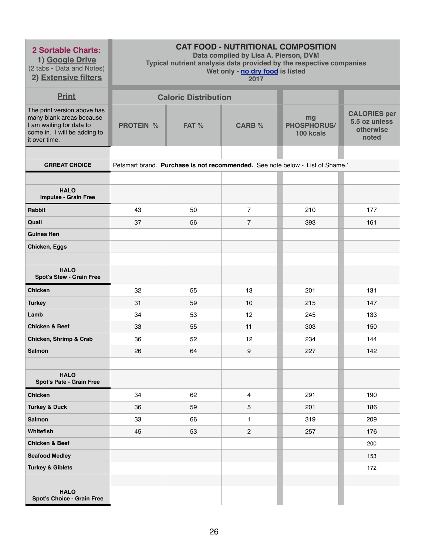| <b>2 Sortable Charts:</b><br>1) Google Drive<br>(2 tabs - Data and Notes)<br>2) Extensive filters                                    | <b>CAT FOOD - NUTRITIONAL COMPOSITION</b><br>Data compiled by Lisa A. Pierson, DVM<br>Typical nutrient analysis data provided by the respective companies<br>Wet only - no dry food is listed<br>2017 |                             |                 |                                                                                |                                                            |
|--------------------------------------------------------------------------------------------------------------------------------------|-------------------------------------------------------------------------------------------------------------------------------------------------------------------------------------------------------|-----------------------------|-----------------|--------------------------------------------------------------------------------|------------------------------------------------------------|
| <b>Print</b>                                                                                                                         |                                                                                                                                                                                                       | <b>Caloric Distribution</b> |                 |                                                                                |                                                            |
| The print version above has<br>many blank areas because<br>I am waiting for data to<br>come in. I will be adding to<br>it over time. | <b>PROTEIN %</b>                                                                                                                                                                                      | FAT %                       | <b>CARB %</b>   | mg<br><b>PHOSPHORUS/</b><br>100 kcals                                          | <b>CALORIES per</b><br>5.5 oz unless<br>otherwise<br>noted |
|                                                                                                                                      |                                                                                                                                                                                                       |                             |                 |                                                                                |                                                            |
| <b>GRREAT CHOICE</b>                                                                                                                 |                                                                                                                                                                                                       |                             |                 | Petsmart brand. Purchase is not recommended. See note below - 'List of Shame.' |                                                            |
| <b>HALO</b><br><b>Impulse - Grain Free</b>                                                                                           |                                                                                                                                                                                                       |                             |                 |                                                                                |                                                            |
| <b>Rabbit</b>                                                                                                                        | 43                                                                                                                                                                                                    | 50                          | $\overline{7}$  | 210                                                                            | 177                                                        |
| Quail                                                                                                                                | 37                                                                                                                                                                                                    | 56                          | $\overline{7}$  | 393                                                                            | 161                                                        |
| <b>Guinea Hen</b>                                                                                                                    |                                                                                                                                                                                                       |                             |                 |                                                                                |                                                            |
| Chicken, Eggs                                                                                                                        |                                                                                                                                                                                                       |                             |                 |                                                                                |                                                            |
| <b>HALO</b><br><b>Spot's Stew - Grain Free</b>                                                                                       |                                                                                                                                                                                                       |                             |                 |                                                                                |                                                            |
| <b>Chicken</b>                                                                                                                       | 32                                                                                                                                                                                                    | 55                          | 13              | 201                                                                            | 131                                                        |
| <b>Turkey</b>                                                                                                                        | 31                                                                                                                                                                                                    | 59                          | 10              | 215                                                                            | 147                                                        |
| Lamb                                                                                                                                 | 34                                                                                                                                                                                                    | 53                          | 12              | 245                                                                            | 133                                                        |
| <b>Chicken &amp; Beef</b>                                                                                                            | 33                                                                                                                                                                                                    | 55                          | 11              | 303                                                                            | 150                                                        |
| Chicken, Shrimp & Crab                                                                                                               | 36                                                                                                                                                                                                    | 52                          | 12              | 234                                                                            | 144                                                        |
| <b>Salmon</b>                                                                                                                        | 26                                                                                                                                                                                                    | 64                          | 9               | 227                                                                            | 142                                                        |
| <b>HALO</b><br>Spot's Pate - Grain Free                                                                                              |                                                                                                                                                                                                       |                             |                 |                                                                                |                                                            |
| <b>Chicken</b>                                                                                                                       | 34                                                                                                                                                                                                    | 62                          | $\overline{4}$  | 291                                                                            | 190                                                        |
| <b>Turkey &amp; Duck</b>                                                                                                             | 36                                                                                                                                                                                                    | 59                          | $5\phantom{.0}$ | 201                                                                            | 186                                                        |
| <b>Salmon</b>                                                                                                                        | 33                                                                                                                                                                                                    | 66                          | 1               | 319                                                                            | 209                                                        |
| Whitefish                                                                                                                            | 45                                                                                                                                                                                                    | 53                          | $\overline{2}$  | 257                                                                            | 176                                                        |
| <b>Chicken &amp; Beef</b>                                                                                                            |                                                                                                                                                                                                       |                             |                 |                                                                                | 200                                                        |
| <b>Seafood Medley</b>                                                                                                                |                                                                                                                                                                                                       |                             |                 |                                                                                | 153                                                        |
| <b>Turkey &amp; Giblets</b>                                                                                                          |                                                                                                                                                                                                       |                             |                 |                                                                                | 172                                                        |
| <b>HALO</b><br><b>Spot's Choice - Grain Free</b>                                                                                     |                                                                                                                                                                                                       |                             |                 |                                                                                |                                                            |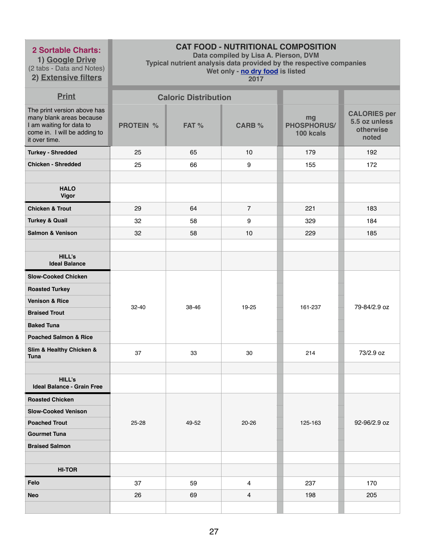**1) Google Drive** (2 tabs - Data and Notes) **2) Extensive filters**

# **CAT FOOD - NUTRITIONAL COMPOSITION**

**Data compiled by Lisa A. Pierson, DVM** 

**Typical nutrient analysis data provided by the respective companies** 

**Wet only - no dry food is listed** 

| <b>Print</b>                                                                                                                         |                  | <b>Caloric Distribution</b> |                |                                       |                                                            |
|--------------------------------------------------------------------------------------------------------------------------------------|------------------|-----------------------------|----------------|---------------------------------------|------------------------------------------------------------|
| The print version above has<br>many blank areas because<br>I am waiting for data to<br>come in. I will be adding to<br>it over time. | <b>PROTEIN %</b> | FAT %                       | <b>CARB %</b>  | mg<br><b>PHOSPHORUS/</b><br>100 kcals | <b>CALORIES per</b><br>5.5 oz unless<br>otherwise<br>noted |
| <b>Turkey - Shredded</b>                                                                                                             | 25               | 65                          | 10             | 179                                   | 192                                                        |
| <b>Chicken - Shredded</b>                                                                                                            | 25               | 66                          | 9              | 155                                   | 172                                                        |
|                                                                                                                                      |                  |                             |                |                                       |                                                            |
| <b>HALO</b><br><b>Vigor</b>                                                                                                          |                  |                             |                |                                       |                                                            |
| <b>Chicken &amp; Trout</b>                                                                                                           | 29               | 64                          | $\overline{7}$ | 221                                   | 183                                                        |
| <b>Turkey &amp; Quail</b>                                                                                                            | 32               | 58                          | 9              | 329                                   | 184                                                        |
| <b>Salmon &amp; Venison</b>                                                                                                          | 32               | 58                          | 10             | 229                                   | 185                                                        |
|                                                                                                                                      |                  |                             |                |                                       |                                                            |
| <b>HILL's</b><br><b>Ideal Balance</b>                                                                                                |                  |                             |                |                                       |                                                            |
| <b>Slow-Cooked Chicken</b>                                                                                                           |                  |                             |                |                                       |                                                            |
| <b>Roasted Turkey</b>                                                                                                                |                  |                             |                |                                       |                                                            |
| <b>Venison &amp; Rice</b>                                                                                                            | 32-40            | 38-46                       | 19-25          | 161-237                               | 79-84/2.9 oz                                               |
| <b>Braised Trout</b>                                                                                                                 |                  |                             |                |                                       |                                                            |
| <b>Baked Tuna</b>                                                                                                                    |                  |                             |                |                                       |                                                            |
| <b>Poached Salmon &amp; Rice</b>                                                                                                     |                  |                             |                |                                       |                                                            |
| Slim & Healthy Chicken &<br><b>Tuna</b>                                                                                              | 37               | 33                          | 30             | 214                                   | 73/2.9 oz                                                  |
|                                                                                                                                      |                  |                             |                |                                       |                                                            |
| <b>HILL's</b><br><b>Ideal Balance - Grain Free</b>                                                                                   |                  |                             |                |                                       |                                                            |
| <b>Roasted Chicken</b>                                                                                                               |                  |                             |                |                                       |                                                            |
| <b>Slow-Cooked Venison</b>                                                                                                           |                  |                             |                |                                       |                                                            |
| <b>Poached Trout</b>                                                                                                                 | 25-28            | 49-52                       | 20-26          | 125-163                               | 92-96/2.9 oz                                               |
| <b>Gourmet Tuna</b>                                                                                                                  |                  |                             |                |                                       |                                                            |
| <b>Braised Salmon</b>                                                                                                                |                  |                             |                |                                       |                                                            |
| <b>HI-TOR</b>                                                                                                                        |                  |                             |                |                                       |                                                            |
| Felo                                                                                                                                 | 37               | 59                          | 4              | 237                                   | 170                                                        |
| <b>Neo</b>                                                                                                                           | 26               | 69                          | 4              | 198                                   | 205                                                        |
|                                                                                                                                      |                  |                             |                |                                       |                                                            |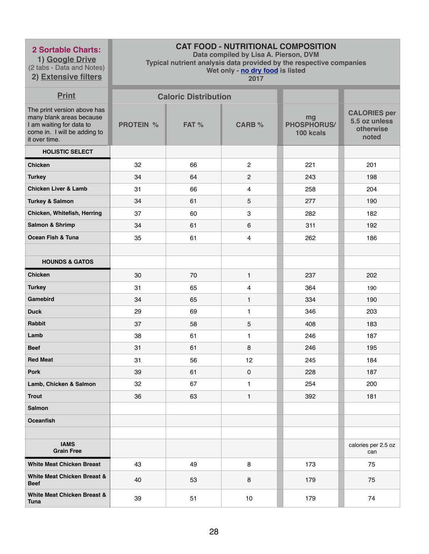**1) Google Drive** (2 tabs - Data and Notes) **2) Extensive filters**

# **CAT FOOD - NUTRITIONAL COMPOSITION**

**Data compiled by Lisa A. Pierson, DVM** 

**Typical nutrient analysis data provided by the respective companies** 

**Wet only - no dry food is listed 2017**

| <b>Print</b>                                                                                                                         |                  | <b>Caloric Distribution</b> |                         |                                       |                                                            |
|--------------------------------------------------------------------------------------------------------------------------------------|------------------|-----------------------------|-------------------------|---------------------------------------|------------------------------------------------------------|
| The print version above has<br>many blank areas because<br>I am waiting for data to<br>come in. I will be adding to<br>it over time. | <b>PROTEIN %</b> | FAT %                       | <b>CARB %</b>           | mg<br><b>PHOSPHORUS/</b><br>100 kcals | <b>CALORIES per</b><br>5.5 oz unless<br>otherwise<br>noted |
| <b>HOLISTIC SELECT</b>                                                                                                               |                  |                             |                         |                                       |                                                            |
| <b>Chicken</b>                                                                                                                       | 32               | 66                          | $\overline{2}$          | 221                                   | 201                                                        |
| <b>Turkey</b>                                                                                                                        | 34               | 64                          | $\overline{2}$          | 243                                   | 198                                                        |
| <b>Chicken Liver &amp; Lamb</b>                                                                                                      | 31               | 66                          | $\overline{\mathbf{4}}$ | 258                                   | 204                                                        |
| <b>Turkey &amp; Salmon</b>                                                                                                           | 34               | 61                          | 5                       | 277                                   | 190                                                        |
| Chicken, Whitefish, Herring                                                                                                          | 37               | 60                          | 3                       | 282                                   | 182                                                        |
| <b>Salmon &amp; Shrimp</b>                                                                                                           | 34               | 61                          | 6                       | 311                                   | 192                                                        |
| <b>Ocean Fish &amp; Tuna</b>                                                                                                         | 35               | 61                          | $\overline{\mathbf{4}}$ | 262                                   | 186                                                        |
|                                                                                                                                      |                  |                             |                         |                                       |                                                            |
| <b>HOUNDS &amp; GATOS</b>                                                                                                            |                  |                             |                         |                                       |                                                            |
| <b>Chicken</b>                                                                                                                       | 30               | 70                          | $\mathbf{1}$            | 237                                   | 202                                                        |
| <b>Turkey</b>                                                                                                                        | 31               | 65                          | 4                       | 364                                   | 190                                                        |
| <b>Gamebird</b>                                                                                                                      | 34               | 65                          | $\mathbf{1}$            | 334                                   | 190                                                        |
| <b>Duck</b>                                                                                                                          | 29               | 69                          | $\mathbf{1}$            | 346                                   | 203                                                        |
| <b>Rabbit</b>                                                                                                                        | 37               | 58                          | 5                       | 408                                   | 183                                                        |
| Lamb                                                                                                                                 | 38               | 61                          | 1                       | 246                                   | 187                                                        |
| <b>Beef</b>                                                                                                                          | 31               | 61                          | 8                       | 246                                   | 195                                                        |
| <b>Red Meat</b>                                                                                                                      | 31               | 56                          | 12                      | 245                                   | 184                                                        |
| <b>Pork</b>                                                                                                                          | 39               | 61                          | $\pmb{0}$               | 228                                   | 187                                                        |
| Lamb, Chicken & Salmon                                                                                                               | 32               | 67                          | $\mathbf{1}$            | 254                                   | 200                                                        |
| <b>Trout</b>                                                                                                                         | 36               | 63                          | $\mathbf{1}$            | 392                                   | 181                                                        |
| <b>Salmon</b>                                                                                                                        |                  |                             |                         |                                       |                                                            |
| <b>Oceanfish</b>                                                                                                                     |                  |                             |                         |                                       |                                                            |
|                                                                                                                                      |                  |                             |                         |                                       |                                                            |
| <b>IAMS</b><br><b>Grain Free</b>                                                                                                     |                  |                             |                         |                                       | calories per 2.5 oz<br>can                                 |
| <b>White Meat Chicken Breast</b>                                                                                                     | 43               | 49                          | 8                       | 173                                   | 75                                                         |
| <b>White Meat Chicken Breast &amp;</b><br><b>Beef</b>                                                                                | 40               | 53                          | 8                       | 179                                   | 75                                                         |
| <b>White Meat Chicken Breast &amp;</b><br><b>Tuna</b>                                                                                | 39               | 51                          | 10                      | 179                                   | 74                                                         |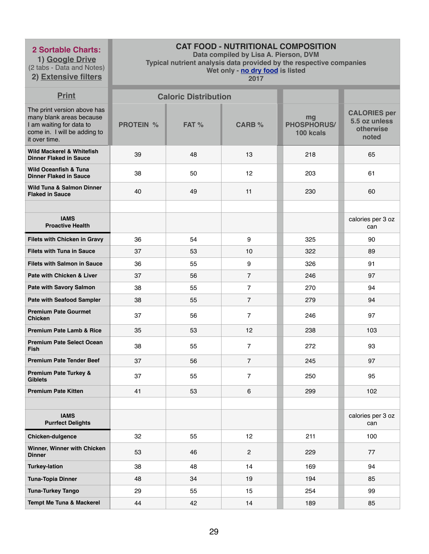**1) Google Drive** (2 tabs - Data and Notes) **2) Extensive filters**

# **CAT FOOD - NUTRITIONAL COMPOSITION**

**Data compiled by Lisa A. Pierson, DVM** 

**Typical nutrient analysis data provided by the respective companies** 

**Wet only - no dry food is listed** 

| <b>Print</b>                                                                                                                         |                  | <b>Caloric Distribution</b> |                |                                       |                                                            |
|--------------------------------------------------------------------------------------------------------------------------------------|------------------|-----------------------------|----------------|---------------------------------------|------------------------------------------------------------|
| The print version above has<br>many blank areas because<br>I am waiting for data to<br>come in. I will be adding to<br>it over time. | <b>PROTEIN %</b> | FAT %                       | <b>CARB %</b>  | mg<br><b>PHOSPHORUS/</b><br>100 kcals | <b>CALORIES per</b><br>5.5 oz unless<br>otherwise<br>noted |
| <b>Wild Mackerel &amp; Whitefish</b><br><b>Dinner Flaked in Sauce</b>                                                                | 39               | 48                          | 13             | 218                                   | 65                                                         |
| <b>Wild Oceanfish &amp; Tuna</b><br><b>Dinner Flaked in Sauce</b>                                                                    | 38               | 50                          | 12             | 203                                   | 61                                                         |
| <b>Wild Tuna &amp; Salmon Dinner</b><br><b>Flaked in Sauce</b>                                                                       | 40               | 49                          | 11             | 230                                   | 60                                                         |
|                                                                                                                                      |                  |                             |                |                                       |                                                            |
| <b>IAMS</b><br><b>Proactive Health</b>                                                                                               |                  |                             |                |                                       | calories per 3 oz<br>can                                   |
| <b>Filets with Chicken in Gravy</b>                                                                                                  | 36               | 54                          | 9              | 325                                   | 90                                                         |
| <b>Filets with Tuna in Sauce</b>                                                                                                     | 37               | 53                          | 10             | 322                                   | 89                                                         |
| <b>Filets with Salmon in Sauce</b>                                                                                                   | 36               | 55                          | 9              | 326                                   | 91                                                         |
| Pate with Chicken & Liver                                                                                                            | 37               | 56                          | $\overline{7}$ | 246                                   | 97                                                         |
| <b>Pate with Savory Salmon</b>                                                                                                       | 38               | 55                          | $\overline{7}$ | 270                                   | 94                                                         |
| <b>Pate with Seafood Sampler</b>                                                                                                     | 38               | 55                          | $\overline{7}$ | 279                                   | 94                                                         |
| <b>Premium Pate Gourmet</b><br><b>Chicken</b>                                                                                        | 37               | 56                          | $\overline{7}$ | 246                                   | 97                                                         |
| <b>Premium Pate Lamb &amp; Rice</b>                                                                                                  | 35               | 53                          | 12             | 238                                   | 103                                                        |
| <b>Premium Pate Select Ocean</b><br><b>Fish</b>                                                                                      | 38               | 55                          | $\overline{7}$ | 272                                   | 93                                                         |
| <b>Premium Pate Tender Beef</b>                                                                                                      | 37               | 56                          | $\overline{7}$ | 245                                   | 97                                                         |
| <b>Premium Pate Turkey &amp;</b><br><b>Giblets</b>                                                                                   | 37               | 55                          | $\overline{7}$ | 250                                   | 95                                                         |
| <b>Premium Pate Kitten</b>                                                                                                           | 41               | 53                          | $6\phantom{1}$ | 299                                   | 102                                                        |
|                                                                                                                                      |                  |                             |                |                                       |                                                            |
| <b>IAMS</b><br><b>Purrfect Delights</b>                                                                                              |                  |                             |                |                                       | calories per 3 oz<br>can                                   |
| <b>Chicken-dulgence</b>                                                                                                              | 32               | 55                          | 12             | 211                                   | 100                                                        |
| Winner, Winner with Chicken<br><b>Dinner</b>                                                                                         | 53               | 46                          | $\overline{2}$ | 229                                   | 77                                                         |
| <b>Turkey-lation</b>                                                                                                                 | 38               | 48                          | 14             | 169                                   | 94                                                         |
| <b>Tuna-Topia Dinner</b>                                                                                                             | 48               | 34                          | 19             | 194                                   | 85                                                         |
| <b>Tuna-Turkey Tango</b>                                                                                                             | 29               | 55                          | 15             | 254                                   | 99                                                         |
| <b>Tempt Me Tuna &amp; Mackerel</b>                                                                                                  | 44               | 42                          | 14             | 189                                   | 85                                                         |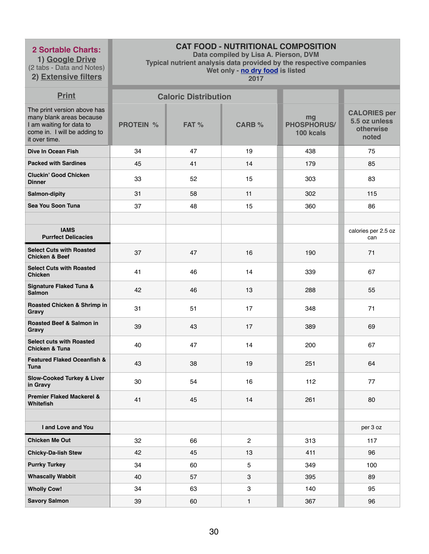**1) Google Drive** (2 tabs - Data and Notes)

**2) Extensive filters**

# **CAT FOOD - NUTRITIONAL COMPOSITION**

**Data compiled by Lisa A. Pierson, DVM** 

**Typical nutrient analysis data provided by the respective companies** 

**Wet only - no dry food is listed** 

| <b>Print</b>                                                                                                                         |                  | <b>Caloric Distribution</b> |                |                                       |                                                            |
|--------------------------------------------------------------------------------------------------------------------------------------|------------------|-----------------------------|----------------|---------------------------------------|------------------------------------------------------------|
| The print version above has<br>many blank areas because<br>I am waiting for data to<br>come in. I will be adding to<br>it over time. | <b>PROTEIN %</b> | FAT %                       | <b>CARB %</b>  | mg<br><b>PHOSPHORUS/</b><br>100 kcals | <b>CALORIES per</b><br>5.5 oz unless<br>otherwise<br>noted |
| <b>Dive In Ocean Fish</b>                                                                                                            | 34               | 47                          | 19             | 438                                   | 75                                                         |
| <b>Packed with Sardines</b>                                                                                                          | 45               | 41                          | 14             | 179                                   | 85                                                         |
| <b>Cluckin' Good Chicken</b><br><b>Dinner</b>                                                                                        | 33               | 52                          | 15             | 303                                   | 83                                                         |
| <b>Salmon-dipity</b>                                                                                                                 | 31               | 58                          | 11             | 302                                   | 115                                                        |
| Sea You Soon Tuna                                                                                                                    | 37               | 48                          | 15             | 360                                   | 86                                                         |
|                                                                                                                                      |                  |                             |                |                                       |                                                            |
| <b>IAMS</b><br><b>Purrfect Delicacies</b>                                                                                            |                  |                             |                |                                       | calories per 2.5 oz<br>can                                 |
| <b>Select Cuts with Roasted</b><br><b>Chicken &amp; Beef</b>                                                                         | 37               | 47                          | 16             | 190                                   | 71                                                         |
| <b>Select Cuts with Roasted</b><br><b>Chicken</b>                                                                                    | 41               | 46                          | 14             | 339                                   | 67                                                         |
| <b>Signature Flaked Tuna &amp;</b><br><b>Salmon</b>                                                                                  | 42               | 46                          | 13             | 288                                   | 55                                                         |
| Roasted Chicken & Shrimp in<br><b>Gravy</b>                                                                                          | 31               | 51                          | 17             | 348                                   | 71                                                         |
| <b>Roasted Beef &amp; Salmon in</b><br>Gravy                                                                                         | 39               | 43                          | 17             | 389                                   | 69                                                         |
| <b>Select cuts with Roasted</b><br><b>Chicken &amp; Tuna</b>                                                                         | 40               | 47                          | 14             | 200                                   | 67                                                         |
| <b>Featured Flaked Oceanfish &amp;</b><br><b>Tuna</b>                                                                                | 43               | 38                          | 19             | 251                                   | 64                                                         |
| <b>Slow-Cooked Turkey &amp; Liver</b><br>in Gravy                                                                                    | 30               | 54                          | 16             | 112                                   | 77                                                         |
| <b>Premier Flaked Mackerel &amp;</b><br>Whitefish                                                                                    | 41               | 45                          | 14             | 261                                   | 80                                                         |
|                                                                                                                                      |                  |                             |                |                                       |                                                            |
| I and Love and You                                                                                                                   |                  |                             |                |                                       | per 3 oz                                                   |
| <b>Chicken Me Out</b>                                                                                                                | 32               | 66                          | $\overline{2}$ | 313                                   | 117                                                        |
| <b>Chicky-Da-lish Stew</b>                                                                                                           | 42               | 45                          | 13             | 411                                   | 96                                                         |
| <b>Purrky Turkey</b>                                                                                                                 | 34               | 60                          | $\overline{5}$ | 349                                   | 100                                                        |
| <b>Whascally Wabbit</b>                                                                                                              | 40               | 57                          | $\mathbf{3}$   | 395                                   | 89                                                         |
| <b>Wholly Cow!</b>                                                                                                                   | 34               | 63                          | 3              | 140                                   | 95                                                         |
| <b>Savory Salmon</b>                                                                                                                 | 39               | 60                          | 1              | 367                                   | 96                                                         |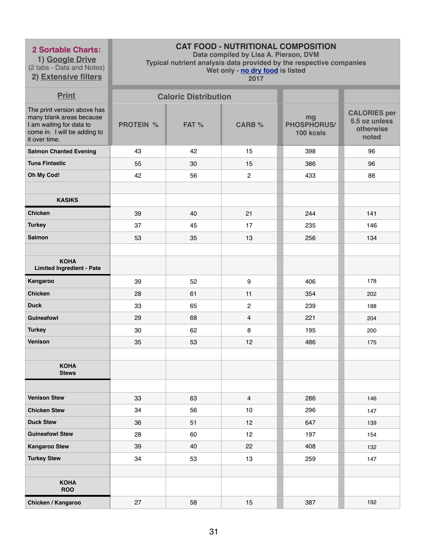**1) Google Drive** (2 tabs - Data and Notes)

# **2) Extensive filters**

# **CAT FOOD - NUTRITIONAL COMPOSITION**

**Data compiled by Lisa A. Pierson, DVM** 

**Typical nutrient analysis data provided by the respective companies** 

**Wet only - no dry food is listed** 

| <b>Print</b>                                                                                                                         |                  | <b>Caloric Distribution</b> |                         |                                       |                                                            |
|--------------------------------------------------------------------------------------------------------------------------------------|------------------|-----------------------------|-------------------------|---------------------------------------|------------------------------------------------------------|
| The print version above has<br>many blank areas because<br>I am waiting for data to<br>come in. I will be adding to<br>it over time. | <b>PROTEIN %</b> | FAT %                       | <b>CARB %</b>           | mg<br><b>PHOSPHORUS/</b><br>100 kcals | <b>CALORIES per</b><br>5.5 oz unless<br>otherwise<br>noted |
| <b>Salmon Chanted Evening</b>                                                                                                        | 43               | 42                          | 15                      | 398                                   | 96                                                         |
| <b>Tuna Fintastic</b>                                                                                                                | 55               | 30                          | 15                      | 386                                   | 96                                                         |
| Oh My Cod!                                                                                                                           | 42               | 56                          | $\overline{c}$          | 433                                   | 88                                                         |
|                                                                                                                                      |                  |                             |                         |                                       |                                                            |
| <b>KASIKS</b>                                                                                                                        |                  |                             |                         |                                       |                                                            |
| <b>Chicken</b>                                                                                                                       | 39               | 40                          | 21                      | 244                                   | 141                                                        |
| <b>Turkey</b>                                                                                                                        | 37               | 45                          | 17                      | 235                                   | 146                                                        |
| <b>Salmon</b>                                                                                                                        | 53               | 35                          | 13                      | 256                                   | 134                                                        |
|                                                                                                                                      |                  |                             |                         |                                       |                                                            |
| <b>KOHA</b><br><b>Limited Ingredient - Pate</b>                                                                                      |                  |                             |                         |                                       |                                                            |
| Kangaroo                                                                                                                             | 39               | 52                          | 9                       | 406                                   | 178                                                        |
| <b>Chicken</b>                                                                                                                       | 28               | 61                          | 11                      | 354                                   | 202                                                        |
| <b>Duck</b>                                                                                                                          | 33               | 65                          | $\overline{2}$          | 239                                   | 188                                                        |
| <b>Guineafowl</b>                                                                                                                    | 29               | 68                          | $\overline{\mathbf{4}}$ | 221                                   | 204                                                        |
| <b>Turkey</b>                                                                                                                        | 30               | 62                          | 8                       | 195                                   | 200                                                        |
| Venison                                                                                                                              | 35               | 53                          | 12                      | 486                                   | 175                                                        |
|                                                                                                                                      |                  |                             |                         |                                       |                                                            |
| <b>KOHA</b><br><b>Stews</b>                                                                                                          |                  |                             |                         |                                       |                                                            |
|                                                                                                                                      |                  |                             |                         |                                       |                                                            |
| <b>Venison Stew</b>                                                                                                                  | 33               | 63                          | $\overline{4}$          | 286                                   | 146                                                        |
| <b>Chicken Stew</b>                                                                                                                  | 34               | 56                          | 10 <sub>1</sub>         | 296                                   | 147                                                        |
| <b>Duck Stew</b>                                                                                                                     | 36               | 51                          | 12                      | 647                                   | 139                                                        |
| <b>Guineafowl Stew</b>                                                                                                               | 28               | 60                          | 12                      | 197                                   | 154                                                        |
| <b>Kangaroo Stew</b>                                                                                                                 | 39               | 40                          | 22                      | 408                                   | 132                                                        |
| <b>Turkey Stew</b>                                                                                                                   | 34               | 53                          | 13                      | 259                                   | 147                                                        |
|                                                                                                                                      |                  |                             |                         |                                       |                                                            |
| <b>KOHA</b><br><b>ROO</b>                                                                                                            |                  |                             |                         |                                       |                                                            |
| Chicken / Kangaroo                                                                                                                   | 27               | 58                          | 15                      | 387                                   | 192                                                        |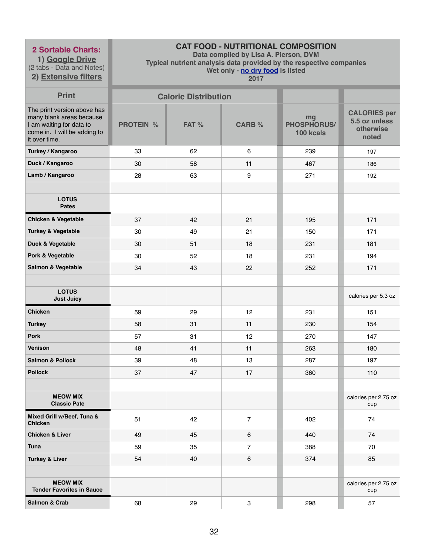**1) Google Drive** (2 tabs - Data and Notes)

# **2) Extensive filters**

# **CAT FOOD - NUTRITIONAL COMPOSITION**

**Data compiled by Lisa A. Pierson, DVM** 

**Typical nutrient analysis data provided by the respective companies** 

**Wet only - no dry food is listed** 

| <b>Print</b>                                                                                                                         |                  | <b>Caloric Distribution</b> |                |                                |                                                            |
|--------------------------------------------------------------------------------------------------------------------------------------|------------------|-----------------------------|----------------|--------------------------------|------------------------------------------------------------|
| The print version above has<br>many blank areas because<br>I am waiting for data to<br>come in. I will be adding to<br>it over time. | <b>PROTEIN %</b> | FAT %                       | <b>CARB %</b>  | mg<br>PHOSPHORUS/<br>100 kcals | <b>CALORIES per</b><br>5.5 oz unless<br>otherwise<br>noted |
| <b>Turkey / Kangaroo</b>                                                                                                             | 33               | 62                          | 6              | 239                            | 197                                                        |
| Duck / Kangaroo                                                                                                                      | 30               | 58                          | 11             | 467                            | 186                                                        |
| Lamb / Kangaroo                                                                                                                      | 28               | 63                          | 9              | 271                            | 192                                                        |
|                                                                                                                                      |                  |                             |                |                                |                                                            |
| <b>LOTUS</b><br><b>Pates</b>                                                                                                         |                  |                             |                |                                |                                                            |
| <b>Chicken &amp; Vegetable</b>                                                                                                       | 37               | 42                          | 21             | 195                            | 171                                                        |
| <b>Turkey &amp; Vegetable</b>                                                                                                        | 30               | 49                          | 21             | 150                            | 171                                                        |
| Duck & Vegetable                                                                                                                     | 30               | 51                          | 18             | 231                            | 181                                                        |
| Pork & Vegetable                                                                                                                     | 30               | 52                          | 18             | 231                            | 194                                                        |
| Salmon & Vegetable                                                                                                                   | 34               | 43                          | 22             | 252                            | 171                                                        |
|                                                                                                                                      |                  |                             |                |                                |                                                            |
| <b>LOTUS</b><br><b>Just Juicy</b>                                                                                                    |                  |                             |                |                                | calories per 5.3 oz                                        |
| <b>Chicken</b>                                                                                                                       | 59               | 29                          | 12             | 231                            | 151                                                        |
| <b>Turkey</b>                                                                                                                        | 58               | 31                          | 11             | 230                            | 154                                                        |
| <b>Pork</b>                                                                                                                          | 57               | 31                          | 12             | 270                            | 147                                                        |
| <b>Venison</b>                                                                                                                       | 48               | 41                          | 11             | 263                            | 180                                                        |
| <b>Salmon &amp; Pollock</b>                                                                                                          | 39               | 48                          | 13             | 287                            | 197                                                        |
| <b>Pollock</b>                                                                                                                       | 37               | 47                          | 17             | 360                            | 110                                                        |
|                                                                                                                                      |                  |                             |                |                                |                                                            |
| <b>MEOW MIX</b><br><b>Classic Pate</b>                                                                                               |                  |                             |                |                                | calories per 2.75 oz<br>cup                                |
| Mixed Grill w/Beef, Tuna &<br><b>Chicken</b>                                                                                         | 51               | 42                          | $\overline{7}$ | 402                            | 74                                                         |
| <b>Chicken &amp; Liver</b>                                                                                                           | 49               | 45                          | 6              | 440                            | 74                                                         |
| <b>Tuna</b>                                                                                                                          | 59               | 35                          | $\overline{7}$ | 388                            | 70                                                         |
| <b>Turkey &amp; Liver</b>                                                                                                            | 54               | 40                          | 6              | 374                            | 85                                                         |
|                                                                                                                                      |                  |                             |                |                                |                                                            |
| <b>MEOW MIX</b><br><b>Tender Favorites in Sauce</b>                                                                                  |                  |                             |                |                                | calories per 2.75 oz<br>cup                                |
| <b>Salmon &amp; Crab</b>                                                                                                             | 68               | 29                          | 3              | 298                            | 57                                                         |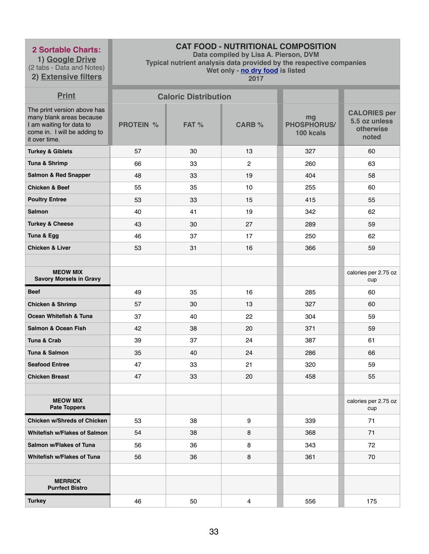**1) Google Drive** (2 tabs - Data and Notes) **2) Extensive filters**

# **CAT FOOD - NUTRITIONAL COMPOSITION**

**Data compiled by Lisa A. Pierson, DVM** 

**Typical nutrient analysis data provided by the respective companies** 

**Wet only - no dry food is listed** 

| <b>Print</b>                                                                                                                         |                  | <b>Caloric Distribution</b> |                |                                       |                                                            |
|--------------------------------------------------------------------------------------------------------------------------------------|------------------|-----------------------------|----------------|---------------------------------------|------------------------------------------------------------|
| The print version above has<br>many blank areas because<br>I am waiting for data to<br>come in. I will be adding to<br>it over time. | <b>PROTEIN %</b> | FAT %                       | <b>CARB %</b>  | mg<br><b>PHOSPHORUS/</b><br>100 kcals | <b>CALORIES per</b><br>5.5 oz unless<br>otherwise<br>noted |
| <b>Turkey &amp; Giblets</b>                                                                                                          | 57               | 30                          | 13             | 327                                   | 60                                                         |
| Tuna & Shrimp                                                                                                                        | 66               | 33                          | $\overline{2}$ | 260                                   | 63                                                         |
| <b>Salmon &amp; Red Snapper</b>                                                                                                      | 48               | 33                          | 19             | 404                                   | 58                                                         |
| <b>Chicken &amp; Beef</b>                                                                                                            | 55               | 35                          | 10             | 255                                   | 60                                                         |
| <b>Poultry Entree</b>                                                                                                                | 53               | 33                          | 15             | 415                                   | 55                                                         |
| <b>Salmon</b>                                                                                                                        | 40               | 41                          | 19             | 342                                   | 62                                                         |
| <b>Turkey &amp; Cheese</b>                                                                                                           | 43               | 30                          | 27             | 289                                   | 59                                                         |
| Tuna & Egg                                                                                                                           | 46               | 37                          | 17             | 250                                   | 62                                                         |
| <b>Chicken &amp; Liver</b>                                                                                                           | 53               | 31                          | 16             | 366                                   | 59                                                         |
|                                                                                                                                      |                  |                             |                |                                       |                                                            |
| <b>MEOW MIX</b><br><b>Savory Morsels in Gravy</b>                                                                                    |                  |                             |                |                                       | calories per 2.75 oz<br>cup                                |
| <b>Beef</b>                                                                                                                          | 49               | 35                          | 16             | 285                                   | 60                                                         |
| <b>Chicken &amp; Shrimp</b>                                                                                                          | 57               | 30                          | 13             | 327                                   | 60                                                         |
| <b>Ocean Whitefish &amp; Tuna</b>                                                                                                    | 37               | 40                          | 22             | 304                                   | 59                                                         |
| <b>Salmon &amp; Ocean Fish</b>                                                                                                       | 42               | 38                          | 20             | 371                                   | 59                                                         |
| Tuna & Crab                                                                                                                          | 39               | 37                          | 24             | 387                                   | 61                                                         |
| Tuna & Salmon                                                                                                                        | 35               | 40                          | 24             | 286                                   | 66                                                         |
| <b>Seafood Entree</b>                                                                                                                | 47               | 33                          | 21             | 320                                   | 59                                                         |
| <b>Chicken Breast</b>                                                                                                                | 47               | 33                          | 20             | 458                                   | 55                                                         |
|                                                                                                                                      |                  |                             |                |                                       |                                                            |
| <b>MEOW MIX</b><br><b>Pate Toppers</b>                                                                                               |                  |                             |                |                                       | calories per 2.75 oz<br>cup                                |
| <b>Chicken w/Shreds of Chicken</b>                                                                                                   | 53               | 38                          | 9              | 339                                   | 71                                                         |
| <b>Whitefish w/Flakes of Salmon</b>                                                                                                  | 54               | 38                          | 8              | 368                                   | 71                                                         |
| <b>Salmon w/Flakes of Tuna</b>                                                                                                       | 56               | 36                          | 8              | 343                                   | 72                                                         |
| <b>Whitefish w/Flakes of Tuna</b>                                                                                                    | 56               | 36                          | 8              | 361                                   | 70                                                         |
|                                                                                                                                      |                  |                             |                |                                       |                                                            |
| <b>MERRICK</b><br><b>Purrfect Bistro</b>                                                                                             |                  |                             |                |                                       |                                                            |
| <b>Turkey</b>                                                                                                                        | 46               | 50                          | $\overline{4}$ | 556                                   | 175                                                        |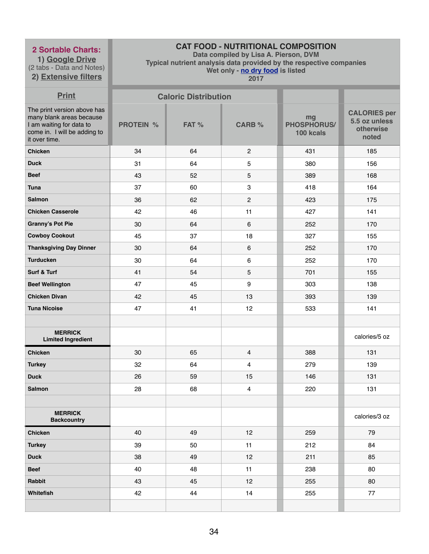**1) Google Drive** (2 tabs - Data and Notes) **2) Extensive filters**

# **CAT FOOD - NUTRITIONAL COMPOSITION**

**Data compiled by Lisa A. Pierson, DVM** 

**Typical nutrient analysis data provided by the respective companies** 

**Wet only - no dry food is listed** 

| <b>Print</b>                                                                                                                         |                  | <b>Caloric Distribution</b> |                         |                                       |                                                            |
|--------------------------------------------------------------------------------------------------------------------------------------|------------------|-----------------------------|-------------------------|---------------------------------------|------------------------------------------------------------|
| The print version above has<br>many blank areas because<br>I am waiting for data to<br>come in. I will be adding to<br>it over time. | <b>PROTEIN %</b> | FAT %                       | <b>CARB %</b>           | mg<br><b>PHOSPHORUS/</b><br>100 kcals | <b>CALORIES per</b><br>5.5 oz unless<br>otherwise<br>noted |
| <b>Chicken</b>                                                                                                                       | 34               | 64                          | $\overline{2}$          | 431                                   | 185                                                        |
| <b>Duck</b>                                                                                                                          | 31               | 64                          | 5                       | 380                                   | 156                                                        |
| <b>Beef</b>                                                                                                                          | 43               | 52                          | 5                       | 389                                   | 168                                                        |
| <b>Tuna</b>                                                                                                                          | 37               | 60                          | 3                       | 418                                   | 164                                                        |
| <b>Salmon</b>                                                                                                                        | 36               | 62                          | 2                       | 423                                   | 175                                                        |
| <b>Chicken Casserole</b>                                                                                                             | 42               | 46                          | 11                      | 427                                   | 141                                                        |
| <b>Granny's Pot Pie</b>                                                                                                              | 30               | 64                          | 6                       | 252                                   | 170                                                        |
| <b>Cowboy Cookout</b>                                                                                                                | 45               | 37                          | 18                      | 327                                   | 155                                                        |
| <b>Thanksgiving Day Dinner</b>                                                                                                       | 30               | 64                          | 6                       | 252                                   | 170                                                        |
| <b>Turducken</b>                                                                                                                     | 30               | 64                          | $6\phantom{1}6$         | 252                                   | 170                                                        |
| Surf & Turf                                                                                                                          | 41               | 54                          | 5                       | 701                                   | 155                                                        |
| <b>Beef Wellington</b>                                                                                                               | 47               | 45                          | $\boldsymbol{9}$        | 303                                   | 138                                                        |
| <b>Chicken Divan</b>                                                                                                                 | 42               | 45                          | 13                      | 393                                   | 139                                                        |
| <b>Tuna Nicoise</b>                                                                                                                  | 47               | 41                          | 12                      | 533                                   | 141                                                        |
|                                                                                                                                      |                  |                             |                         |                                       |                                                            |
| <b>MERRICK</b><br><b>Limited Ingredient</b>                                                                                          |                  |                             |                         |                                       | calories/5 oz                                              |
| <b>Chicken</b>                                                                                                                       | 30               | 65                          | $\overline{4}$          | 388                                   | 131                                                        |
| <b>Turkey</b>                                                                                                                        | 32               | 64                          | $\overline{4}$          | 279                                   | 139                                                        |
| <b>Duck</b>                                                                                                                          | 26               | 59                          | 15                      | 146                                   | 131                                                        |
| <b>Salmon</b>                                                                                                                        | 28               | 68                          | $\overline{\mathbf{4}}$ | 220                                   | 131                                                        |
|                                                                                                                                      |                  |                             |                         |                                       |                                                            |
| <b>MERRICK</b><br><b>Backcountry</b>                                                                                                 |                  |                             |                         |                                       | calories/3 oz                                              |
| <b>Chicken</b>                                                                                                                       | 40               | 49                          | 12                      | 259                                   | 79                                                         |
| <b>Turkey</b>                                                                                                                        | 39               | 50                          | 11                      | 212                                   | 84                                                         |
| <b>Duck</b>                                                                                                                          | 38               | 49                          | 12                      | 211                                   | 85                                                         |
| <b>Beef</b>                                                                                                                          | 40               | 48                          | 11                      | 238                                   | 80                                                         |
| Rabbit                                                                                                                               | 43               | 45                          | 12                      | 255                                   | 80                                                         |
| Whitefish                                                                                                                            | 42               | 44                          | 14                      | 255                                   | 77                                                         |
|                                                                                                                                      |                  |                             |                         |                                       |                                                            |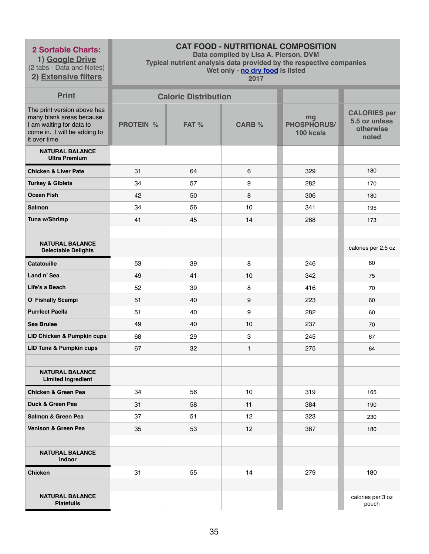**1) Google Drive** (2 tabs - Data and Notes)

**2) Extensive filters**

# **CAT FOOD - NUTRITIONAL COMPOSITION**

**Data compiled by Lisa A. Pierson, DVM** 

**Typical nutrient analysis data provided by the respective companies** 

**Wet only - no dry food is listed** 

| <b>Print</b>                                                                                                                         |                  | <b>Caloric Distribution</b> |               |                                       |                                                            |
|--------------------------------------------------------------------------------------------------------------------------------------|------------------|-----------------------------|---------------|---------------------------------------|------------------------------------------------------------|
| The print version above has<br>many blank areas because<br>I am waiting for data to<br>come in. I will be adding to<br>it over time. | <b>PROTEIN %</b> | FAT %                       | <b>CARB %</b> | mg<br><b>PHOSPHORUS/</b><br>100 kcals | <b>CALORIES per</b><br>5.5 oz unless<br>otherwise<br>noted |
| <b>NATURAL BALANCE</b><br><b>Ultra Premium</b>                                                                                       |                  |                             |               |                                       |                                                            |
| <b>Chicken &amp; Liver Pate</b>                                                                                                      | 31               | 64                          | 6             | 329                                   | 180                                                        |
| <b>Turkey &amp; Giblets</b>                                                                                                          | 34               | 57                          | 9             | 282                                   | 170                                                        |
| <b>Ocean Fish</b>                                                                                                                    | 42               | 50                          | 8             | 306                                   | 180                                                        |
| <b>Salmon</b>                                                                                                                        | 34               | 56                          | 10            | 341                                   | 195                                                        |
| Tuna w/Shrimp                                                                                                                        | 41               | 45                          | 14            | 288                                   | 173                                                        |
|                                                                                                                                      |                  |                             |               |                                       |                                                            |
| <b>NATURAL BALANCE</b><br><b>Delectable Delights</b>                                                                                 |                  |                             |               |                                       | calories per 2.5 oz                                        |
| <b>Catatouille</b>                                                                                                                   | 53               | 39                          | 8             | 246                                   | 60                                                         |
| Land n' Sea                                                                                                                          | 49               | 41                          | 10            | 342                                   | 75                                                         |
| Life's a Beach                                                                                                                       | 52               | 39                          | 8             | 416                                   | 70                                                         |
| O' Fishally Scampi                                                                                                                   | 51               | 40                          | 9             | 223                                   | 60                                                         |
| <b>Purrfect Paella</b>                                                                                                               | 51               | 40                          | 9             | 282                                   | 60                                                         |
| <b>Sea Brulee</b>                                                                                                                    | 49               | 40                          | 10            | 237                                   | 70                                                         |
| LID Chicken & Pumpkin cups                                                                                                           | 68               | 29                          | 3             | 245                                   | 67                                                         |
| <b>LID Tuna &amp; Pumpkin cups</b>                                                                                                   | 67               | 32                          | $\mathbf{1}$  | 275                                   | 64                                                         |
|                                                                                                                                      |                  |                             |               |                                       |                                                            |
| <b>NATURAL BALANCE</b><br><b>Limited Ingredient</b>                                                                                  |                  |                             |               |                                       |                                                            |
| <b>Chicken &amp; Green Pea</b>                                                                                                       | 34               | 56                          | 10            | 319                                   | 165                                                        |
| Duck & Green Pea                                                                                                                     | 31               | 58                          | 11            | 384                                   | 190                                                        |
| Salmon & Green Pea                                                                                                                   | 37               | 51                          | 12            | 323                                   | 230                                                        |
| Venison & Green Pea                                                                                                                  | 35               | 53                          | 12            | 387                                   | 180                                                        |
|                                                                                                                                      |                  |                             |               |                                       |                                                            |
| <b>NATURAL BALANCE</b><br>Indoor                                                                                                     |                  |                             |               |                                       |                                                            |
| <b>Chicken</b>                                                                                                                       | 31               | 55                          | 14            | 279                                   | 180                                                        |
|                                                                                                                                      |                  |                             |               |                                       |                                                            |
| <b>NATURAL BALANCE</b><br><b>Platefulls</b>                                                                                          |                  |                             |               |                                       | calories per 3 oz<br>pouch                                 |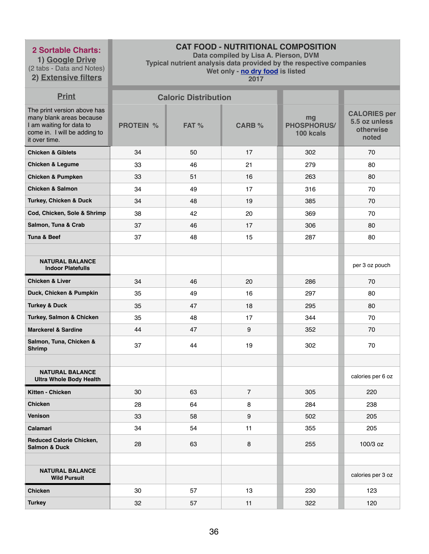**1) Google Drive** (2 tabs - Data and Notes) **2) Extensive filters**

# **CAT FOOD - NUTRITIONAL COMPOSITION**

**Data compiled by Lisa A. Pierson, DVM** 

**Typical nutrient analysis data provided by the respective companies** 

**Wet only - no dry food is listed** 

| <b>Print</b>                                                                                                                         |                  | <b>Caloric Distribution</b> |                  |                                       |                                                            |
|--------------------------------------------------------------------------------------------------------------------------------------|------------------|-----------------------------|------------------|---------------------------------------|------------------------------------------------------------|
| The print version above has<br>many blank areas because<br>I am waiting for data to<br>come in. I will be adding to<br>it over time. | <b>PROTEIN %</b> | FAT %                       | <b>CARB %</b>    | mg<br><b>PHOSPHORUS/</b><br>100 kcals | <b>CALORIES per</b><br>5.5 oz unless<br>otherwise<br>noted |
| <b>Chicken &amp; Giblets</b>                                                                                                         | 34               | 50                          | 17               | 302                                   | 70                                                         |
| <b>Chicken &amp; Legume</b>                                                                                                          | 33               | 46                          | 21               | 279                                   | 80                                                         |
| <b>Chicken &amp; Pumpken</b>                                                                                                         | 33               | 51                          | 16               | 263                                   | 80                                                         |
| <b>Chicken &amp; Salmon</b>                                                                                                          | 34               | 49                          | 17               | 316                                   | 70                                                         |
| Turkey, Chicken & Duck                                                                                                               | 34               | 48                          | 19               | 385                                   | 70                                                         |
| Cod, Chicken, Sole & Shrimp                                                                                                          | 38               | 42                          | 20               | 369                                   | 70                                                         |
| Salmon, Tuna & Crab                                                                                                                  | 37               | 46                          | 17               | 306                                   | 80                                                         |
| <b>Tuna &amp; Beef</b>                                                                                                               | 37               | 48                          | 15               | 287                                   | 80                                                         |
|                                                                                                                                      |                  |                             |                  |                                       |                                                            |
| <b>NATURAL BALANCE</b><br><b>Indoor Platefulls</b>                                                                                   |                  |                             |                  |                                       | per 3 oz pouch                                             |
| <b>Chicken &amp; Liver</b>                                                                                                           | 34               | 46                          | 20               | 286                                   | 70                                                         |
| Duck, Chicken & Pumpkin                                                                                                              | 35               | 49                          | 16               | 297                                   | 80                                                         |
| <b>Turkey &amp; Duck</b>                                                                                                             | 35               | 47                          | 18               | 295                                   | 80                                                         |
| Turkey, Salmon & Chicken                                                                                                             | 35               | 48                          | 17               | 344                                   | 70                                                         |
| <b>Marckerel &amp; Sardine</b>                                                                                                       | 44               | 47                          | $\boldsymbol{9}$ | 352                                   | 70                                                         |
| Salmon, Tuna, Chicken &<br><b>Shrimp</b>                                                                                             | 37               | 44                          | 19               | 302                                   | 70                                                         |
|                                                                                                                                      |                  |                             |                  |                                       |                                                            |
| <b>NATURAL BALANCE</b><br><b>Ultra Whole Body Health</b>                                                                             |                  |                             |                  |                                       | calories per 6 oz                                          |
| Kitten - Chicken                                                                                                                     | 30               | 63                          | $\overline{7}$   | 305                                   | 220                                                        |
| <b>Chicken</b>                                                                                                                       | 28               | 64                          | 8                | 284                                   | 238                                                        |
| <b>Venison</b>                                                                                                                       | 33               | 58                          | $9\,$            | 502                                   | 205                                                        |
| <b>Calamari</b>                                                                                                                      | 34               | 54                          | 11               | 355                                   | 205                                                        |
| <b>Reduced Calorie Chicken,</b><br><b>Salmon &amp; Duck</b>                                                                          | 28               | 63                          | 8                | 255                                   | 100/3 oz                                                   |
|                                                                                                                                      |                  |                             |                  |                                       |                                                            |
| <b>NATURAL BALANCE</b><br><b>Wild Pursuit</b>                                                                                        |                  |                             |                  |                                       | calories per 3 oz                                          |
| <b>Chicken</b>                                                                                                                       | 30               | 57                          | 13               | 230                                   | 123                                                        |
| <b>Turkey</b>                                                                                                                        | 32               | 57                          | 11               | 322                                   | 120                                                        |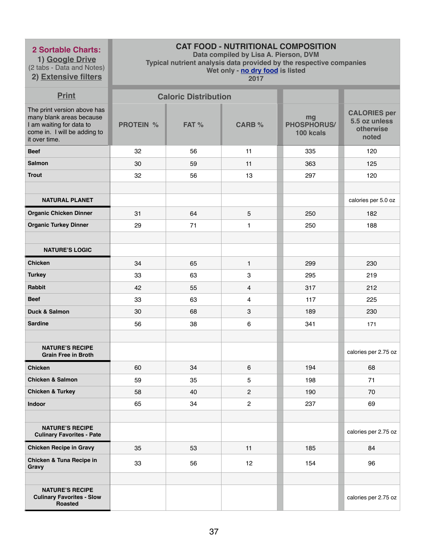**1) Google Drive** (2 tabs - Data and Notes) **2) Extensive filters**

# **CAT FOOD - NUTRITIONAL COMPOSITION**

**Data compiled by Lisa A. Pierson, DVM** 

**Typical nutrient analysis data provided by the respective companies** 

**Wet only - no dry food is listed** 

| <b>Print</b>                                                                                                                         |                  | <b>Caloric Distribution</b> |                |                                       |                                                            |
|--------------------------------------------------------------------------------------------------------------------------------------|------------------|-----------------------------|----------------|---------------------------------------|------------------------------------------------------------|
| The print version above has<br>many blank areas because<br>I am waiting for data to<br>come in. I will be adding to<br>it over time. | <b>PROTEIN %</b> | FAT %                       | <b>CARB %</b>  | mg<br><b>PHOSPHORUS/</b><br>100 kcals | <b>CALORIES per</b><br>5.5 oz unless<br>otherwise<br>noted |
| <b>Beef</b>                                                                                                                          | 32               | 56                          | 11             | 335                                   | 120                                                        |
| <b>Salmon</b>                                                                                                                        | 30               | 59                          | 11             | 363                                   | 125                                                        |
| <b>Trout</b>                                                                                                                         | 32               | 56                          | 13             | 297                                   | 120                                                        |
|                                                                                                                                      |                  |                             |                |                                       |                                                            |
| <b>NATURAL PLANET</b>                                                                                                                |                  |                             |                |                                       | calories per 5.0 oz                                        |
| <b>Organic Chicken Dinner</b>                                                                                                        | 31               | 64                          | 5              | 250                                   | 182                                                        |
| <b>Organic Turkey Dinner</b>                                                                                                         | 29               | 71                          | $\mathbf{1}$   | 250                                   | 188                                                        |
|                                                                                                                                      |                  |                             |                |                                       |                                                            |
| <b>NATURE'S LOGIC</b>                                                                                                                |                  |                             |                |                                       |                                                            |
| <b>Chicken</b>                                                                                                                       | 34               | 65                          | $\mathbf{1}$   | 299                                   | 230                                                        |
| <b>Turkey</b>                                                                                                                        | 33               | 63                          | 3              | 295                                   | 219                                                        |
| Rabbit                                                                                                                               | 42               | 55                          | $\overline{4}$ | 317                                   | 212                                                        |
| <b>Beef</b>                                                                                                                          | 33               | 63                          | $\overline{4}$ | 117                                   | 225                                                        |
| <b>Duck &amp; Salmon</b>                                                                                                             | 30               | 68                          | 3              | 189                                   | 230                                                        |
| <b>Sardine</b>                                                                                                                       | 56               | 38                          | $\,6$          | 341                                   | 171                                                        |
|                                                                                                                                      |                  |                             |                |                                       |                                                            |
| <b>NATURE'S RECIPE</b><br><b>Grain Free in Broth</b>                                                                                 |                  |                             |                |                                       | calories per 2.75 oz                                       |
| <b>Chicken</b>                                                                                                                       | 60               | 34                          | 6              | 194                                   | 68                                                         |
| <b>Chicken &amp; Salmon</b>                                                                                                          | 59               | 35                          | 5              | 198                                   | 71                                                         |
| <b>Chicken &amp; Turkey</b>                                                                                                          | 58               | 40                          | 2              | 190                                   | 70                                                         |
| Indoor                                                                                                                               | 65               | 34                          | $\mathbf{2}$   | 237                                   | 69                                                         |
|                                                                                                                                      |                  |                             |                |                                       |                                                            |
| <b>NATURE'S RECIPE</b><br><b>Culinary Favorites - Pate</b>                                                                           |                  |                             |                |                                       | calories per 2.75 oz                                       |
| <b>Chicken Recipe in Gravy</b>                                                                                                       | 35               | 53                          | 11             | 185                                   | 84                                                         |
| Chicken & Tuna Recipe in<br>Gravy                                                                                                    | 33               | 56                          | 12             | 154                                   | 96                                                         |
|                                                                                                                                      |                  |                             |                |                                       |                                                            |
| <b>NATURE'S RECIPE</b><br><b>Culinary Favorites - Slow</b><br><b>Roasted</b>                                                         |                  |                             |                |                                       | calories per 2.75 oz                                       |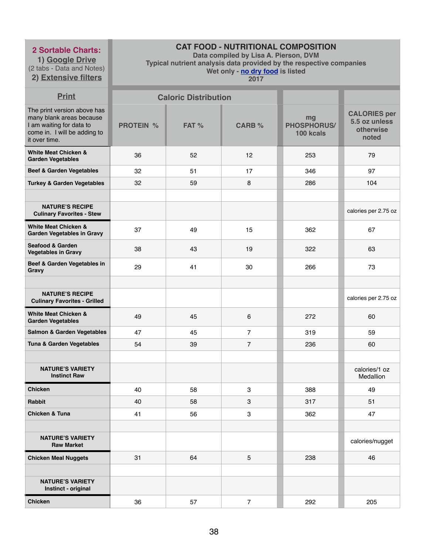**1) Google Drive** (2 tabs - Data and Notes) **2) Extensive filters**

# **CAT FOOD - NUTRITIONAL COMPOSITION**

**Data compiled by Lisa A. Pierson, DVM** 

**Typical nutrient analysis data provided by the respective companies** 

**Wet only - no dry food is listed** 

| <b>Print</b>                                                                                                                         |                  | <b>Caloric Distribution</b> |                |                                       |                                                            |
|--------------------------------------------------------------------------------------------------------------------------------------|------------------|-----------------------------|----------------|---------------------------------------|------------------------------------------------------------|
| The print version above has<br>many blank areas because<br>I am waiting for data to<br>come in. I will be adding to<br>it over time. | <b>PROTEIN %</b> | FAT %                       | <b>CARB %</b>  | mg<br><b>PHOSPHORUS/</b><br>100 kcals | <b>CALORIES per</b><br>5.5 oz unless<br>otherwise<br>noted |
| <b>White Meat Chicken &amp;</b><br><b>Garden Vegetables</b>                                                                          | 36               | 52                          | 12             | 253                                   | 79                                                         |
| <b>Beef &amp; Garden Vegetables</b>                                                                                                  | 32               | 51                          | 17             | 346                                   | 97                                                         |
| <b>Turkey &amp; Garden Vegetables</b>                                                                                                | 32               | 59                          | 8              | 286                                   | 104                                                        |
|                                                                                                                                      |                  |                             |                |                                       |                                                            |
| <b>NATURE'S RECIPE</b><br><b>Culinary Favorites - Stew</b>                                                                           |                  |                             |                |                                       | calories per 2.75 oz                                       |
| <b>White Meat Chicken &amp;</b><br><b>Garden Vegetables in Gravy</b>                                                                 | 37               | 49                          | 15             | 362                                   | 67                                                         |
| <b>Seafood &amp; Garden</b><br><b>Vegetables in Gravy</b>                                                                            | 38               | 43                          | 19             | 322                                   | 63                                                         |
| Beef & Garden Vegetables in<br><b>Gravy</b>                                                                                          | 29               | 41                          | 30             | 266                                   | 73                                                         |
|                                                                                                                                      |                  |                             |                |                                       |                                                            |
| <b>NATURE'S RECIPE</b><br><b>Culinary Favorites - Grilled</b>                                                                        |                  |                             |                |                                       | calories per 2.75 oz                                       |
| <b>White Meat Chicken &amp;</b><br><b>Garden Vegetables</b>                                                                          | 49               | 45                          | 6              | 272                                   | 60                                                         |
| <b>Salmon &amp; Garden Vegetables</b>                                                                                                | 47               | 45                          | 7              | 319                                   | 59                                                         |
| Tuna & Garden Vegetables                                                                                                             | 54               | 39                          | $\overline{7}$ | 236                                   | 60                                                         |
| <b>NATURE'S VARIETY</b><br><b>Instinct Raw</b>                                                                                       |                  |                             |                |                                       | calories/1 oz<br>Medallion                                 |
| <b>Chicken</b>                                                                                                                       | 40               | 58                          | 3              | 388                                   | 49                                                         |
| Rabbit                                                                                                                               | 40               | 58                          | 3              | 317                                   | 51                                                         |
| <b>Chicken &amp; Tuna</b>                                                                                                            | 41               | 56                          | 3              | 362                                   | 47                                                         |
|                                                                                                                                      |                  |                             |                |                                       |                                                            |
| <b>NATURE'S VARIETY</b><br><b>Raw Market</b>                                                                                         |                  |                             |                |                                       | calories/nugget                                            |
| <b>Chicken Meal Nuggets</b>                                                                                                          | 31               | 64                          | 5              | 238                                   | 46                                                         |
|                                                                                                                                      |                  |                             |                |                                       |                                                            |
| <b>NATURE'S VARIETY</b><br>Instinct - original                                                                                       |                  |                             |                |                                       |                                                            |
| <b>Chicken</b>                                                                                                                       | 36               | 57                          | $\overline{7}$ | 292                                   | 205                                                        |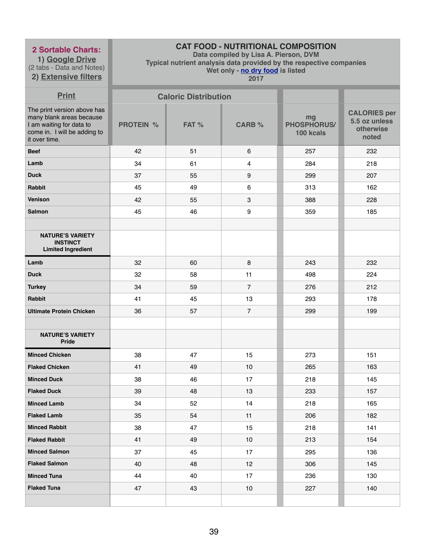**1) Google Drive** (2 tabs - Data and Notes) **2) Extensive filters**

# **CAT FOOD - NUTRITIONAL COMPOSITION**

**Data compiled by Lisa A. Pierson, DVM** 

**Typical nutrient analysis data provided by the respective companies** 

**Wet only - no dry food is listed** 

| <b>Print</b>                                                                                                                         |                  | <b>Caloric Distribution</b> |                  |                                       |                                                            |
|--------------------------------------------------------------------------------------------------------------------------------------|------------------|-----------------------------|------------------|---------------------------------------|------------------------------------------------------------|
| The print version above has<br>many blank areas because<br>I am waiting for data to<br>come in. I will be adding to<br>it over time. | <b>PROTEIN %</b> | FAT %                       | <b>CARB %</b>    | mg<br><b>PHOSPHORUS/</b><br>100 kcals | <b>CALORIES per</b><br>5.5 oz unless<br>otherwise<br>noted |
| <b>Beef</b>                                                                                                                          | 42               | 51                          | $6\phantom{1}$   | 257                                   | 232                                                        |
| Lamb                                                                                                                                 | 34               | 61                          | $\overline{4}$   | 284                                   | 218                                                        |
| <b>Duck</b>                                                                                                                          | 37               | 55                          | $\boldsymbol{9}$ | 299                                   | 207                                                        |
| <b>Rabbit</b>                                                                                                                        | 45               | 49                          | 6                | 313                                   | 162                                                        |
| <b>Venison</b>                                                                                                                       | 42               | 55                          | $\mathbf{3}$     | 388                                   | 228                                                        |
| <b>Salmon</b>                                                                                                                        | 45               | 46                          | $\boldsymbol{9}$ | 359                                   | 185                                                        |
|                                                                                                                                      |                  |                             |                  |                                       |                                                            |
| <b>NATURE'S VARIETY</b><br><b>INSTINCT</b><br><b>Limited Ingredient</b>                                                              |                  |                             |                  |                                       |                                                            |
| Lamb                                                                                                                                 | 32               | 60                          | 8                | 243                                   | 232                                                        |
| <b>Duck</b>                                                                                                                          | 32               | 58                          | 11               | 498                                   | 224                                                        |
| <b>Turkey</b>                                                                                                                        | 34               | 59                          | $\overline{7}$   | 276                                   | 212                                                        |
| Rabbit                                                                                                                               | 41               | 45                          | 13               | 293                                   | 178                                                        |
| <b>Ultimate Protein Chicken</b>                                                                                                      | 36               | 57                          | $\overline{7}$   | 299                                   | 199                                                        |
|                                                                                                                                      |                  |                             |                  |                                       |                                                            |
| <b>NATURE'S VARIETY</b><br><b>Pride</b>                                                                                              |                  |                             |                  |                                       |                                                            |
| <b>Minced Chicken</b>                                                                                                                | 38               | 47                          | 15               | 273                                   | 151                                                        |
| <b>Flaked Chicken</b>                                                                                                                | 41               | 49                          | 10               | 265                                   | 163                                                        |
| <b>Minced Duck</b>                                                                                                                   | 38               | 46                          | 17               | 218                                   | 145                                                        |
| <b>Flaked Duck</b>                                                                                                                   | 39               | 48                          | 13               | 233                                   | 157                                                        |
| <b>Minced Lamb</b>                                                                                                                   | 34               | 52                          | 14               | 218                                   | 165                                                        |
| <b>Flaked Lamb</b>                                                                                                                   | 35               | 54                          | 11               | 206                                   | 182                                                        |
| <b>Minced Rabbit</b>                                                                                                                 | 38               | 47                          | 15               | 218                                   | 141                                                        |
| <b>Flaked Rabbit</b>                                                                                                                 | 41               | 49                          | 10               | 213                                   | 154                                                        |
| <b>Minced Salmon</b>                                                                                                                 | 37               | 45                          | 17               | 295                                   | 136                                                        |
| <b>Flaked Salmon</b>                                                                                                                 | 40               | 48                          | 12               | 306                                   | 145                                                        |
| <b>Minced Tuna</b>                                                                                                                   | 44               | 40                          | 17               | 236                                   | 130                                                        |
| <b>Flaked Tuna</b>                                                                                                                   | 47               | 43                          | 10               | 227                                   | 140                                                        |
|                                                                                                                                      |                  |                             |                  |                                       |                                                            |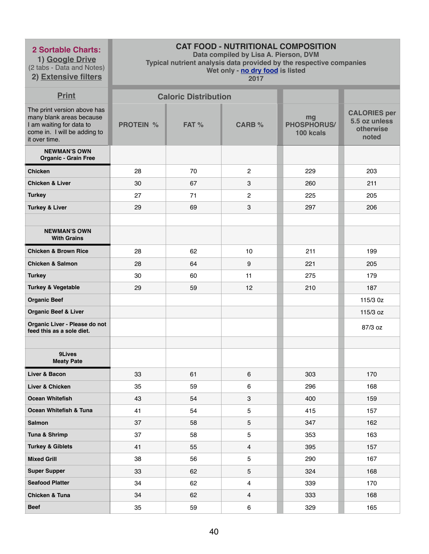**1) Google Drive** (2 tabs - Data and Notes)

# **2) Extensive filters**

# **CAT FOOD - NUTRITIONAL COMPOSITION**

**Data compiled by Lisa A. Pierson, DVM** 

**Typical nutrient analysis data provided by the respective companies** 

**Wet only - no dry food is listed** 

| <b>Print</b>                                                                                                                         |                  | <b>Caloric Distribution</b> |                |                                       |                                                            |
|--------------------------------------------------------------------------------------------------------------------------------------|------------------|-----------------------------|----------------|---------------------------------------|------------------------------------------------------------|
| The print version above has<br>many blank areas because<br>I am waiting for data to<br>come in. I will be adding to<br>it over time. | <b>PROTEIN %</b> | FAT %                       | <b>CARB %</b>  | mg<br><b>PHOSPHORUS/</b><br>100 kcals | <b>CALORIES per</b><br>5.5 oz unless<br>otherwise<br>noted |
| <b>NEWMAN'S OWN</b><br><b>Organic - Grain Free</b>                                                                                   |                  |                             |                |                                       |                                                            |
| <b>Chicken</b>                                                                                                                       | 28               | 70                          | $\overline{2}$ | 229                                   | 203                                                        |
| <b>Chicken &amp; Liver</b>                                                                                                           | 30               | 67                          | 3              | 260                                   | 211                                                        |
| <b>Turkey</b>                                                                                                                        | 27               | 71                          | $\overline{2}$ | 225                                   | 205                                                        |
| <b>Turkey &amp; Liver</b>                                                                                                            | 29               | 69                          | 3              | 297                                   | 206                                                        |
|                                                                                                                                      |                  |                             |                |                                       |                                                            |
| <b>NEWMAN'S OWN</b><br><b>With Grains</b>                                                                                            |                  |                             |                |                                       |                                                            |
| <b>Chicken &amp; Brown Rice</b>                                                                                                      | 28               | 62                          | 10             | 211                                   | 199                                                        |
| <b>Chicken &amp; Salmon</b>                                                                                                          | 28               | 64                          | 9              | 221                                   | 205                                                        |
| <b>Turkey</b>                                                                                                                        | 30               | 60                          | 11             | 275                                   | 179                                                        |
| <b>Turkey &amp; Vegetable</b>                                                                                                        | 29               | 59                          | 12             | 210                                   | 187                                                        |
| <b>Organic Beef</b>                                                                                                                  |                  |                             |                |                                       | 115/3 0z                                                   |
| <b>Organic Beef &amp; Liver</b>                                                                                                      |                  |                             |                |                                       | 115/3 oz                                                   |
| Organic Liver - Please do not<br>feed this as a sole diet.                                                                           |                  |                             |                |                                       | 87/3 oz                                                    |
| 9Lives<br><b>Meaty Pate</b>                                                                                                          |                  |                             |                |                                       |                                                            |
| Liver & Bacon                                                                                                                        | 33               | 61                          | 6              | 303                                   | 170                                                        |
| Liver & Chicken                                                                                                                      | 35               | 59                          | 6              | 296                                   | 168                                                        |
| <b>Ocean Whitefish</b>                                                                                                               | 43               | 54                          | 3              | 400                                   | 159                                                        |
| Ocean Whitefish & Tuna                                                                                                               | 41               | 54                          | 5              | 415                                   | 157                                                        |
| <b>Salmon</b>                                                                                                                        | 37               | 58                          | 5              | 347                                   | 162                                                        |
| Tuna & Shrimp                                                                                                                        | 37               | 58                          | 5              | 353                                   | 163                                                        |
| <b>Turkey &amp; Giblets</b>                                                                                                          | 41               | 55                          | $\overline{4}$ | 395                                   | 157                                                        |
| <b>Mixed Grill</b>                                                                                                                   | 38               | 56                          | 5              | 290                                   | 167                                                        |
| <b>Super Supper</b>                                                                                                                  | 33               | 62                          | 5              | 324                                   | 168                                                        |
| <b>Seafood Platter</b>                                                                                                               | 34               | 62                          | 4              | 339                                   | 170                                                        |
| <b>Chicken &amp; Tuna</b>                                                                                                            | 34               | 62                          | 4              | 333                                   | 168                                                        |
| <b>Beef</b>                                                                                                                          | 35               | 59                          | 6              | 329                                   | 165                                                        |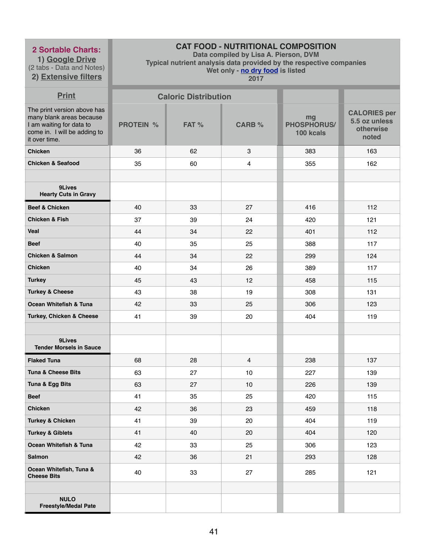**1) Google Drive** (2 tabs - Data and Notes) **2) Extensive filters**

# **CAT FOOD - NUTRITIONAL COMPOSITION**

**Data compiled by Lisa A. Pierson, DVM** 

**Typical nutrient analysis data provided by the respective companies** 

**Wet only - no dry food is listed** 

| <b>Print</b>                                                                                                                         |                  | <b>Caloric Distribution</b> |                |                                       |                                                            |
|--------------------------------------------------------------------------------------------------------------------------------------|------------------|-----------------------------|----------------|---------------------------------------|------------------------------------------------------------|
| The print version above has<br>many blank areas because<br>I am waiting for data to<br>come in. I will be adding to<br>it over time. | <b>PROTEIN %</b> | FAT %                       | <b>CARB %</b>  | mg<br><b>PHOSPHORUS/</b><br>100 kcals | <b>CALORIES per</b><br>5.5 oz unless<br>otherwise<br>noted |
| <b>Chicken</b>                                                                                                                       | 36               | 62                          | 3              | 383                                   | 163                                                        |
| <b>Chicken &amp; Seafood</b>                                                                                                         | 35               | 60                          | 4              | 355                                   | 162                                                        |
|                                                                                                                                      |                  |                             |                |                                       |                                                            |
| 9Lives<br><b>Hearty Cuts in Gravy</b>                                                                                                |                  |                             |                |                                       |                                                            |
| <b>Beef &amp; Chicken</b>                                                                                                            | 40               | 33                          | 27             | 416                                   | 112                                                        |
| <b>Chicken &amp; Fish</b>                                                                                                            | 37               | 39                          | 24             | 420                                   | 121                                                        |
| <b>Veal</b>                                                                                                                          | 44               | 34                          | 22             | 401                                   | 112                                                        |
| <b>Beef</b>                                                                                                                          | 40               | 35                          | 25             | 388                                   | 117                                                        |
| <b>Chicken &amp; Salmon</b>                                                                                                          | 44               | 34                          | 22             | 299                                   | 124                                                        |
| <b>Chicken</b>                                                                                                                       | 40               | 34                          | 26             | 389                                   | 117                                                        |
| <b>Turkey</b>                                                                                                                        | 45               | 43                          | 12             | 458                                   | 115                                                        |
| <b>Turkey &amp; Cheese</b>                                                                                                           | 43               | 38                          | 19             | 308                                   | 131                                                        |
| Ocean Whitefish & Tuna                                                                                                               | 42               | 33                          | 25             | 306                                   | 123                                                        |
| Turkey, Chicken & Cheese                                                                                                             | 41               | 39                          | 20             | 404                                   | 119                                                        |
|                                                                                                                                      |                  |                             |                |                                       |                                                            |
| 9Lives<br><b>Tender Morsels in Sauce</b>                                                                                             |                  |                             |                |                                       |                                                            |
| <b>Flaked Tuna</b>                                                                                                                   | 68               | 28                          | $\overline{4}$ | 238                                   | 137                                                        |
| <b>Tuna &amp; Cheese Bits</b>                                                                                                        | 63               | 27                          | 10             | 227                                   | 139                                                        |
| Tuna & Egg Bits                                                                                                                      | 63               | 27                          | 10             | 226                                   | 139                                                        |
| <b>Beef</b>                                                                                                                          | 41               | 35                          | 25             | 420                                   | 115                                                        |
| <b>Chicken</b>                                                                                                                       | 42               | 36                          | 23             | 459                                   | 118                                                        |
| <b>Turkey &amp; Chicken</b>                                                                                                          | 41               | 39                          | 20             | 404                                   | 119                                                        |
| <b>Turkey &amp; Giblets</b>                                                                                                          | 41               | 40                          | 20             | 404                                   | 120                                                        |
| Ocean Whitefish & Tuna                                                                                                               | 42               | 33                          | 25             | 306                                   | 123                                                        |
| <b>Salmon</b>                                                                                                                        | 42               | 36                          | 21             | 293                                   | 128                                                        |
| Ocean Whitefish, Tuna &<br><b>Cheese Bits</b>                                                                                        | 40               | 33                          | 27             | 285                                   | 121                                                        |
|                                                                                                                                      |                  |                             |                |                                       |                                                            |
| <b>NULO</b><br><b>Freestyle/Medal Pate</b>                                                                                           |                  |                             |                |                                       |                                                            |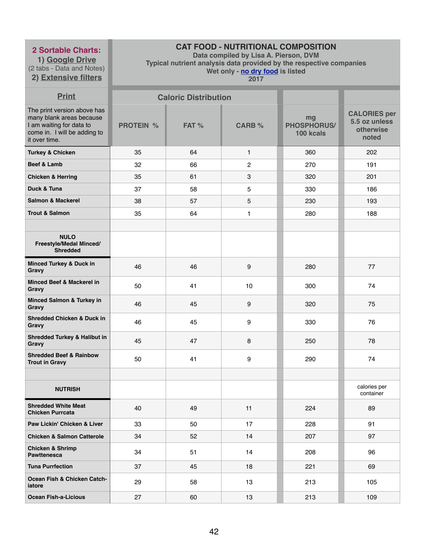**1) Google Drive** (2 tabs - Data and Notes) **2) Extensive filters**

# **CAT FOOD - NUTRITIONAL COMPOSITION**

**Data compiled by Lisa A. Pierson, DVM** 

**Typical nutrient analysis data provided by the respective companies** 

**Wet only - no dry food is listed** 

| <b>Print</b>                                                                                                                         |                  | <b>Caloric Distribution</b> |                |                                       |                                                            |
|--------------------------------------------------------------------------------------------------------------------------------------|------------------|-----------------------------|----------------|---------------------------------------|------------------------------------------------------------|
| The print version above has<br>many blank areas because<br>I am waiting for data to<br>come in. I will be adding to<br>it over time. | <b>PROTEIN %</b> | FAT %                       | <b>CARB %</b>  | mg<br><b>PHOSPHORUS/</b><br>100 kcals | <b>CALORIES per</b><br>5.5 oz unless<br>otherwise<br>noted |
| <b>Turkey &amp; Chicken</b>                                                                                                          | 35               | 64                          | $\mathbf{1}$   | 360                                   | 202                                                        |
| Beef & Lamb                                                                                                                          | 32               | 66                          | $\overline{2}$ | 270                                   | 191                                                        |
| <b>Chicken &amp; Herring</b>                                                                                                         | 35               | 61                          | $\mathbf{3}$   | 320                                   | 201                                                        |
| Duck & Tuna                                                                                                                          | 37               | 58                          | 5              | 330                                   | 186                                                        |
| <b>Salmon &amp; Mackerel</b>                                                                                                         | 38               | 57                          | 5              | 230                                   | 193                                                        |
| <b>Trout &amp; Salmon</b>                                                                                                            | 35               | 64                          | $\mathbf{1}$   | 280                                   | 188                                                        |
|                                                                                                                                      |                  |                             |                |                                       |                                                            |
| <b>NULO</b><br>Freestyle/Medal Minced/<br><b>Shredded</b>                                                                            |                  |                             |                |                                       |                                                            |
| <b>Minced Turkey &amp; Duck in</b><br>Gravy                                                                                          | 46               | 46                          | 9              | 280                                   | 77                                                         |
| <b>Minced Beef &amp; Mackerel in</b><br>Gravy                                                                                        | 50               | 41                          | 10             | 300                                   | 74                                                         |
| <b>Minced Salmon &amp; Turkey in</b><br>Gravy                                                                                        | 46               | 45                          | 9              | 320                                   | 75                                                         |
| <b>Shredded Chicken &amp; Duck in</b><br>Gravy                                                                                       | 46               | 45                          | 9              | 330                                   | 76                                                         |
| <b>Shredded Turkey &amp; Halibut in</b><br>Gravy                                                                                     | 45               | 47                          | 8              | 250                                   | 78                                                         |
| <b>Shredded Beef &amp; Rainbow</b><br><b>Trout in Gravy</b>                                                                          | 50               | 41                          | 9              | 290                                   | 74                                                         |
|                                                                                                                                      |                  |                             |                |                                       |                                                            |
| <b>NUTRISH</b>                                                                                                                       |                  |                             |                |                                       | calories per<br>container                                  |
| <b>Shredded White Meat</b><br><b>Chicken Purrcata</b>                                                                                | 40               | 49                          | 11             | 224                                   | 89                                                         |
| Paw Lickin' Chicken & Liver                                                                                                          | 33               | 50                          | 17             | 228                                   | 91                                                         |
| <b>Chicken &amp; Salmon Catterole</b>                                                                                                | 34               | 52                          | 14             | 207                                   | 97                                                         |
| <b>Chicken &amp; Shrimp</b><br><b>Pawttenesca</b>                                                                                    | 34               | 51                          | 14             | 208                                   | 96                                                         |
| <b>Tuna Purrfection</b>                                                                                                              | 37               | 45                          | 18             | 221                                   | 69                                                         |
| Ocean Fish & Chicken Catch-<br>iatore                                                                                                | 29               | 58                          | 13             | 213                                   | 105                                                        |
| <b>Ocean Fish-a-Licious</b>                                                                                                          | 27               | 60                          | 13             | 213                                   | 109                                                        |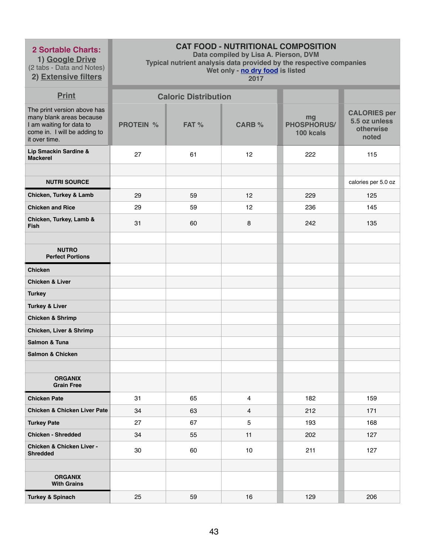**1) Google Drive** (2 tabs - Data and Notes)

**2) Extensive filters**

# **CAT FOOD - NUTRITIONAL COMPOSITION**

**Data compiled by Lisa A. Pierson, DVM** 

**Typical nutrient analysis data provided by the respective companies** 

**Wet only - no dry food is listed** 

| <b>Print</b>                                                                                                                         |                  | <b>Caloric Distribution</b> |                |                                       |                                                            |
|--------------------------------------------------------------------------------------------------------------------------------------|------------------|-----------------------------|----------------|---------------------------------------|------------------------------------------------------------|
| The print version above has<br>many blank areas because<br>I am waiting for data to<br>come in. I will be adding to<br>it over time. | <b>PROTEIN %</b> | FAT %                       | <b>CARB %</b>  | mg<br><b>PHOSPHORUS/</b><br>100 kcals | <b>CALORIES per</b><br>5.5 oz unless<br>otherwise<br>noted |
| Lip Smackin Sardine &<br><b>Mackerel</b>                                                                                             | 27               | 61                          | 12             | 222                                   | 115                                                        |
|                                                                                                                                      |                  |                             |                |                                       |                                                            |
| <b>NUTRI SOURCE</b>                                                                                                                  |                  |                             |                |                                       | calories per 5.0 oz                                        |
| Chicken, Turkey & Lamb                                                                                                               | 29               | 59                          | 12             | 229                                   | 125                                                        |
| <b>Chicken and Rice</b>                                                                                                              | 29               | 59                          | 12             | 236                                   | 145                                                        |
| Chicken, Turkey, Lamb &<br><b>Fish</b>                                                                                               | 31               | 60                          | 8              | 242                                   | 135                                                        |
| <b>NUTRO</b><br><b>Perfect Portions</b>                                                                                              |                  |                             |                |                                       |                                                            |
| <b>Chicken</b>                                                                                                                       |                  |                             |                |                                       |                                                            |
| <b>Chicken &amp; Liver</b>                                                                                                           |                  |                             |                |                                       |                                                            |
| <b>Turkey</b>                                                                                                                        |                  |                             |                |                                       |                                                            |
| <b>Turkey &amp; Liver</b>                                                                                                            |                  |                             |                |                                       |                                                            |
| <b>Chicken &amp; Shrimp</b>                                                                                                          |                  |                             |                |                                       |                                                            |
| <b>Chicken, Liver &amp; Shrimp</b>                                                                                                   |                  |                             |                |                                       |                                                            |
| Salmon & Tuna                                                                                                                        |                  |                             |                |                                       |                                                            |
| <b>Salmon &amp; Chicken</b>                                                                                                          |                  |                             |                |                                       |                                                            |
|                                                                                                                                      |                  |                             |                |                                       |                                                            |
| <b>ORGANIX</b><br><b>Grain Free</b>                                                                                                  |                  |                             |                |                                       |                                                            |
| <b>Chicken Pate</b>                                                                                                                  | 31               | 65                          | $\overline{4}$ | 182                                   | 159                                                        |
| <b>Chicken &amp; Chicken Liver Pate</b>                                                                                              | 34               | 63                          | 4              | 212                                   | 171                                                        |
| <b>Turkey Pate</b>                                                                                                                   | 27               | 67                          | 5              | 193                                   | 168                                                        |
| <b>Chicken - Shredded</b>                                                                                                            | 34               | 55                          | 11             | 202                                   | 127                                                        |
| <b>Chicken &amp; Chicken Liver -</b><br><b>Shredded</b>                                                                              | 30               | 60                          | 10             | 211                                   | 127                                                        |
|                                                                                                                                      |                  |                             |                |                                       |                                                            |
| <b>ORGANIX</b><br><b>With Grains</b>                                                                                                 |                  |                             |                |                                       |                                                            |
| <b>Turkey &amp; Spinach</b>                                                                                                          | 25               | 59                          | 16             | 129                                   | 206                                                        |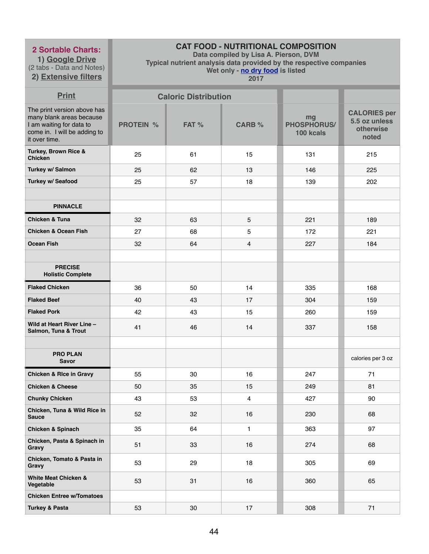**1) Google Drive** (2 tabs - Data and Notes)

**2) Extensive filters**

# **CAT FOOD - NUTRITIONAL COMPOSITION**

**Data compiled by Lisa A. Pierson, DVM** 

**Typical nutrient analysis data provided by the respective companies** 

**Wet only - no dry food is listed** 

| <b>Print</b>                                                                                                                         |                  | <b>Caloric Distribution</b> |                         |                                       |                                                            |
|--------------------------------------------------------------------------------------------------------------------------------------|------------------|-----------------------------|-------------------------|---------------------------------------|------------------------------------------------------------|
| The print version above has<br>many blank areas because<br>I am waiting for data to<br>come in. I will be adding to<br>it over time. | <b>PROTEIN %</b> | FAT %                       | <b>CARB %</b>           | mg<br><b>PHOSPHORUS/</b><br>100 kcals | <b>CALORIES per</b><br>5.5 oz unless<br>otherwise<br>noted |
| Turkey, Brown Rice &<br><b>Chicken</b>                                                                                               | 25               | 61                          | 15                      | 131                                   | 215                                                        |
| Turkey w/ Salmon                                                                                                                     | 25               | 62                          | 13                      | 146                                   | 225                                                        |
| <b>Turkey w/ Seafood</b>                                                                                                             | 25               | 57                          | 18                      | 139                                   | 202                                                        |
|                                                                                                                                      |                  |                             |                         |                                       |                                                            |
| <b>PINNACLE</b>                                                                                                                      |                  |                             |                         |                                       |                                                            |
| <b>Chicken &amp; Tuna</b>                                                                                                            | 32               | 63                          | 5                       | 221                                   | 189                                                        |
| <b>Chicken &amp; Ocean Fish</b>                                                                                                      | 27               | 68                          | 5                       | 172                                   | 221                                                        |
| <b>Ocean Fish</b>                                                                                                                    | 32               | 64                          | 4                       | 227                                   | 184                                                        |
|                                                                                                                                      |                  |                             |                         |                                       |                                                            |
| <b>PRECISE</b><br><b>Holistic Complete</b>                                                                                           |                  |                             |                         |                                       |                                                            |
| <b>Flaked Chicken</b>                                                                                                                | 36               | 50                          | 14                      | 335                                   | 168                                                        |
| <b>Flaked Beef</b>                                                                                                                   | 40               | 43                          | 17                      | 304                                   | 159                                                        |
| <b>Flaked Pork</b>                                                                                                                   | 42               | 43                          | 15                      | 260                                   | 159                                                        |
| Wild at Heart River Line -<br>Salmon, Tuna & Trout                                                                                   | 41               | 46                          | 14                      | 337                                   | 158                                                        |
| <b>PRO PLAN</b><br><b>Savor</b>                                                                                                      |                  |                             |                         |                                       | calories per 3 oz                                          |
| <b>Chicken &amp; Rice in Gravy</b>                                                                                                   | 55               | 30                          | 16                      | 247                                   | 71                                                         |
| <b>Chicken &amp; Cheese</b>                                                                                                          | 50               | 35                          | 15                      | 249                                   | 81                                                         |
| <b>Chunky Chicken</b>                                                                                                                | 43               | 53                          | $\overline{\mathbf{4}}$ | 427                                   | 90                                                         |
| Chicken, Tuna & Wild Rice in<br><b>Sauce</b>                                                                                         | 52               | 32                          | 16                      | 230                                   | 68                                                         |
| <b>Chicken &amp; Spinach</b>                                                                                                         | 35               | 64                          | $\mathbf{1}$            | 363                                   | 97                                                         |
| Chicken, Pasta & Spinach in<br>Gravy                                                                                                 | 51               | 33                          | 16                      | 274                                   | 68                                                         |
| Chicken, Tomato & Pasta in<br>Gravy                                                                                                  | 53               | 29                          | 18                      | 305                                   | 69                                                         |
| <b>White Meat Chicken &amp;</b><br>Vegetable                                                                                         | 53               | 31                          | 16                      | 360                                   | 65                                                         |
| <b>Chicken Entree w/Tomatoes</b>                                                                                                     |                  |                             |                         |                                       |                                                            |
| <b>Turkey &amp; Pasta</b>                                                                                                            | 53               | 30                          | 17                      | 308                                   | 71                                                         |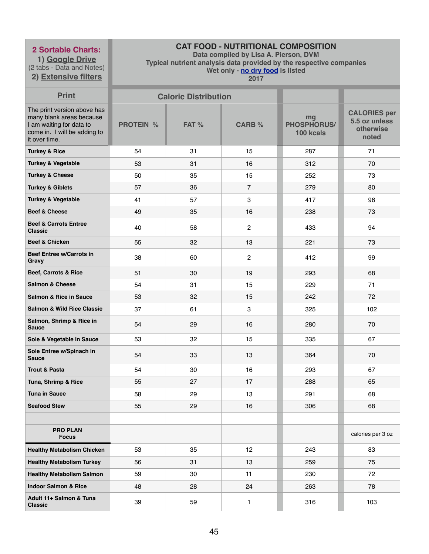**1) Google Drive** (2 tabs - Data and Notes) **2) Extensive filters**

# **CAT FOOD - NUTRITIONAL COMPOSITION**

**Data compiled by Lisa A. Pierson, DVM** 

**Typical nutrient analysis data provided by the respective companies** 

**Wet only - no dry food is listed** 

| <b>Print</b>                                                                                                                         |                  | <b>Caloric Distribution</b> |                |                                       |                                                            |
|--------------------------------------------------------------------------------------------------------------------------------------|------------------|-----------------------------|----------------|---------------------------------------|------------------------------------------------------------|
| The print version above has<br>many blank areas because<br>I am waiting for data to<br>come in. I will be adding to<br>it over time. | <b>PROTEIN %</b> | FAT %                       | <b>CARB %</b>  | mg<br><b>PHOSPHORUS/</b><br>100 kcals | <b>CALORIES per</b><br>5.5 oz unless<br>otherwise<br>noted |
| <b>Turkey &amp; Rice</b>                                                                                                             | 54               | 31                          | 15             | 287                                   | 71                                                         |
| <b>Turkey &amp; Vegetable</b>                                                                                                        | 53               | 31                          | 16             | 312                                   | 70                                                         |
| <b>Turkey &amp; Cheese</b>                                                                                                           | 50               | 35                          | 15             | 252                                   | 73                                                         |
| <b>Turkey &amp; Giblets</b>                                                                                                          | 57               | 36                          | $\overline{7}$ | 279                                   | 80                                                         |
| <b>Turkey &amp; Vegetable</b>                                                                                                        | 41               | 57                          | 3              | 417                                   | 96                                                         |
| <b>Beef &amp; Cheese</b>                                                                                                             | 49               | 35                          | 16             | 238                                   | 73                                                         |
| <b>Beef &amp; Carrots Entree</b><br><b>Classic</b>                                                                                   | 40               | 58                          | $\overline{2}$ | 433                                   | 94                                                         |
| <b>Beef &amp; Chicken</b>                                                                                                            | 55               | 32                          | 13             | 221                                   | 73                                                         |
| <b>Beef Entree w/Carrots in</b><br><b>Gravy</b>                                                                                      | 38               | 60                          | $\overline{2}$ | 412                                   | 99                                                         |
| <b>Beef, Carrots &amp; Rice</b>                                                                                                      | 51               | 30                          | 19             | 293                                   | 68                                                         |
| <b>Salmon &amp; Cheese</b>                                                                                                           | 54               | 31                          | 15             | 229                                   | 71                                                         |
| <b>Salmon &amp; Rice in Sauce</b>                                                                                                    | 53               | 32                          | 15             | 242                                   | 72                                                         |
| <b>Salmon &amp; Wild Rice Classic</b>                                                                                                | 37               | 61                          | 3              | 325                                   | 102                                                        |
| Salmon, Shrimp & Rice in<br><b>Sauce</b>                                                                                             | 54               | 29                          | 16             | 280                                   | 70                                                         |
| Sole & Vegetable in Sauce                                                                                                            | 53               | 32                          | 15             | 335                                   | 67                                                         |
| Sole Entree w/Spinach in<br><b>Sauce</b>                                                                                             | 54               | 33                          | 13             | 364                                   | 70                                                         |
| <b>Trout &amp; Pasta</b>                                                                                                             | 54               | 30                          | 16             | 293                                   | 67                                                         |
| Tuna, Shrimp & Rice                                                                                                                  | 55               | 27                          | 17             | 288                                   | 65                                                         |
| <b>Tuna in Sauce</b>                                                                                                                 | 58               | 29                          | 13             | 291                                   | 68                                                         |
| <b>Seafood Stew</b>                                                                                                                  | 55               | 29                          | 16             | 306                                   | 68                                                         |
|                                                                                                                                      |                  |                             |                |                                       |                                                            |
| <b>PRO PLAN</b><br><b>Focus</b>                                                                                                      |                  |                             |                |                                       | calories per 3 oz                                          |
| <b>Healthy Metabolism Chicken</b>                                                                                                    | 53               | 35                          | 12             | 243                                   | 83                                                         |
| <b>Healthy Metabolism Turkey</b>                                                                                                     | 56               | 31                          | 13             | 259                                   | 75                                                         |
| <b>Healthy Metabolism Salmon</b>                                                                                                     | 59               | 30                          | 11             | 230                                   | 72                                                         |
| <b>Indoor Salmon &amp; Rice</b>                                                                                                      | 48               | 28                          | 24             | 263                                   | 78                                                         |
| Adult 11+ Salmon & Tuna<br><b>Classic</b>                                                                                            | 39               | 59                          | 1              | 316                                   | 103                                                        |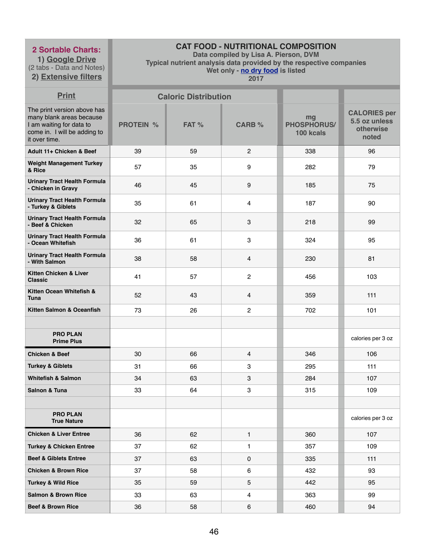**1) Google Drive** (2 tabs - Data and Notes)

# **2) Extensive filters**

# **CAT FOOD - NUTRITIONAL COMPOSITION**

**Data compiled by Lisa A. Pierson, DVM** 

**Typical nutrient analysis data provided by the respective companies** 

**Wet only - no dry food is listed** 

| <b>Print</b>                                                                                                                         |                  | <b>Caloric Distribution</b> |                |                                       |                                                            |
|--------------------------------------------------------------------------------------------------------------------------------------|------------------|-----------------------------|----------------|---------------------------------------|------------------------------------------------------------|
| The print version above has<br>many blank areas because<br>I am waiting for data to<br>come in. I will be adding to<br>it over time. | <b>PROTEIN %</b> | FAT %                       | <b>CARB %</b>  | mg<br><b>PHOSPHORUS/</b><br>100 kcals | <b>CALORIES per</b><br>5.5 oz unless<br>otherwise<br>noted |
| Adult 11+ Chicken & Beef                                                                                                             | 39               | 59                          | $\overline{2}$ | 338                                   | 96                                                         |
| <b>Weight Management Turkey</b><br>& Rice                                                                                            | 57               | 35                          | 9              | 282                                   | 79                                                         |
| <b>Urinary Tract Health Formula</b><br>- Chicken in Gravy                                                                            | 46               | 45                          | 9              | 185                                   | 75                                                         |
| <b>Urinary Tract Health Formula</b><br>- Turkey & Giblets                                                                            | 35               | 61                          | 4              | 187                                   | 90                                                         |
| <b>Urinary Tract Health Formula</b><br>- Beef & Chicken                                                                              | 32               | 65                          | 3              | 218                                   | 99                                                         |
| <b>Urinary Tract Health Formula</b><br>- Ocean Whitefish                                                                             | 36               | 61                          | 3              | 324                                   | 95                                                         |
| <b>Urinary Tract Health Formula</b><br>- With Salmon                                                                                 | 38               | 58                          | 4              | 230                                   | 81                                                         |
| Kitten Chicken & Liver<br><b>Classic</b>                                                                                             | 41               | 57                          | $\overline{c}$ | 456                                   | 103                                                        |
| Kitten Ocean Whitefish &<br><b>Tuna</b>                                                                                              | 52               | 43                          | 4              | 359                                   | 111                                                        |
| Kitten Salmon & Oceanfish                                                                                                            | 73               | 26                          | $\overline{c}$ | 702                                   | 101                                                        |
|                                                                                                                                      |                  |                             |                |                                       |                                                            |
| <b>PRO PLAN</b><br><b>Prime Plus</b>                                                                                                 |                  |                             |                |                                       | calories per 3 oz                                          |
| <b>Chicken &amp; Beef</b>                                                                                                            | 30               | 66                          | 4              | 346                                   | 106                                                        |
| <b>Turkey &amp; Giblets</b>                                                                                                          | 31               | 66                          | 3              | 295                                   | 111                                                        |
| <b>Whitefish &amp; Salmon</b>                                                                                                        | 34               | 63                          | 3              | 284                                   | 107                                                        |
| <b>Salnon &amp; Tuna</b>                                                                                                             | 33               | 64                          | 3              | 315                                   | 109                                                        |
|                                                                                                                                      |                  |                             |                |                                       |                                                            |
| <b>PRO PLAN</b><br><b>True Nature</b>                                                                                                |                  |                             |                |                                       | calories per 3 oz                                          |
| <b>Chicken &amp; Liver Entree</b>                                                                                                    | 36               | 62                          | 1              | 360                                   | 107                                                        |
| <b>Turkey &amp; Chicken Entree</b>                                                                                                   | 37               | 62                          | 1              | 357                                   | 109                                                        |
| <b>Beef &amp; Giblets Entree</b>                                                                                                     | 37               | 63                          | 0              | 335                                   | 111                                                        |
| <b>Chicken &amp; Brown Rice</b>                                                                                                      | 37               | 58                          | 6              | 432                                   | 93                                                         |
| <b>Turkey &amp; Wild Rice</b>                                                                                                        | 35               | 59                          | 5              | 442                                   | 95                                                         |
| <b>Salmon &amp; Brown Rice</b>                                                                                                       | 33               | 63                          | 4              | 363                                   | 99                                                         |
| <b>Beef &amp; Brown Rice</b>                                                                                                         | 36               | 58                          | 6              | 460                                   | 94                                                         |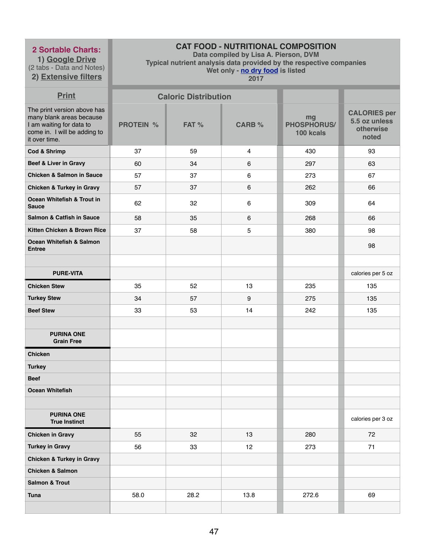**1) Google Drive** (2 tabs - Data and Notes) **2) Extensive filters**

# **CAT FOOD - NUTRITIONAL COMPOSITION**

**Data compiled by Lisa A. Pierson, DVM** 

**Typical nutrient analysis data provided by the respective companies** 

**Wet only - no dry food is listed** 

| <b>Print</b>                                                                                                                         |                  | <b>Caloric Distribution</b> |                  |                                       |                                                            |
|--------------------------------------------------------------------------------------------------------------------------------------|------------------|-----------------------------|------------------|---------------------------------------|------------------------------------------------------------|
| The print version above has<br>many blank areas because<br>I am waiting for data to<br>come in. I will be adding to<br>it over time. | <b>PROTEIN %</b> | FAT %                       | <b>CARB %</b>    | mg<br><b>PHOSPHORUS/</b><br>100 kcals | <b>CALORIES per</b><br>5.5 oz unless<br>otherwise<br>noted |
| <b>Cod &amp; Shrimp</b>                                                                                                              | 37               | 59                          | $\overline{4}$   | 430                                   | 93                                                         |
| <b>Beef &amp; Liver in Gravy</b>                                                                                                     | 60               | 34                          | 6                | 297                                   | 63                                                         |
| <b>Chicken &amp; Salmon in Sauce</b>                                                                                                 | 57               | 37                          | $\,6$            | 273                                   | 67                                                         |
| <b>Chicken &amp; Turkey in Gravy</b>                                                                                                 | 57               | 37                          | 6                | 262                                   | 66                                                         |
| Ocean Whitefish & Trout in<br><b>Sauce</b>                                                                                           | 62               | 32                          | 6                | 309                                   | 64                                                         |
| <b>Salmon &amp; Catfish in Sauce</b>                                                                                                 | 58               | 35                          | 6                | 268                                   | 66                                                         |
| Kitten Chicken & Brown Rice                                                                                                          | 37               | 58                          | 5                | 380                                   | 98                                                         |
| <b>Ocean Whitefish &amp; Salmon</b><br><b>Entree</b>                                                                                 |                  |                             |                  |                                       | 98                                                         |
|                                                                                                                                      |                  |                             |                  |                                       |                                                            |
| <b>PURE-VITA</b>                                                                                                                     |                  |                             |                  |                                       | calories per 5 oz                                          |
| <b>Chicken Stew</b>                                                                                                                  | 35               | 52                          | 13               | 235                                   | 135                                                        |
| <b>Turkey Stew</b>                                                                                                                   | 34               | 57                          | $\boldsymbol{9}$ | 275                                   | 135                                                        |
| <b>Beef Stew</b>                                                                                                                     | 33               | 53                          | 14               | 242                                   | 135                                                        |
| <b>PURINA ONE</b><br><b>Grain Free</b>                                                                                               |                  |                             |                  |                                       |                                                            |
| <b>Chicken</b>                                                                                                                       |                  |                             |                  |                                       |                                                            |
| <b>Turkey</b>                                                                                                                        |                  |                             |                  |                                       |                                                            |
| <b>Beef</b>                                                                                                                          |                  |                             |                  |                                       |                                                            |
| <b>Ocean Whitefish</b>                                                                                                               |                  |                             |                  |                                       |                                                            |
|                                                                                                                                      |                  |                             |                  |                                       |                                                            |
| <b>PURINA ONE</b><br><b>True Instinct</b>                                                                                            |                  |                             |                  |                                       | calories per 3 oz                                          |
| <b>Chicken in Gravy</b>                                                                                                              | 55               | 32                          | 13               | 280                                   | 72                                                         |
| <b>Turkey in Gravy</b>                                                                                                               | 56               | 33                          | 12               | 273                                   | 71                                                         |
| <b>Chicken &amp; Turkey in Gravy</b>                                                                                                 |                  |                             |                  |                                       |                                                            |
| <b>Chicken &amp; Salmon</b>                                                                                                          |                  |                             |                  |                                       |                                                            |
| <b>Salmon &amp; Trout</b>                                                                                                            |                  |                             |                  |                                       |                                                            |
| <b>Tuna</b>                                                                                                                          | 58.0             | 28.2                        | 13.8             | 272.6                                 | 69                                                         |
|                                                                                                                                      |                  |                             |                  |                                       |                                                            |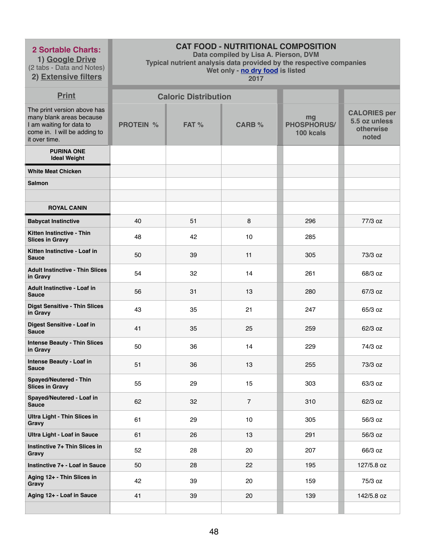**1) Google Drive** (2 tabs - Data and Notes)

**2) Extensive filters**

# **CAT FOOD - NUTRITIONAL COMPOSITION**

**Data compiled by Lisa A. Pierson, DVM** 

**Typical nutrient analysis data provided by the respective companies** 

**Wet only - no dry food is listed** 

| <b>Print</b>                                                                                                                         |                  | <b>Caloric Distribution</b> |                |                                       |                                                            |
|--------------------------------------------------------------------------------------------------------------------------------------|------------------|-----------------------------|----------------|---------------------------------------|------------------------------------------------------------|
| The print version above has<br>many blank areas because<br>I am waiting for data to<br>come in. I will be adding to<br>it over time. | <b>PROTEIN %</b> | FAT %                       | <b>CARB %</b>  | mg<br><b>PHOSPHORUS/</b><br>100 kcals | <b>CALORIES per</b><br>5.5 oz unless<br>otherwise<br>noted |
| <b>PURINA ONE</b><br><b>Ideal Weight</b>                                                                                             |                  |                             |                |                                       |                                                            |
| <b>White Meat Chicken</b>                                                                                                            |                  |                             |                |                                       |                                                            |
| <b>Salmon</b>                                                                                                                        |                  |                             |                |                                       |                                                            |
|                                                                                                                                      |                  |                             |                |                                       |                                                            |
| <b>ROYAL CANIN</b>                                                                                                                   |                  |                             |                |                                       |                                                            |
| <b>Babycat Instinctive</b>                                                                                                           | 40               | 51                          | 8              | 296                                   | 77/3 oz                                                    |
| Kitten Instinctive - Thin<br><b>Slices in Gravy</b>                                                                                  | 48               | 42                          | 10             | 285                                   |                                                            |
| Kitten Instinctive - Loaf in<br><b>Sauce</b>                                                                                         | 50               | 39                          | 11             | 305                                   | 73/3 oz                                                    |
| <b>Adult Instinctive - Thin Slices</b><br>in Gravy                                                                                   | 54               | 32                          | 14             | 261                                   | 68/3 oz                                                    |
| <b>Adult Instinctive - Loaf in</b><br><b>Sauce</b>                                                                                   | 56               | 31                          | 13             | 280                                   | 67/3 oz                                                    |
| <b>Digst Sensitive - Thin Slices</b><br>in Gravy                                                                                     | 43               | 35                          | 21             | 247                                   | 65/3 oz                                                    |
| Digest Sensitive - Loaf in<br><b>Sauce</b>                                                                                           | 41               | 35                          | 25             | 259                                   | 62/3 oz                                                    |
| <b>Intense Beauty - Thin Slices</b><br>in Gravy                                                                                      | 50               | 36                          | 14             | 229                                   | 74/3 oz                                                    |
| <b>Intense Beauty - Loaf in</b><br><b>Sauce</b>                                                                                      | 51               | 36                          | 13             | 255                                   | 73/3 oz                                                    |
| <b>Spayed/Neutered - Thin</b><br><b>Slices in Gravy</b>                                                                              | 55               | 29                          | 15             | 303                                   | 63/3 oz                                                    |
| Spayed/Neutered - Loaf in<br><b>Sauce</b>                                                                                            | 62               | 32                          | $\overline{7}$ | 310                                   | 62/3 oz                                                    |
| <b>Ultra Light - Thin Slices in</b><br>Gravy                                                                                         | 61               | 29                          | 10             | 305                                   | 56/3 oz                                                    |
| <b>Ultra Light - Loaf in Sauce</b>                                                                                                   | 61               | 26                          | 13             | 291                                   | 56/3 oz                                                    |
| Instinctive 7+ Thin Slices in<br>Gravy                                                                                               | 52               | 28                          | 20             | 207                                   | 66/3 oz                                                    |
| Instinctive 7+ - Loaf in Sauce                                                                                                       | 50               | 28                          | 22             | 195                                   | 127/5.8 oz                                                 |
| Aging 12+ - Thin Slices in<br>Gravy                                                                                                  | 42               | 39                          | 20             | 159                                   | 75/3 oz                                                    |
| Aging 12+ - Loaf in Sauce                                                                                                            | 41               | 39                          | 20             | 139                                   | 142/5.8 oz                                                 |
|                                                                                                                                      |                  |                             |                |                                       |                                                            |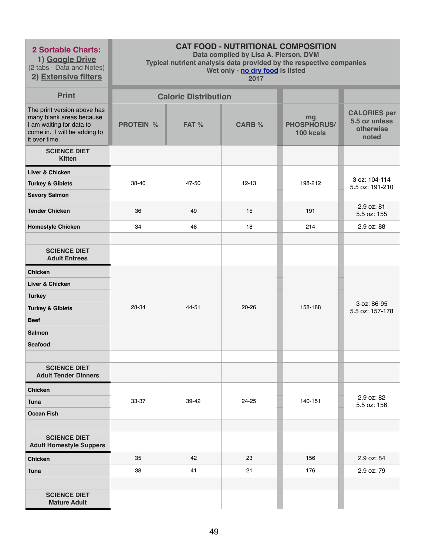**1) Google Drive** (2 tabs - Data and Notes)

**2) Extensive filters**

# **CAT FOOD - NUTRITIONAL COMPOSITION**

**Data compiled by Lisa A. Pierson, DVM** 

**Typical nutrient analysis data provided by the respective companies** 

**Wet only - no dry food is listed** 

| <b>Print</b>                                                                                                                         |                  | <b>Caloric Distribution</b> |               |                                       |                                                            |
|--------------------------------------------------------------------------------------------------------------------------------------|------------------|-----------------------------|---------------|---------------------------------------|------------------------------------------------------------|
| The print version above has<br>many blank areas because<br>I am waiting for data to<br>come in. I will be adding to<br>it over time. | <b>PROTEIN %</b> | FAT %                       | <b>CARB %</b> | mg<br><b>PHOSPHORUS/</b><br>100 kcals | <b>CALORIES per</b><br>5.5 oz unless<br>otherwise<br>noted |
| <b>SCIENCE DIET</b><br><b>Kitten</b>                                                                                                 |                  |                             |               |                                       |                                                            |
| <b>Liver &amp; Chicken</b>                                                                                                           |                  |                             |               |                                       |                                                            |
| <b>Turkey &amp; Giblets</b>                                                                                                          | 38-40            | 47-50                       | $12 - 13$     | 198-212                               | 3 oz: 104-114<br>5.5 oz: 191-210                           |
| <b>Savory Salmon</b>                                                                                                                 |                  |                             |               |                                       |                                                            |
| <b>Tender Chicken</b>                                                                                                                | 36               | 49                          | 15            | 191                                   | 2.9 oz: 81<br>5.5 oz: 155                                  |
| <b>Homestyle Chicken</b>                                                                                                             | 34               | 48                          | 18            | 214                                   | 2.9 oz: 88                                                 |
|                                                                                                                                      |                  |                             |               |                                       |                                                            |
| <b>SCIENCE DIET</b><br><b>Adult Entrees</b>                                                                                          |                  |                             |               |                                       |                                                            |
| <b>Chicken</b>                                                                                                                       |                  |                             |               |                                       |                                                            |
| Liver & Chicken                                                                                                                      |                  |                             |               |                                       |                                                            |
| <b>Turkey</b>                                                                                                                        |                  |                             |               |                                       |                                                            |
| <b>Turkey &amp; Giblets</b>                                                                                                          | 28-34            | 44-51                       | $20 - 26$     | 158-188                               | 3 oz: 86-95<br>5.5 oz: 157-178                             |
| <b>Beef</b>                                                                                                                          |                  |                             |               |                                       |                                                            |
| <b>Salmon</b>                                                                                                                        |                  |                             |               |                                       |                                                            |
| <b>Seafood</b>                                                                                                                       |                  |                             |               |                                       |                                                            |
|                                                                                                                                      |                  |                             |               |                                       |                                                            |
| <b>SCIENCE DIET</b><br><b>Adult Tender Dinners</b>                                                                                   |                  |                             |               |                                       |                                                            |
| <b>Chicken</b>                                                                                                                       |                  |                             |               |                                       |                                                            |
| <b>Tuna</b>                                                                                                                          | 33-37            | 39-42                       | 24-25         | 140-151                               | 2.9 oz: 82<br>5.5 oz: 156                                  |
| <b>Ocean Fish</b>                                                                                                                    |                  |                             |               |                                       |                                                            |
|                                                                                                                                      |                  |                             |               |                                       |                                                            |
| <b>SCIENCE DIET</b><br><b>Adult Homestyle Suppers</b>                                                                                |                  |                             |               |                                       |                                                            |
| <b>Chicken</b>                                                                                                                       | 35               | 42                          | 23            | 156                                   | 2.9 oz: 84                                                 |
| <b>Tuna</b>                                                                                                                          | 38               | 41                          | 21            | 176                                   | 2.9 oz: 79                                                 |
|                                                                                                                                      |                  |                             |               |                                       |                                                            |
| <b>SCIENCE DIET</b><br><b>Mature Adult</b>                                                                                           |                  |                             |               |                                       |                                                            |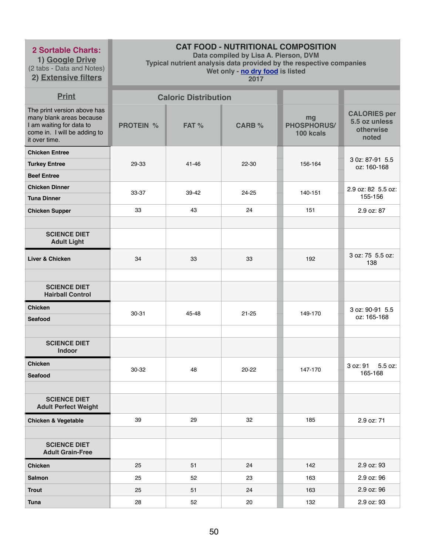**1) Google Drive** (2 tabs - Data and Notes) **2) Extensive filters**

# **CAT FOOD - NUTRITIONAL COMPOSITION**

**Data compiled by Lisa A. Pierson, DVM** 

**Typical nutrient analysis data provided by the respective companies** 

#### **Wet only - no dry food is listed**

| <b>Print</b>                                                                                                                         |                  | <b>Caloric Distribution</b> |               |                                       |                                                            |
|--------------------------------------------------------------------------------------------------------------------------------------|------------------|-----------------------------|---------------|---------------------------------------|------------------------------------------------------------|
| The print version above has<br>many blank areas because<br>I am waiting for data to<br>come in. I will be adding to<br>it over time. | <b>PROTEIN %</b> | FAT %                       | <b>CARB %</b> | mg<br><b>PHOSPHORUS/</b><br>100 kcals | <b>CALORIES per</b><br>5.5 oz unless<br>otherwise<br>noted |
| <b>Chicken Entree</b><br><b>Turkey Entree</b><br><b>Beef Entree</b>                                                                  | 29-33            | 41-46                       | 22-30         | 156-164                               | 3 0z: 87-91 5.5<br>oz: 160-168                             |
| <b>Chicken Dinner</b><br><b>Tuna Dinner</b>                                                                                          | 33-37            | 39-42                       | 24-25         | 140-151                               | 2.9 oz: 82 5.5 oz:<br>155-156                              |
| <b>Chicken Supper</b>                                                                                                                | 33               | 43                          | 24            | 151                                   | 2.9 oz: 87                                                 |
| <b>SCIENCE DIET</b><br><b>Adult Light</b>                                                                                            |                  |                             |               |                                       |                                                            |
| Liver & Chicken                                                                                                                      | 34               | 33                          | 33            | 192                                   | 3 oz: 75 5.5 oz:<br>138                                    |
| <b>SCIENCE DIET</b><br><b>Hairball Control</b>                                                                                       |                  |                             |               |                                       |                                                            |
| <b>Chicken</b><br><b>Seafood</b>                                                                                                     | $30 - 31$        | 45-48                       | $21 - 25$     | 149-170                               | 3 oz: 90-91 5.5<br>oz: 165-168                             |
| <b>SCIENCE DIET</b><br><b>Indoor</b>                                                                                                 |                  |                             |               |                                       |                                                            |
| <b>Chicken</b><br><b>Seafood</b>                                                                                                     | 30-32            | 48                          | $20 - 22$     | 147-170                               | 3 oz: 91 5.5 oz:<br>165-168                                |
| <b>SCIENCE DIET</b><br><b>Adult Perfect Weight</b>                                                                                   |                  |                             |               |                                       |                                                            |
| <b>Chicken &amp; Vegetable</b>                                                                                                       | 39               | 29                          | 32            | 185                                   | 2.9 oz: 71                                                 |
| <b>SCIENCE DIET</b><br><b>Adult Grain-Free</b>                                                                                       |                  |                             |               |                                       |                                                            |
| <b>Chicken</b>                                                                                                                       | 25               | 51                          | 24            | 142                                   | 2.9 oz: 93                                                 |
| <b>Salmon</b>                                                                                                                        | 25               | 52                          | 23            | 163                                   | 2.9 oz: 96                                                 |
| <b>Trout</b>                                                                                                                         | 25               | 51                          | 24            | 163                                   | 2.9 oz: 96                                                 |
| <b>Tuna</b>                                                                                                                          | 28               | 52                          | 20            | 132                                   | 2.9 oz: 93                                                 |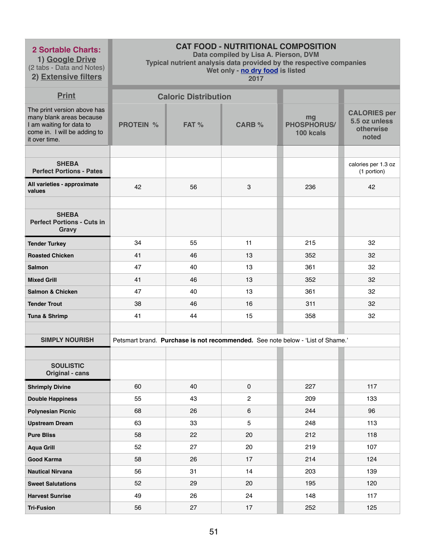**1) Google Drive** (2 tabs - Data and Notes)

**2) Extensive filters**

# **CAT FOOD - NUTRITIONAL COMPOSITION**

**Data compiled by Lisa A. Pierson, DVM** 

**Typical nutrient analysis data provided by the respective companies** 

**Wet only - no dry food is listed** 

| <b>Print</b>                                                                                                                         |                  | <b>Caloric Distribution</b> |                |                                                                                |                                                            |
|--------------------------------------------------------------------------------------------------------------------------------------|------------------|-----------------------------|----------------|--------------------------------------------------------------------------------|------------------------------------------------------------|
| The print version above has<br>many blank areas because<br>I am waiting for data to<br>come in. I will be adding to<br>it over time. | <b>PROTEIN %</b> | FAT %                       | <b>CARB %</b>  | mg<br><b>PHOSPHORUS/</b><br>100 kcals                                          | <b>CALORIES per</b><br>5.5 oz unless<br>otherwise<br>noted |
|                                                                                                                                      |                  |                             |                |                                                                                |                                                            |
| <b>SHEBA</b><br><b>Perfect Portions - Pates</b>                                                                                      |                  |                             |                |                                                                                | calories per 1.3 oz<br>(1 portion)                         |
| All varieties - approximate<br>values                                                                                                | 42               | 56                          | 3              | 236                                                                            | 42                                                         |
|                                                                                                                                      |                  |                             |                |                                                                                |                                                            |
| <b>SHEBA</b><br><b>Perfect Portions - Cuts in</b><br><b>Gravy</b>                                                                    |                  |                             |                |                                                                                |                                                            |
| <b>Tender Turkey</b>                                                                                                                 | 34               | 55                          | 11             | 215                                                                            | 32                                                         |
| <b>Roasted Chicken</b>                                                                                                               | 41               | 46                          | 13             | 352                                                                            | 32                                                         |
| <b>Salmon</b>                                                                                                                        | 47               | 40                          | 13             | 361                                                                            | 32                                                         |
| <b>Mixed Grill</b>                                                                                                                   | 41               | 46                          | 13             | 352                                                                            | 32                                                         |
| <b>Salmon &amp; Chicken</b>                                                                                                          | 47               | 40                          | 13             | 361                                                                            | 32                                                         |
| <b>Tender Trout</b>                                                                                                                  | 38               | 46                          | 16             | 311                                                                            | 32                                                         |
| Tuna & Shrimp                                                                                                                        | 41               | 44                          | 15             | 358                                                                            | 32                                                         |
|                                                                                                                                      |                  |                             |                |                                                                                |                                                            |
| <b>SIMPLY NOURISH</b>                                                                                                                |                  |                             |                | Petsmart brand. Purchase is not recommended. See note below - 'List of Shame.' |                                                            |
|                                                                                                                                      |                  |                             |                |                                                                                |                                                            |
| <b>SOULISTIC</b><br><b>Original - cans</b>                                                                                           |                  |                             |                |                                                                                |                                                            |
| <b>Shrimply Divine</b>                                                                                                               | 60               | 40                          | 0              | 227                                                                            | 117                                                        |
| <b>Double Happiness</b>                                                                                                              | 55               | 43                          | $\overline{2}$ | 209                                                                            | 133                                                        |
| <b>Polynesian Picnic</b>                                                                                                             | 68               | 26                          | 6              | 244                                                                            | 96                                                         |
| <b>Upstream Dream</b>                                                                                                                | 63               | 33                          | $5\phantom{.}$ | 248                                                                            | 113                                                        |
| <b>Pure Bliss</b>                                                                                                                    | 58               | 22                          | 20             | 212                                                                            | 118                                                        |
| <b>Aqua Grill</b>                                                                                                                    | 52               | 27                          | 20             | 219                                                                            | 107                                                        |
| <b>Good Karma</b>                                                                                                                    | 58               | 26                          | 17             | 214                                                                            | 124                                                        |
| <b>Nautical Nirvana</b>                                                                                                              | 56               | 31                          | 14             | 203                                                                            | 139                                                        |
| <b>Sweet Salutations</b>                                                                                                             | 52               | 29                          | 20             | 195                                                                            | 120                                                        |
| <b>Harvest Sunrise</b>                                                                                                               | 49               | 26                          | 24             | 148                                                                            | 117                                                        |
| <b>Tri-Fusion</b>                                                                                                                    | 56               | 27                          | 17             | 252                                                                            | 125                                                        |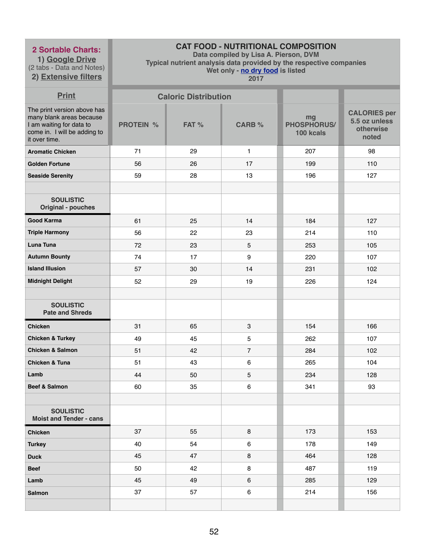**1) Google Drive** (2 tabs - Data and Notes) **2) Extensive filters**

# **CAT FOOD - NUTRITIONAL COMPOSITION**

**Data compiled by Lisa A. Pierson, DVM** 

**Typical nutrient analysis data provided by the respective companies** 

**Wet only - no dry food is listed** 

| <b>Print</b>                                                                                                                         |                  | <b>Caloric Distribution</b> |                           |                                       |                                                            |
|--------------------------------------------------------------------------------------------------------------------------------------|------------------|-----------------------------|---------------------------|---------------------------------------|------------------------------------------------------------|
| The print version above has<br>many blank areas because<br>I am waiting for data to<br>come in. I will be adding to<br>it over time. | <b>PROTEIN %</b> | FAT %                       | <b>CARB %</b>             | mg<br><b>PHOSPHORUS/</b><br>100 kcals | <b>CALORIES per</b><br>5.5 oz unless<br>otherwise<br>noted |
| <b>Aromatic Chicken</b>                                                                                                              | 71               | 29                          | $\mathbf{1}$              | 207                                   | 98                                                         |
| <b>Golden Fortune</b>                                                                                                                | 56               | 26                          | 17                        | 199                                   | 110                                                        |
| <b>Seaside Serenity</b>                                                                                                              | 59               | 28                          | 13                        | 196                                   | 127                                                        |
|                                                                                                                                      |                  |                             |                           |                                       |                                                            |
| <b>SOULISTIC</b><br><b>Original - pouches</b>                                                                                        |                  |                             |                           |                                       |                                                            |
| <b>Good Karma</b>                                                                                                                    | 61               | 25                          | 14                        | 184                                   | 127                                                        |
| <b>Triple Harmony</b>                                                                                                                | 56               | 22                          | 23                        | 214                                   | 110                                                        |
| <b>Luna Tuna</b>                                                                                                                     | 72               | 23                          | 5                         | 253                                   | 105                                                        |
| <b>Autumn Bounty</b>                                                                                                                 | 74               | 17                          | 9                         | 220                                   | 107                                                        |
| <b>Island Illusion</b>                                                                                                               | 57               | 30                          | 14                        | 231                                   | 102                                                        |
| <b>Midnight Delight</b>                                                                                                              | 52               | 29                          | 19                        | 226                                   | 124                                                        |
|                                                                                                                                      |                  |                             |                           |                                       |                                                            |
| <b>SOULISTIC</b><br><b>Pate and Shreds</b>                                                                                           |                  |                             |                           |                                       |                                                            |
| <b>Chicken</b>                                                                                                                       | 31               | 65                          | $\ensuremath{\mathsf{3}}$ | 154                                   | 166                                                        |
| <b>Chicken &amp; Turkey</b>                                                                                                          | 49               | 45                          | 5                         | 262                                   | 107                                                        |
| <b>Chicken &amp; Salmon</b>                                                                                                          | 51               | 42                          | $\overline{7}$            | 284                                   | 102                                                        |
| <b>Chicken &amp; Tuna</b>                                                                                                            | 51               | 43                          | 6                         | 265                                   | 104                                                        |
| Lamb                                                                                                                                 | 44               | 50                          | 5                         | 234                                   | 128                                                        |
| Beef & Salmon                                                                                                                        | 60               | 35                          | 6                         | 341                                   | 93                                                         |
|                                                                                                                                      |                  |                             |                           |                                       |                                                            |
| <b>SOULISTIC</b><br><b>Moist and Tender - cans</b>                                                                                   |                  |                             |                           |                                       |                                                            |
| <b>Chicken</b>                                                                                                                       | 37               | 55                          | 8                         | 173                                   | 153                                                        |
| <b>Turkey</b>                                                                                                                        | 40               | 54                          | 6                         | 178                                   | 149                                                        |
| <b>Duck</b>                                                                                                                          | 45               | 47                          | 8                         | 464                                   | 128                                                        |
| <b>Beef</b>                                                                                                                          | 50               | 42                          | 8                         | 487                                   | 119                                                        |
| Lamb                                                                                                                                 | 45               | 49                          | 6                         | 285                                   | 129                                                        |
| <b>Salmon</b>                                                                                                                        | 37               | 57                          | 6                         | 214                                   | 156                                                        |
|                                                                                                                                      |                  |                             |                           |                                       |                                                            |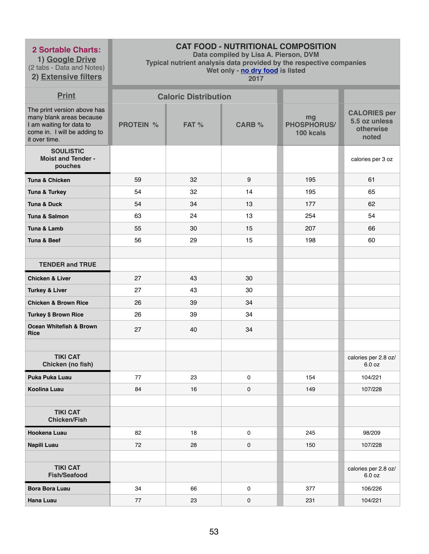**1) Google Drive** (2 tabs - Data and Notes)

**2) Extensive filters**

# **CAT FOOD - NUTRITIONAL COMPOSITION**

**Data compiled by Lisa A. Pierson, DVM** 

**Typical nutrient analysis data provided by the respective companies** 

**Wet only - no dry food is listed** 

| <b>Print</b>                                                                                                                         |                  | <b>Caloric Distribution</b> |               |                                       |                                                            |
|--------------------------------------------------------------------------------------------------------------------------------------|------------------|-----------------------------|---------------|---------------------------------------|------------------------------------------------------------|
| The print version above has<br>many blank areas because<br>I am waiting for data to<br>come in. I will be adding to<br>it over time. | <b>PROTEIN %</b> | FAT %                       | <b>CARB %</b> | mg<br><b>PHOSPHORUS/</b><br>100 kcals | <b>CALORIES per</b><br>5.5 oz unless<br>otherwise<br>noted |
| <b>SOULISTIC</b><br><b>Moist and Tender -</b><br>pouches                                                                             |                  |                             |               |                                       | calories per 3 oz                                          |
| Tuna & Chicken                                                                                                                       | 59               | 32                          | 9             | 195                                   | 61                                                         |
| <b>Tuna &amp; Turkey</b>                                                                                                             | 54               | 32                          | 14            | 195                                   | 65                                                         |
| <b>Tuna &amp; Duck</b>                                                                                                               | 54               | 34                          | 13            | 177                                   | 62                                                         |
| <b>Tuna &amp; Salmon</b>                                                                                                             | 63               | 24                          | 13            | 254                                   | 54                                                         |
| Tuna & Lamb                                                                                                                          | 55               | 30                          | 15            | 207                                   | 66                                                         |
| <b>Tuna &amp; Beef</b>                                                                                                               | 56               | 29                          | 15            | 198                                   | 60                                                         |
|                                                                                                                                      |                  |                             |               |                                       |                                                            |
| <b>TENDER and TRUE</b>                                                                                                               |                  |                             |               |                                       |                                                            |
| <b>Chicken &amp; Liver</b>                                                                                                           | 27               | 43                          | 30            |                                       |                                                            |
| <b>Turkey &amp; Liver</b>                                                                                                            | 27               | 43                          | 30            |                                       |                                                            |
| <b>Chicken &amp; Brown Rice</b>                                                                                                      | 26               | 39                          | 34            |                                       |                                                            |
| <b>Turkey \$ Brown Rice</b>                                                                                                          | 26               | 39                          | 34            |                                       |                                                            |
| <b>Ocean Whitefish &amp; Brown</b><br><b>Rice</b>                                                                                    | 27               | 40                          | 34            |                                       |                                                            |
|                                                                                                                                      |                  |                             |               |                                       |                                                            |
| <b>TIKI CAT</b><br>Chicken (no fish)                                                                                                 |                  |                             |               |                                       | calories per 2.8 oz/<br>6.0 oz                             |
| Puka Puka Luau                                                                                                                       | 77               | 23                          | 0             | 154                                   | 104/221                                                    |
| <b>Koolina Luau</b>                                                                                                                  | 84               | 16                          | 0             | 149                                   | 107/228                                                    |
|                                                                                                                                      |                  |                             |               |                                       |                                                            |
| <b>TIKI CAT</b><br><b>Chicken/Fish</b>                                                                                               |                  |                             |               |                                       |                                                            |
| <b>Hookena Luau</b>                                                                                                                  | 82               | 18                          | 0             | 245                                   | 98/209                                                     |
| Napili Luau                                                                                                                          | 72               | 28                          | 0             | 150                                   | 107/228                                                    |
|                                                                                                                                      |                  |                             |               |                                       |                                                            |
| <b>TIKI CAT</b><br><b>Fish/Seafood</b>                                                                                               |                  |                             |               |                                       | calories per 2.8 oz/<br>6.0 oz                             |
| <b>Bora Bora Luau</b>                                                                                                                | 34               | 66                          | 0             | 377                                   | 106/226                                                    |
| <b>Hana Luau</b>                                                                                                                     | 77               | 23                          | 0             | 231                                   | 104/221                                                    |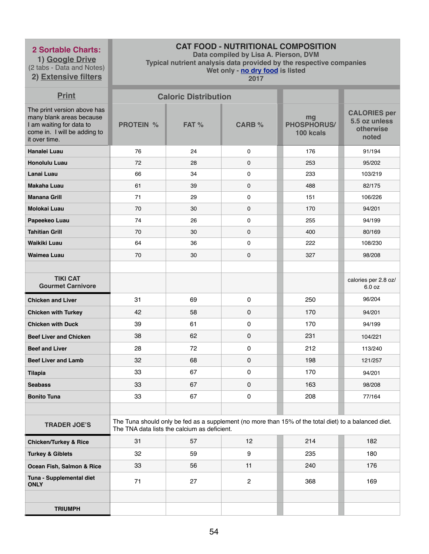**1) Google Drive** (2 tabs - Data and Notes) **2) Extensive filters**

# **CAT FOOD - NUTRITIONAL COMPOSITION**

**Data compiled by Lisa A. Pierson, DVM** 

**Typical nutrient analysis data provided by the respective companies** 

**Wet only - no dry food is listed** 

| <b>Print</b>                                                                                                                         |                  | <b>Caloric Distribution</b>                  |                |                                                                                                      |                                                            |
|--------------------------------------------------------------------------------------------------------------------------------------|------------------|----------------------------------------------|----------------|------------------------------------------------------------------------------------------------------|------------------------------------------------------------|
| The print version above has<br>many blank areas because<br>I am waiting for data to<br>come in. I will be adding to<br>it over time. | <b>PROTEIN %</b> | FAT %                                        | <b>CARB %</b>  | mg<br>PHOSPHORUS/<br>100 kcals                                                                       | <b>CALORIES per</b><br>5.5 oz unless<br>otherwise<br>noted |
| <b>Hanalei Luau</b>                                                                                                                  | 76               | 24                                           | 0              | 176                                                                                                  | 91/194                                                     |
| <b>Honolulu Luau</b>                                                                                                                 | 72               | 28                                           | 0              | 253                                                                                                  | 95/202                                                     |
| Lanai Luau                                                                                                                           | 66               | 34                                           | 0              | 233                                                                                                  | 103/219                                                    |
| <b>Makaha Luau</b>                                                                                                                   | 61               | 39                                           | $\mathbf 0$    | 488                                                                                                  | 82/175                                                     |
| <b>Manana Grill</b>                                                                                                                  | 71               | 29                                           | 0              | 151                                                                                                  | 106/226                                                    |
| <b>Molokai Luau</b>                                                                                                                  | 70               | 30                                           | $\mathbf 0$    | 170                                                                                                  | 94/201                                                     |
| Papeekeo Luau                                                                                                                        | 74               | 26                                           | 0              | 255                                                                                                  | 94/199                                                     |
| <b>Tahitian Grill</b>                                                                                                                | 70               | 30                                           | $\mathbf 0$    | 400                                                                                                  | 80/169                                                     |
| <b>Waikiki Luau</b>                                                                                                                  | 64               | 36                                           | $\mathbf 0$    | 222                                                                                                  | 108/230                                                    |
| <b>Waimea Luau</b>                                                                                                                   | 70               | 30                                           | 0              | 327                                                                                                  | 98/208                                                     |
|                                                                                                                                      |                  |                                              |                |                                                                                                      |                                                            |
| <b>TIKI CAT</b><br><b>Gourmet Carnivore</b>                                                                                          |                  |                                              |                |                                                                                                      | calories per 2.8 oz/<br>6.0 oz                             |
| <b>Chicken and Liver</b>                                                                                                             | 31               | 69                                           | $\mathbf 0$    | 250                                                                                                  | 96/204                                                     |
| <b>Chicken with Turkey</b>                                                                                                           | 42               | 58                                           | $\mathbf 0$    | 170                                                                                                  | 94/201                                                     |
| <b>Chicken with Duck</b>                                                                                                             | 39               | 61                                           | $\mathbf 0$    | 170                                                                                                  | 94/199                                                     |
| <b>Beef Liver and Chicken</b>                                                                                                        | 38               | 62                                           | $\mathbf 0$    | 231                                                                                                  | 104/221                                                    |
| <b>Beef and Liver</b>                                                                                                                | 28               | 72                                           | 0              | 212                                                                                                  | 113/240                                                    |
| <b>Beef Liver and Lamb</b>                                                                                                           | 32               | 68                                           | $\mathbf 0$    | 198                                                                                                  | 121/257                                                    |
| <b>Tilapia</b>                                                                                                                       | 33               | 67                                           | $\pmb{0}$      | 170                                                                                                  | 94/201                                                     |
| <b>Seabass</b>                                                                                                                       | 33               | 67                                           | $\mathbf 0$    | 163                                                                                                  | 98/208                                                     |
| <b>Bonito Tuna</b>                                                                                                                   | 33               | 67                                           | $\pmb{0}$      | 208                                                                                                  | 77/164                                                     |
|                                                                                                                                      |                  |                                              |                |                                                                                                      |                                                            |
| <b>TRADER JOE'S</b>                                                                                                                  |                  | The TNA data lists the calcium as deficient. |                | The Tuna should only be fed as a supplement (no more than 15% of the total diet) to a balanced diet. |                                                            |
| <b>Chicken/Turkey &amp; Rice</b>                                                                                                     | 31               | 57                                           | 12             | 214                                                                                                  | 182                                                        |
| <b>Turkey &amp; Giblets</b>                                                                                                          | 32               | 59                                           | 9              | 235                                                                                                  | 180                                                        |
| Ocean Fish, Salmon & Rice                                                                                                            | 33               | 56                                           | 11             | 240                                                                                                  | 176                                                        |
| Tuna - Supplemental diet<br><b>ONLY</b>                                                                                              | 71               | 27                                           | $\overline{2}$ | 368                                                                                                  | 169                                                        |
|                                                                                                                                      |                  |                                              |                |                                                                                                      |                                                            |
| <b>TRIUMPH</b>                                                                                                                       |                  |                                              |                |                                                                                                      |                                                            |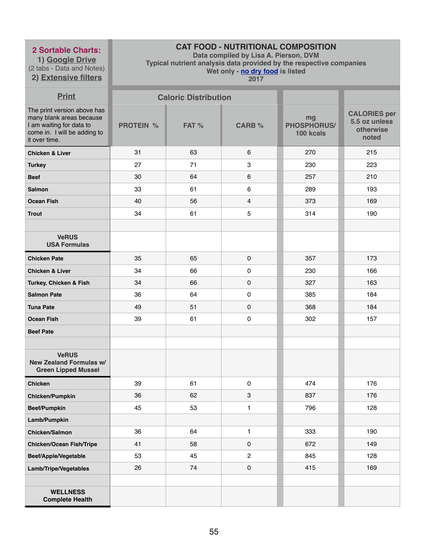**1) Google Drive** (2 tabs - Data and Notes) **2) Extensive filters**

# **CAT FOOD - NUTRITIONAL COMPOSITION**

**Data compiled by Lisa A. Pierson, DVM** 

**Typical nutrient analysis data provided by the respective companies** 

**Wet only - no dry food is listed** 

| <b>Print</b>                                                                                                                         |                  | <b>Caloric Distribution</b> |                |                                       |                                                            |
|--------------------------------------------------------------------------------------------------------------------------------------|------------------|-----------------------------|----------------|---------------------------------------|------------------------------------------------------------|
| The print version above has<br>many blank areas because<br>I am waiting for data to<br>come in. I will be adding to<br>it over time. | <b>PROTEIN %</b> | FAT %                       | <b>CARB %</b>  | mg<br><b>PHOSPHORUS/</b><br>100 kcals | <b>CALORIES per</b><br>5.5 oz unless<br>otherwise<br>noted |
| <b>Chicken &amp; Liver</b>                                                                                                           | 31               | 63                          | 6              | 270                                   | 215                                                        |
| <b>Turkey</b>                                                                                                                        | 27               | 71                          | 3              | 230                                   | 223                                                        |
| <b>Beef</b>                                                                                                                          | 30               | 64                          | 6              | 257                                   | 210                                                        |
| <b>Salmon</b>                                                                                                                        | 33               | 61                          | 6              | 289                                   | 193                                                        |
| <b>Ocean Fish</b>                                                                                                                    | 40               | 56                          | 4              | 373                                   | 169                                                        |
| <b>Trout</b>                                                                                                                         | 34               | 61                          | 5              | 314                                   | 190                                                        |
|                                                                                                                                      |                  |                             |                |                                       |                                                            |
| <b>VeRUS</b><br><b>USA Formulas</b>                                                                                                  |                  |                             |                |                                       |                                                            |
| <b>Chicken Pate</b>                                                                                                                  | 35               | 65                          | 0              | 357                                   | 173                                                        |
| <b>Chicken &amp; Liver</b>                                                                                                           | 34               | 66                          | 0              | 230                                   | 166                                                        |
| Turkey, Chicken & Fish                                                                                                               | 34               | 66                          | 0              | 327                                   | 163                                                        |
| <b>Salmon Pate</b>                                                                                                                   | 36               | 64                          | $\pmb{0}$      | 385                                   | 184                                                        |
| <b>Tuna Pate</b>                                                                                                                     | 49               | 51                          | 0              | 368                                   | 184                                                        |
| <b>Ocean Fish</b>                                                                                                                    | 39               | 61                          | 0              | 302                                   | 157                                                        |
| <b>Beef Pate</b>                                                                                                                     |                  |                             |                |                                       |                                                            |
|                                                                                                                                      |                  |                             |                |                                       |                                                            |
| <b>VeRUS</b><br><b>New Zealand Formulas w/</b><br><b>Green Lipped Mussel</b>                                                         |                  |                             |                |                                       |                                                            |
| <b>Chicken</b>                                                                                                                       | 39               | 61                          | 0              | 474                                   | 176                                                        |
| <b>Chicken/Pumpkin</b>                                                                                                               | 36               | 62                          | 3              | 837                                   | 176                                                        |
| <b>Beef/Pumpkin</b>                                                                                                                  | 45               | 53                          | $\mathbf{1}$   | 796                                   | 128                                                        |
| Lamb/Pumpkin                                                                                                                         |                  |                             |                |                                       |                                                            |
| <b>Chicken/Salmon</b>                                                                                                                | 36               | 64                          | $\mathbf{1}$   | 333                                   | 190                                                        |
| <b>Chicken/Ocean Fish/Tripe</b>                                                                                                      | 41               | 58                          | 0              | 672                                   | 149                                                        |
| <b>Beef/Apple/Vegetable</b>                                                                                                          | 53               | 45                          | $\overline{2}$ | 845                                   | 128                                                        |
| Lamb/Tripe/Vegetables                                                                                                                | 26               | 74                          | 0              | 415                                   | 169                                                        |
|                                                                                                                                      |                  |                             |                |                                       |                                                            |
| <b>WELLNESS</b><br><b>Complete Health</b>                                                                                            |                  |                             |                |                                       |                                                            |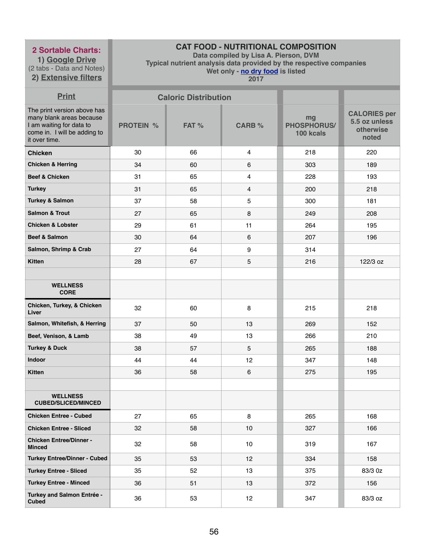**1) Google Drive** (2 tabs - Data and Notes) **2) Extensive filters**

# **CAT FOOD - NUTRITIONAL COMPOSITION**

**Data compiled by Lisa A. Pierson, DVM** 

**Typical nutrient analysis data provided by the respective companies** 

**Wet only - no dry food is listed** 

| <b>Print</b>                                                                                                                         |                  | <b>Caloric Distribution</b> |               |                                       |                                                            |
|--------------------------------------------------------------------------------------------------------------------------------------|------------------|-----------------------------|---------------|---------------------------------------|------------------------------------------------------------|
| The print version above has<br>many blank areas because<br>I am waiting for data to<br>come in. I will be adding to<br>it over time. | <b>PROTEIN %</b> | FAT %                       | <b>CARB %</b> | mg<br><b>PHOSPHORUS/</b><br>100 kcals | <b>CALORIES per</b><br>5.5 oz unless<br>otherwise<br>noted |
| <b>Chicken</b>                                                                                                                       | 30               | 66                          | 4             | 218                                   | 220                                                        |
| <b>Chicken &amp; Herring</b>                                                                                                         | 34               | 60                          | 6             | 303                                   | 189                                                        |
| <b>Beef &amp; Chicken</b>                                                                                                            | 31               | 65                          | 4             | 228                                   | 193                                                        |
| <b>Turkey</b>                                                                                                                        | 31               | 65                          | 4             | 200                                   | 218                                                        |
| <b>Turkey &amp; Salmon</b>                                                                                                           | 37               | 58                          | 5             | 300                                   | 181                                                        |
| <b>Salmon &amp; Trout</b>                                                                                                            | 27               | 65                          | 8             | 249                                   | 208                                                        |
| <b>Chicken &amp; Lobster</b>                                                                                                         | 29               | 61                          | 11            | 264                                   | 195                                                        |
| <b>Beef &amp; Salmon</b>                                                                                                             | 30               | 64                          | 6             | 207                                   | 196                                                        |
| Salmon, Shrimp & Crab                                                                                                                | 27               | 64                          | 9             | 314                                   |                                                            |
| <b>Kitten</b>                                                                                                                        | 28               | 67                          | 5             | 216                                   | 122/3 oz                                                   |
|                                                                                                                                      |                  |                             |               |                                       |                                                            |
| <b>WELLNESS</b><br><b>CORE</b>                                                                                                       |                  |                             |               |                                       |                                                            |
| Chicken, Turkey, & Chicken<br>Liver                                                                                                  | 32               | 60                          | 8             | 215                                   | 218                                                        |
| Salmon, Whitefish, & Herring                                                                                                         | 37               | 50                          | 13            | 269                                   | 152                                                        |
| Beef, Venison, & Lamb                                                                                                                | 38               | 49                          | 13            | 266                                   | 210                                                        |
| <b>Turkey &amp; Duck</b>                                                                                                             | 38               | 57                          | 5             | 265                                   | 188                                                        |
| Indoor                                                                                                                               | 44               | 44                          | 12            | 347                                   | 148                                                        |
| <b>Kitten</b>                                                                                                                        | 36               | 58                          | 6             | 275                                   | 195                                                        |
|                                                                                                                                      |                  |                             |               |                                       |                                                            |
| <b>WELLNESS</b><br><b>CUBED/SLICED/MINCED</b>                                                                                        |                  |                             |               |                                       |                                                            |
| <b>Chicken Entree - Cubed</b>                                                                                                        | 27               | 65                          | 8             | 265                                   | 168                                                        |
| <b>Chicken Entree - Sliced</b>                                                                                                       | 32               | 58                          | 10            | 327                                   | 166                                                        |
| <b>Chicken Entree/Dinner -</b><br><b>Minced</b>                                                                                      | 32               | 58                          | 10            | 319                                   | 167                                                        |
| <b>Turkey Entree/Dinner - Cubed</b>                                                                                                  | 35               | 53                          | 12            | 334                                   | 158                                                        |
| <b>Turkey Entree - Sliced</b>                                                                                                        | 35               | 52                          | 13            | 375                                   | 83/3 0z                                                    |
| <b>Turkey Entree - Minced</b>                                                                                                        | 36               | 51                          | 13            | 372                                   | 156                                                        |
| <b>Turkey and Salmon Entrée -</b><br><b>Cubed</b>                                                                                    | 36               | 53                          | 12            | 347                                   | 83/3 oz                                                    |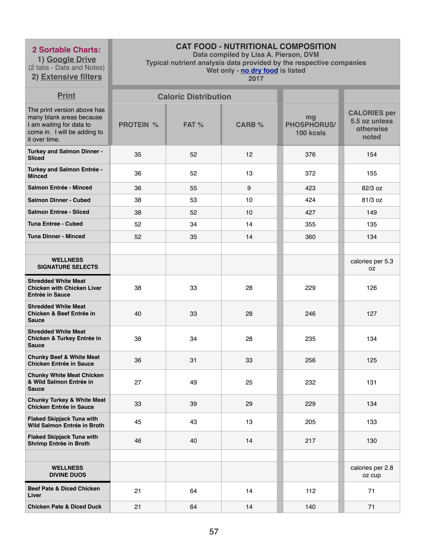**1) Google Drive** (2 tabs - Data and Notes)

**2) Extensive filters**

# **CAT FOOD - NUTRITIONAL COMPOSITION**

**Data compiled by Lisa A. Pierson, DVM** 

**Typical nutrient analysis data provided by the respective companies** 

**Wet only - no dry food is listed** 

| <b>Print</b>                                                                                                                         |                  | <b>Caloric Distribution</b> |               |                                       |                                                            |
|--------------------------------------------------------------------------------------------------------------------------------------|------------------|-----------------------------|---------------|---------------------------------------|------------------------------------------------------------|
| The print version above has<br>many blank areas because<br>I am waiting for data to<br>come in. I will be adding to<br>it over time. | <b>PROTEIN %</b> | FAT %                       | <b>CARB %</b> | mg<br><b>PHOSPHORUS/</b><br>100 kcals | <b>CALORIES per</b><br>5.5 oz unless<br>otherwise<br>noted |
| <b>Turkey and Salmon Dinner -</b><br><b>Sliced</b>                                                                                   | 35               | 52                          | 12            | 376                                   | 154                                                        |
| Turkey and Salmon Entrée -<br><b>Minced</b>                                                                                          | 36               | 52                          | 13            | 372                                   | 155                                                        |
| <b>Salmon Entrée - Minced</b>                                                                                                        | 36               | 55                          | 9             | 423                                   | 82/3 oz                                                    |
| <b>Salmon Dinner - Cubed</b>                                                                                                         | 38               | 53                          | 10            | 424                                   | 81/3 oz                                                    |
| <b>Salmon Entree - Sliced</b>                                                                                                        | 38               | 52                          | 10            | 427                                   | 149                                                        |
| <b>Tuna Entree - Cubed</b>                                                                                                           | 52               | 34                          | 14            | 355                                   | 135                                                        |
| <b>Tuna Dinner - Minced</b>                                                                                                          | 52               | 35                          | 14            | 360                                   | 134                                                        |
|                                                                                                                                      |                  |                             |               |                                       |                                                            |
| <b>WELLNESS</b><br><b>SIGNATURE SELECTS</b>                                                                                          |                  |                             |               |                                       | calories per 5.3<br>0Z                                     |
| <b>Shredded White Meat</b><br><b>Chicken with Chicken Liver</b><br><b>Entrée in Sauce</b>                                            | 38               | 33                          | 28            | 229                                   | 126                                                        |
| <b>Shredded White Meat</b><br><b>Chicken &amp; Beef Entrée in</b><br><b>Sauce</b>                                                    | 40               | 33                          | 28            | 246                                   | 127                                                        |
| <b>Shredded White Meat</b><br><b>Chicken &amp; Turkey Entrée in</b><br><b>Sauce</b>                                                  | 38               | 34                          | 28            | 235                                   | 134                                                        |
| <b>Chunky Beef &amp; White Meat</b><br><b>Chicken Entrée in Sauce</b>                                                                | 36               | 31                          | 33            | 256                                   | 125                                                        |
| <b>Chunky White Meat Chicken</b><br>& Wild Salmon Entrée in<br><b>Sauce</b>                                                          | 27               | 49                          | 25            | 232                                   | 131                                                        |
| <b>Chunky Turkey &amp; White Meat</b><br><b>Chicken Entrée in Sauce</b>                                                              | 33               | 39                          | 29            | 229                                   | 134                                                        |
| <b>Flaked Skipjack Tuna with</b><br>Wild Salmon Entrée in Broth                                                                      | 45               | 43                          | 13            | 205                                   | 133                                                        |
| <b>Flaked Skipjack Tuna with</b><br>Shrimp Entrée in Broth                                                                           | 46               | 40                          | 14            | 217                                   | 130                                                        |
|                                                                                                                                      |                  |                             |               |                                       |                                                            |
| <b>WELLNESS</b><br><b>DIVINE DUOS</b>                                                                                                |                  |                             |               |                                       | calories per 2.8<br>oz cup                                 |
| <b>Beef Pate &amp; Diced Chicken</b><br>Liver                                                                                        | 21               | 64                          | 14            | 112                                   | 71                                                         |
| <b>Chicken Pate &amp; Diced Duck</b>                                                                                                 | 21               | 64                          | 14            | 140                                   | 71                                                         |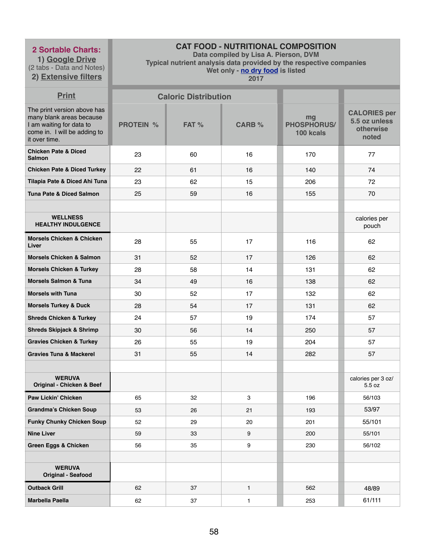**1) Google Drive** (2 tabs - Data and Notes)

**2) Extensive filters**

# **CAT FOOD - NUTRITIONAL COMPOSITION**

**Data compiled by Lisa A. Pierson, DVM** 

**Typical nutrient analysis data provided by the respective companies** 

**Wet only - no dry food is listed** 

| <b>Print</b>                                                                                                                         |                  | <b>Caloric Distribution</b> |               |                                       |                                                            |
|--------------------------------------------------------------------------------------------------------------------------------------|------------------|-----------------------------|---------------|---------------------------------------|------------------------------------------------------------|
| The print version above has<br>many blank areas because<br>I am waiting for data to<br>come in. I will be adding to<br>it over time. | <b>PROTEIN %</b> | FAT %                       | <b>CARB %</b> | mg<br><b>PHOSPHORUS/</b><br>100 kcals | <b>CALORIES per</b><br>5.5 oz unless<br>otherwise<br>noted |
| <b>Chicken Pate &amp; Diced</b><br><b>Salmon</b>                                                                                     | 23               | 60                          | 16            | 170                                   | 77                                                         |
| <b>Chicken Pate &amp; Diced Turkey</b>                                                                                               | 22               | 61                          | 16            | 140                                   | 74                                                         |
| Tilapia Pate & Diced Ahi Tuna                                                                                                        | 23               | 62                          | 15            | 206                                   | 72                                                         |
| <b>Tuna Pate &amp; Diced Salmon</b>                                                                                                  | 25               | 59                          | 16            | 155                                   | 70                                                         |
|                                                                                                                                      |                  |                             |               |                                       |                                                            |
| <b>WELLNESS</b><br><b>HEALTHY INDULGENCE</b>                                                                                         |                  |                             |               |                                       | calories per<br>pouch                                      |
| <b>Morsels Chicken &amp; Chicken</b><br>Liver                                                                                        | 28               | 55                          | 17            | 116                                   | 62                                                         |
| <b>Morsels Chicken &amp; Salmon</b>                                                                                                  | 31               | 52                          | 17            | 126                                   | 62                                                         |
| <b>Morsels Chicken &amp; Turkey</b>                                                                                                  | 28               | 58                          | 14            | 131                                   | 62                                                         |
| <b>Morsels Salmon &amp; Tuna</b>                                                                                                     | 34               | 49                          | 16            | 138                                   | 62                                                         |
| <b>Morsels with Tuna</b>                                                                                                             | 30               | 52                          | 17            | 132                                   | 62                                                         |
| <b>Morsels Turkey &amp; Duck</b>                                                                                                     | 28               | 54                          | 17            | 131                                   | 62                                                         |
| <b>Shreds Chicken &amp; Turkey</b>                                                                                                   | 24               | 57                          | 19            | 174                                   | 57                                                         |
| <b>Shreds Skipjack &amp; Shrimp</b>                                                                                                  | 30               | 56                          | 14            | 250                                   | 57                                                         |
| <b>Gravies Chicken &amp; Turkey</b>                                                                                                  | 26               | 55                          | 19            | 204                                   | 57                                                         |
| <b>Gravies Tuna &amp; Mackerel</b>                                                                                                   | 31               | 55                          | 14            | 282                                   | 57                                                         |
|                                                                                                                                      |                  |                             |               |                                       |                                                            |
| <b>WERUVA</b><br>Original - Chicken & Beef                                                                                           |                  |                             |               |                                       | calories per 3 oz/<br>5.5 oz                               |
| <b>Paw Lickin' Chicken</b>                                                                                                           | 65               | 32                          | 3             | 196                                   | 56/103                                                     |
| <b>Grandma's Chicken Soup</b>                                                                                                        | 53               | 26                          | 21            | 193                                   | 53/97                                                      |
| <b>Funky Chunky Chicken Soup</b>                                                                                                     | 52               | 29                          | 20            | 201                                   | 55/101                                                     |
| <b>Nine Liver</b>                                                                                                                    | 59               | 33                          | 9             | 200                                   | 55/101                                                     |
| <b>Green Eggs &amp; Chicken</b>                                                                                                      | 56               | 35                          | 9             | 230                                   | 56/102                                                     |
|                                                                                                                                      |                  |                             |               |                                       |                                                            |
| <b>WERUVA</b><br><b>Original - Seafood</b>                                                                                           |                  |                             |               |                                       |                                                            |
| <b>Outback Grill</b>                                                                                                                 | 62               | 37                          | $\mathbf{1}$  | 562                                   | 48/89                                                      |
| <b>Marbella Paella</b>                                                                                                               | 62               | 37                          | 1             | 253                                   | 61/111                                                     |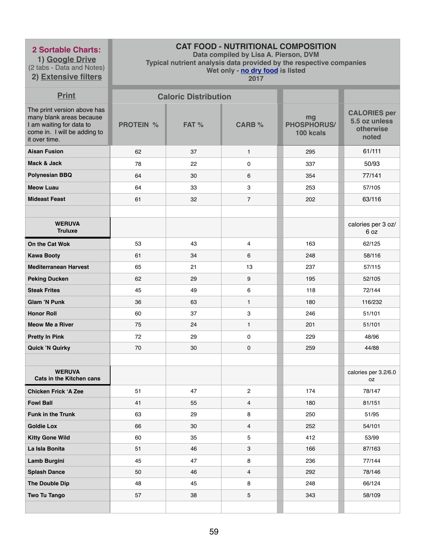**1) Google Drive** (2 tabs - Data and Notes) **2) Extensive filters**

# **CAT FOOD - NUTRITIONAL COMPOSITION**

**Data compiled by Lisa A. Pierson, DVM** 

**Typical nutrient analysis data provided by the respective companies** 

**Wet only - no dry food is listed** 

| <b>Print</b>                                                                                                                         |                  | <b>Caloric Distribution</b> |                     |                                       |                                                            |
|--------------------------------------------------------------------------------------------------------------------------------------|------------------|-----------------------------|---------------------|---------------------------------------|------------------------------------------------------------|
| The print version above has<br>many blank areas because<br>I am waiting for data to<br>come in. I will be adding to<br>it over time. | <b>PROTEIN %</b> | FAT %                       | <b>CARB %</b>       | mg<br><b>PHOSPHORUS/</b><br>100 kcals | <b>CALORIES per</b><br>5.5 oz unless<br>otherwise<br>noted |
| <b>Aisan Fusion</b>                                                                                                                  | 62               | 37                          | $\mathbf{1}$        | 295                                   | 61/111                                                     |
| Mack & Jack                                                                                                                          | 78               | 22                          | $\mathsf{O}\xspace$ | 337                                   | 50/93                                                      |
| <b>Polynesian BBQ</b>                                                                                                                | 64               | 30                          | 6                   | 354                                   | 77/141                                                     |
| <b>Meow Luau</b>                                                                                                                     | 64               | 33                          | 3                   | 253                                   | 57/105                                                     |
| <b>Mideast Feast</b>                                                                                                                 | 61               | 32                          | $\overline{7}$      | 202                                   | 63/116                                                     |
|                                                                                                                                      |                  |                             |                     |                                       |                                                            |
| <b>WERUVA</b><br><b>Truluxe</b>                                                                                                      |                  |                             |                     |                                       | calories per 3 oz/<br>6 oz                                 |
| On the Cat Wok                                                                                                                       | 53               | 43                          | 4                   | 163                                   | 62/125                                                     |
| <b>Kawa Booty</b>                                                                                                                    | 61               | 34                          | 6                   | 248                                   | 58/116                                                     |
| <b>Mediterranean Harvest</b>                                                                                                         | 65               | 21                          | 13                  | 237                                   | 57/115                                                     |
| <b>Peking Ducken</b>                                                                                                                 | 62               | 29                          | 9                   | 195                                   | 52/105                                                     |
| <b>Steak Frites</b>                                                                                                                  | 45               | 49                          | $\,6$               | 118                                   | 72/144                                                     |
| <b>Glam 'N Punk</b>                                                                                                                  | 36               | 63                          | $\mathbf{1}$        | 180                                   | 116/232                                                    |
| <b>Honor Roll</b>                                                                                                                    | 60               | 37                          | 3                   | 246                                   | 51/101                                                     |
| <b>Meow Me a River</b>                                                                                                               | 75               | 24                          | $\mathbf{1}$        | 201                                   | 51/101                                                     |
| <b>Pretty In Pink</b>                                                                                                                | 72               | 29                          | $\pmb{0}$           | 229                                   | 48/96                                                      |
| <b>Quick 'N Quirky</b>                                                                                                               | 70               | 30                          | $\mathbf 0$         | 259                                   | 44/88                                                      |
|                                                                                                                                      |                  |                             |                     |                                       |                                                            |
| <b>WERUVA</b><br><b>Cats in the Kitchen cans</b>                                                                                     |                  |                             |                     |                                       | calories per 3.2/6.0<br>0Z                                 |
| <b>Chicken Frick 'A Zee</b>                                                                                                          | 51               | 47                          | $\mathbf{2}$        | 174                                   | 78/147                                                     |
| <b>Fowl Ball</b>                                                                                                                     | 41               | 55                          | 4                   | 180                                   | 81/151                                                     |
| <b>Funk in the Trunk</b>                                                                                                             | 63               | 29                          | 8                   | 250                                   | 51/95                                                      |
| <b>Goldie Lox</b>                                                                                                                    | 66               | 30                          | $\overline{4}$      | 252                                   | 54/101                                                     |
| <b>Kitty Gone Wild</b>                                                                                                               | 60               | 35                          | 5                   | 412                                   | 53/99                                                      |
| La Isla Bonita                                                                                                                       | 51               | 46                          | 3                   | 166                                   | 87/163                                                     |
| <b>Lamb Burgini</b>                                                                                                                  | 45               | 47                          | 8                   | 236                                   | 77/144                                                     |
| <b>Splash Dance</b>                                                                                                                  | 50               | 46                          | $\overline{4}$      | 292                                   | 78/146                                                     |
| The Double Dip                                                                                                                       | 48               | 45                          | 8                   | 248                                   | 66/124                                                     |
| <b>Two Tu Tango</b>                                                                                                                  | 57               | 38                          | 5                   | 343                                   | 58/109                                                     |
|                                                                                                                                      |                  |                             |                     |                                       |                                                            |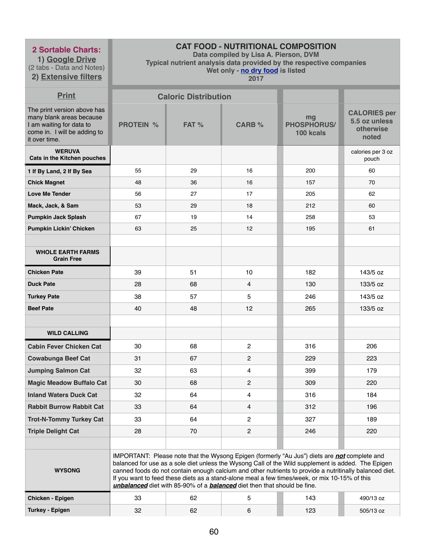**1) Google Drive** (2 tabs - Data and Notes)

# **2) Extensive filters**

# **CAT FOOD - NUTRITIONAL COMPOSITION**

**Data compiled by Lisa A. Pierson, DVM** 

**Typical nutrient analysis data provided by the respective companies** 

**Wet only - no dry food is listed** 

| <b>Print</b>                                                                                                                         |                  | <b>Caloric Distribution</b> |                                                                                 |                                                                                                                                                                                                                                                                                                                                                                                                                       |                                                            |
|--------------------------------------------------------------------------------------------------------------------------------------|------------------|-----------------------------|---------------------------------------------------------------------------------|-----------------------------------------------------------------------------------------------------------------------------------------------------------------------------------------------------------------------------------------------------------------------------------------------------------------------------------------------------------------------------------------------------------------------|------------------------------------------------------------|
| The print version above has<br>many blank areas because<br>I am waiting for data to<br>come in. I will be adding to<br>it over time. | <b>PROTEIN %</b> | FAT%                        | <b>CARB %</b>                                                                   | mg<br><b>PHOSPHORUS/</b><br>100 kcals                                                                                                                                                                                                                                                                                                                                                                                 | <b>CALORIES per</b><br>5.5 oz unless<br>otherwise<br>noted |
| <b>WERUVA</b><br>Cats in the Kitchen pouches                                                                                         |                  |                             |                                                                                 |                                                                                                                                                                                                                                                                                                                                                                                                                       | calories per 3 oz<br>pouch                                 |
| 1 If By Land, 2 If By Sea                                                                                                            | 55               | 29                          | 16                                                                              | 200                                                                                                                                                                                                                                                                                                                                                                                                                   | 60                                                         |
| <b>Chick Magnet</b>                                                                                                                  | 48               | 36                          | 16                                                                              | 157                                                                                                                                                                                                                                                                                                                                                                                                                   | 70                                                         |
| <b>Love Me Tender</b>                                                                                                                | 56               | 27                          | 17                                                                              | 205                                                                                                                                                                                                                                                                                                                                                                                                                   | 62                                                         |
| Mack, Jack, & Sam                                                                                                                    | 53               | 29                          | 18                                                                              | 212                                                                                                                                                                                                                                                                                                                                                                                                                   | 60                                                         |
| <b>Pumpkin Jack Splash</b>                                                                                                           | 67               | 19                          | 14                                                                              | 258                                                                                                                                                                                                                                                                                                                                                                                                                   | 53                                                         |
| <b>Pumpkin Lickin' Chicken</b>                                                                                                       | 63               | 25                          | 12                                                                              | 195                                                                                                                                                                                                                                                                                                                                                                                                                   | 61                                                         |
|                                                                                                                                      |                  |                             |                                                                                 |                                                                                                                                                                                                                                                                                                                                                                                                                       |                                                            |
| <b>WHOLE EARTH FARMS</b><br><b>Grain Free</b>                                                                                        |                  |                             |                                                                                 |                                                                                                                                                                                                                                                                                                                                                                                                                       |                                                            |
| <b>Chicken Pate</b>                                                                                                                  | 39               | 51                          | 10                                                                              | 182                                                                                                                                                                                                                                                                                                                                                                                                                   | 143/5 oz                                                   |
| <b>Duck Pate</b>                                                                                                                     | 28               | 68                          | 4                                                                               | 130                                                                                                                                                                                                                                                                                                                                                                                                                   | 133/5 oz                                                   |
| <b>Turkey Pate</b>                                                                                                                   | 38               | 57                          | 5                                                                               | 246                                                                                                                                                                                                                                                                                                                                                                                                                   | 143/5 oz                                                   |
| <b>Beef Pate</b>                                                                                                                     | 40               | 48                          | 12                                                                              | 265                                                                                                                                                                                                                                                                                                                                                                                                                   | 133/5 oz                                                   |
|                                                                                                                                      |                  |                             |                                                                                 |                                                                                                                                                                                                                                                                                                                                                                                                                       |                                                            |
| <b>WILD CALLING</b>                                                                                                                  |                  |                             |                                                                                 |                                                                                                                                                                                                                                                                                                                                                                                                                       |                                                            |
| <b>Cabin Fever Chicken Cat</b>                                                                                                       | 30               | 68                          | $\overline{c}$                                                                  | 316                                                                                                                                                                                                                                                                                                                                                                                                                   | 206                                                        |
| <b>Cowabunga Beef Cat</b>                                                                                                            | 31               | 67                          | $\overline{2}$                                                                  | 229                                                                                                                                                                                                                                                                                                                                                                                                                   | 223                                                        |
| <b>Jumping Salmon Cat</b>                                                                                                            | 32               | 63                          | 4                                                                               | 399                                                                                                                                                                                                                                                                                                                                                                                                                   | 179                                                        |
| <b>Magic Meadow Buffalo Cat</b>                                                                                                      | 30               | 68                          | $\overline{c}$                                                                  | 309                                                                                                                                                                                                                                                                                                                                                                                                                   | 220                                                        |
| <b>Inland Waters Duck Cat</b>                                                                                                        | 32               | 64                          | 4                                                                               | 316                                                                                                                                                                                                                                                                                                                                                                                                                   | 184                                                        |
| <b>Rabbit Burrow Rabbit Cat</b>                                                                                                      | 33               | 64                          | 4                                                                               | 312                                                                                                                                                                                                                                                                                                                                                                                                                   | 196                                                        |
| <b>Trot-N-Tommy Turkey Cat</b>                                                                                                       | 33               | 64                          | $\overline{2}$                                                                  | 327                                                                                                                                                                                                                                                                                                                                                                                                                   | 189                                                        |
| <b>Triple Delight Cat</b>                                                                                                            | 28               | 70                          | $\overline{2}$                                                                  | 246                                                                                                                                                                                                                                                                                                                                                                                                                   | 220                                                        |
|                                                                                                                                      |                  |                             |                                                                                 |                                                                                                                                                                                                                                                                                                                                                                                                                       |                                                            |
| <b>WYSONG</b>                                                                                                                        |                  |                             | unbalanced diet with 85-90% of a <b>balanced</b> diet then that should be fine. | IMPORTANT: Please note that the Wysong Epigen (formerly "Au Jus") diets are <b>not</b> complete and<br>balanced for use as a sole diet unless the Wysong Call of the Wild supplement is added. The Epigen<br>canned foods do not contain enough calcium and other nutrients to provide a nutritinally balanced diet.<br>If you want to feed these diets as a stand-alone meal a few times/week, or mix 10-15% of this |                                                            |
| Chicken - Epigen                                                                                                                     | 33               | 62                          | 5                                                                               | 143                                                                                                                                                                                                                                                                                                                                                                                                                   | 490/13 oz                                                  |
| <b>Turkey - Epigen</b>                                                                                                               | 32               | 62                          | 6                                                                               | 123                                                                                                                                                                                                                                                                                                                                                                                                                   | 505/13 oz                                                  |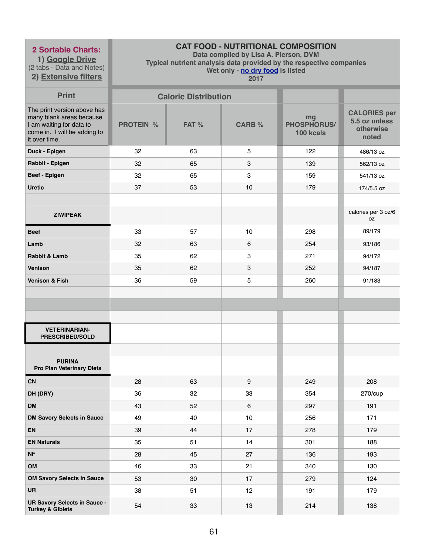**1) Google Drive** (2 tabs - Data and Notes) **2) Extensive filters**

# **CAT FOOD - NUTRITIONAL COMPOSITION**

**Data compiled by Lisa A. Pierson, DVM** 

**Typical nutrient analysis data provided by the respective companies** 

**Wet only - no dry food is listed** 

| <b>Print</b>                                                                                                                         | <b>Caloric Distribution</b> |       |                 |                                       |                                                            |
|--------------------------------------------------------------------------------------------------------------------------------------|-----------------------------|-------|-----------------|---------------------------------------|------------------------------------------------------------|
| The print version above has<br>many blank areas because<br>I am waiting for data to<br>come in. I will be adding to<br>it over time. | <b>PROTEIN %</b>            | FAT % | <b>CARB %</b>   | mg<br><b>PHOSPHORUS/</b><br>100 kcals | <b>CALORIES per</b><br>5.5 oz unless<br>otherwise<br>noted |
| Duck - Epigen                                                                                                                        | 32                          | 63    | 5               | 122                                   | 486/13 oz                                                  |
| Rabbit - Epigen                                                                                                                      | 32                          | 65    | $\mathbf{3}$    | 139                                   | 562/13 oz                                                  |
| Beef - Epigen                                                                                                                        | 32                          | 65    | $\mathbf{3}$    | 159                                   | 541/13 oz                                                  |
| <b>Uretic</b>                                                                                                                        | 37                          | 53    | 10              | 179                                   | 174/5.5 oz                                                 |
|                                                                                                                                      |                             |       |                 |                                       |                                                            |
| <b>ZIWIPEAK</b>                                                                                                                      |                             |       |                 |                                       | calories per 3 oz/6<br>0Z                                  |
| <b>Beef</b>                                                                                                                          | 33                          | 57    | 10              | 298                                   | 89/179                                                     |
| Lamb                                                                                                                                 | 32                          | 63    | $6\phantom{1}6$ | 254                                   | 93/186                                                     |
| Rabbit & Lamb                                                                                                                        | 35                          | 62    | 3               | 271                                   | 94/172                                                     |
| <b>Venison</b>                                                                                                                       | 35                          | 62    | $\mathbf{3}$    | 252                                   | 94/187                                                     |
| <b>Venison &amp; Fish</b>                                                                                                            | 36                          | 59    | 5               | 260                                   | 91/183                                                     |
|                                                                                                                                      |                             |       |                 |                                       |                                                            |
|                                                                                                                                      |                             |       |                 |                                       |                                                            |
|                                                                                                                                      |                             |       |                 |                                       |                                                            |
| <b>VETERINARIAN-</b><br><b>PRESCRIBED/SOLD</b>                                                                                       |                             |       |                 |                                       |                                                            |
|                                                                                                                                      |                             |       |                 |                                       |                                                            |
| <b>PURINA</b><br><b>Pro Plan Veterinary Diets</b>                                                                                    |                             |       |                 |                                       |                                                            |
| <b>CN</b>                                                                                                                            | 28                          | 63    | 9               | 249                                   | 208                                                        |
| DH (DRY)                                                                                                                             | 36                          | 32    | 33              | 354                                   | 270/cup                                                    |
| <b>DM</b>                                                                                                                            | 43                          | 52    | 6               | 297                                   | 191                                                        |
| <b>DM Savory Selects in Sauce</b>                                                                                                    | 49                          | 40    | 10              | 256                                   | 171                                                        |
| <b>EN</b>                                                                                                                            | 39                          | 44    | 17              | 278                                   | 179                                                        |
| <b>EN Naturals</b>                                                                                                                   | 35                          | 51    | 14              | 301                                   | 188                                                        |
| <b>NF</b>                                                                                                                            | 28                          | 45    | 27              | 136                                   | 193                                                        |
| OM                                                                                                                                   | 46                          | 33    | 21              | 340                                   | 130                                                        |
| <b>OM Savory Selects in Sauce</b>                                                                                                    | 53                          | 30    | 17              | 279                                   | 124                                                        |
| <b>UR</b>                                                                                                                            | 38                          | 51    | 12              | 191                                   | 179                                                        |
| <b>UR Savory Selects in Sauce -</b><br><b>Turkey &amp; Giblets</b>                                                                   | 54                          | 33    | 13              | 214                                   | 138                                                        |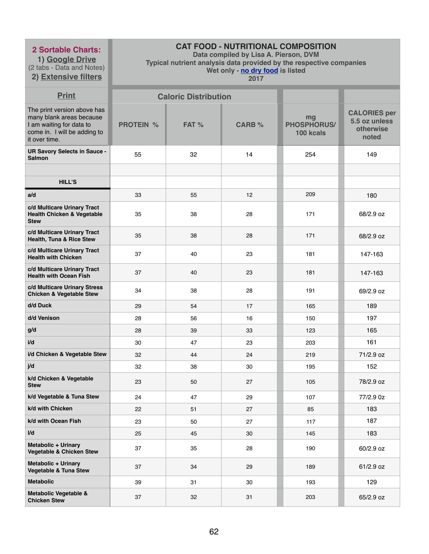**1) Google Drive** (2 tabs - Data and Notes)

**2) Extensive filters**

# **CAT FOOD - NUTRITIONAL COMPOSITION**

**Data compiled by Lisa A. Pierson, DVM** 

**Typical nutrient analysis data provided by the respective companies** 

**Wet only - no dry food is listed** 

| <b>Print</b>                                                                                                                         | <b>Caloric Distribution</b> |       |               |                                       |                                                            |
|--------------------------------------------------------------------------------------------------------------------------------------|-----------------------------|-------|---------------|---------------------------------------|------------------------------------------------------------|
| The print version above has<br>many blank areas because<br>I am waiting for data to<br>come in. I will be adding to<br>it over time. | <b>PROTEIN %</b>            | FAT % | <b>CARB %</b> | mg<br><b>PHOSPHORUS/</b><br>100 kcals | <b>CALORIES per</b><br>5.5 oz unless<br>otherwise<br>noted |
| <b>UR Savory Selects in Sauce -</b><br><b>Salmon</b>                                                                                 | 55                          | 32    | 14            | 254                                   | 149                                                        |
|                                                                                                                                      |                             |       |               |                                       |                                                            |
| <b>HILL'S</b>                                                                                                                        |                             |       |               |                                       |                                                            |
| a/d                                                                                                                                  | 33                          | 55    | 12            | 209                                   | 180                                                        |
| c/d Multicare Urinary Tract<br><b>Health Chicken &amp; Vegetable</b><br><b>Stew</b>                                                  | 35                          | 38    | 28            | 171                                   | 68/2.9 oz                                                  |
| c/d Multicare Urinary Tract<br>Health, Tuna & Rice Stew                                                                              | 35                          | 38    | 28            | 171                                   | 68/2.9 oz                                                  |
| c/d Multicare Urinary Tract<br><b>Health with Chicken</b>                                                                            | 37                          | 40    | 23            | 181                                   | 147-163                                                    |
| c/d Multicare Urinary Tract<br><b>Health with Ocean Fish</b>                                                                         | 37                          | 40    | 23            | 181                                   | 147-163                                                    |
| c/d Multicare Urinary Stress<br><b>Chicken &amp; Vegetable Stew</b>                                                                  | 34                          | 38    | 28            | 191                                   | 69/2.9 oz                                                  |
| d/d Duck                                                                                                                             | 29                          | 54    | 17            | 165                                   | 189                                                        |
| d/d Venison                                                                                                                          | 28                          | 56    | 16            | 150                                   | 197                                                        |
| g/d                                                                                                                                  | 28                          | 39    | 33            | 123                                   | 165                                                        |
| i/d                                                                                                                                  | 30                          | 47    | 23            | 203                                   | 161                                                        |
| i/d Chicken & Vegetable Stew                                                                                                         | 32                          | 44    | 24            | 219                                   | 71/2.9 oz                                                  |
| j/d                                                                                                                                  | 32                          | 38    | 30            | 195                                   | 152                                                        |
| k/d Chicken & Vegetable<br><b>Stew</b>                                                                                               | 23                          | 50    | 27            | 105                                   | 78/2.9 oz                                                  |
| k/d Vegetable & Tuna Stew                                                                                                            | 24                          | 47    | 29            | 107                                   | 77/2.9 0z                                                  |
| k/d with Chicken                                                                                                                     | 22                          | 51    | 27            | 85                                    | 183                                                        |
| k/d with Ocean Fish                                                                                                                  | 23                          | 50    | 27            | 117                                   | 187                                                        |
| I/d                                                                                                                                  | 25                          | 45    | 30            | 145                                   | 183                                                        |
| <b>Metabolic + Urinary</b><br><b>Vegetable &amp; Chicken Stew</b>                                                                    | 37                          | 35    | 28            | 190                                   | 60/2.9 oz                                                  |
| <b>Metabolic + Urinary</b><br><b>Vegetable &amp; Tuna Stew</b>                                                                       | 37                          | 34    | 29            | 189                                   | 61/2.9 oz                                                  |
| <b>Metabolic</b>                                                                                                                     | 39                          | 31    | 30            | 193                                   | 129                                                        |
| <b>Metabolic Vegetable &amp;</b><br><b>Chicken Stew</b>                                                                              | 37                          | 32    | 31            | 203                                   | 65/2.9 oz                                                  |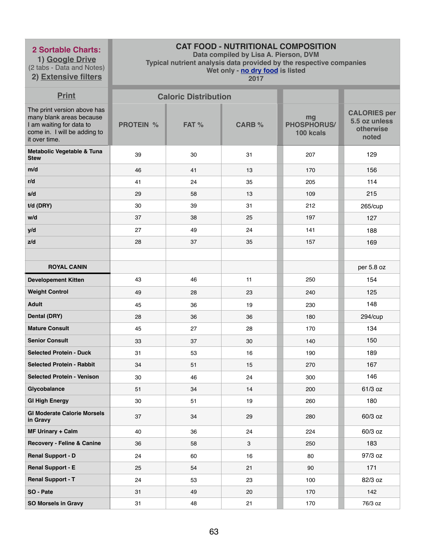**1) Google Drive** (2 tabs - Data and Notes)

# **2) Extensive filters**

# **CAT FOOD - NUTRITIONAL COMPOSITION**

**Data compiled by Lisa A. Pierson, DVM** 

**Typical nutrient analysis data provided by the respective companies** 

**Wet only - no dry food is listed** 

| <b>Print</b>                                                                                                                         | <b>Caloric Distribution</b> |       |               |                                |                                                            |
|--------------------------------------------------------------------------------------------------------------------------------------|-----------------------------|-------|---------------|--------------------------------|------------------------------------------------------------|
| The print version above has<br>many blank areas because<br>I am waiting for data to<br>come in. I will be adding to<br>it over time. | <b>PROTEIN %</b>            | FAT % | <b>CARB %</b> | mg<br>PHOSPHORUS/<br>100 kcals | <b>CALORIES per</b><br>5.5 oz unless<br>otherwise<br>noted |
| Metabolic Vegetable & Tuna<br><b>Stew</b>                                                                                            | 39                          | 30    | 31            | 207                            | 129                                                        |
| m/d                                                                                                                                  | 46                          | 41    | 13            | 170                            | 156                                                        |
| r/d                                                                                                                                  | 41                          | 24    | 35            | 205                            | 114                                                        |
| s/d                                                                                                                                  | 29                          | 58    | 13            | 109                            | 215                                                        |
| $t/d$ (DRY)                                                                                                                          | 30                          | 39    | 31            | 212                            | 265/cup                                                    |
| w/d                                                                                                                                  | 37                          | 38    | 25            | 197                            | 127                                                        |
| y/d                                                                                                                                  | 27                          | 49    | 24            | 141                            | 188                                                        |
| z/d                                                                                                                                  | 28                          | 37    | 35            | 157                            | 169                                                        |
|                                                                                                                                      |                             |       |               |                                |                                                            |
| <b>ROYAL CANIN</b>                                                                                                                   |                             |       |               |                                | per 5.8 oz                                                 |
| <b>Developement Kitten</b>                                                                                                           | 43                          | 46    | 11            | 250                            | 154                                                        |
| <b>Weight Control</b>                                                                                                                | 49                          | 28    | 23            | 240                            | 125                                                        |
| <b>Adult</b>                                                                                                                         | 45                          | 36    | 19            | 230                            | 148                                                        |
| <b>Dental (DRY)</b>                                                                                                                  | 28                          | 36    | 36            | 180                            | 294/cup                                                    |
| <b>Mature Consult</b>                                                                                                                | 45                          | 27    | 28            | 170                            | 134                                                        |
| <b>Senior Consult</b>                                                                                                                | 33                          | 37    | 30            | 140                            | 150                                                        |
| <b>Selected Protein - Duck</b>                                                                                                       | 31                          | 53    | 16            | 190                            | 189                                                        |
| <b>Selected Protein - Rabbit</b>                                                                                                     | 34                          | 51    | 15            | 270                            | 167                                                        |
| <b>Selected Protein - Venison</b>                                                                                                    | 30                          | 46    | 24            | 300                            | 146                                                        |
| Glycobalance                                                                                                                         | 51                          | 34    | 14            | 200                            | 61/3 oz                                                    |
| <b>GI High Energy</b>                                                                                                                | 30                          | 51    | 19            | 260                            | 180                                                        |
| <b>GI Moderate Calorie Morsels</b><br>in Gravy                                                                                       | 37                          | 34    | 29            | 280                            | 60/3 oz                                                    |
| <b>MF Urinary + Calm</b>                                                                                                             | 40                          | 36    | 24            | 224                            | 60/3 oz                                                    |
| <b>Recovery - Feline &amp; Canine</b>                                                                                                | 36                          | 58    | 3             | 250                            | 183                                                        |
| <b>Renal Support - D</b>                                                                                                             | 24                          | 60    | 16            | 80                             | 97/3 oz                                                    |
| <b>Renal Support - E</b>                                                                                                             | 25                          | 54    | 21            | 90                             | 171                                                        |
| <b>Renal Support - T</b>                                                                                                             | 24                          | 53    | 23            | 100                            | 82/3 oz                                                    |
| SO - Pate                                                                                                                            | 31                          | 49    | 20            | 170                            | 142                                                        |
| <b>SO Morsels in Gravy</b>                                                                                                           | 31                          | 48    | 21            | 170                            | 76/3 oz                                                    |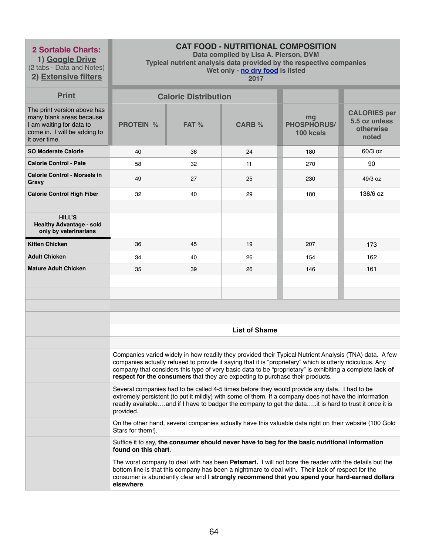**1) Google Drive** (2 tabs - Data and Notes)

# **CAT FOOD - NUTRITIONAL COMPOSITION**

**Data compiled by Lisa A. Pierson, DVM** 

**Typical nutrient analysis data provided by the respective companies** 

**2) Extensive filters**

**Wet only - no dry food is listed 2017**

| <b>Print</b>                                                                                                                         | <b>Caloric Distribution</b>                                                                                                                                                                                                                                                                                                                                                                                      |      |               |                                       |                                                            |  |  |
|--------------------------------------------------------------------------------------------------------------------------------------|------------------------------------------------------------------------------------------------------------------------------------------------------------------------------------------------------------------------------------------------------------------------------------------------------------------------------------------------------------------------------------------------------------------|------|---------------|---------------------------------------|------------------------------------------------------------|--|--|
| The print version above has<br>many blank areas because<br>I am waiting for data to<br>come in. I will be adding to<br>it over time. | <b>PROTEIN %</b>                                                                                                                                                                                                                                                                                                                                                                                                 | FAT% | <b>CARB %</b> | mg<br><b>PHOSPHORUS/</b><br>100 kcals | <b>CALORIES per</b><br>5.5 oz unless<br>otherwise<br>noted |  |  |
| <b>SO Moderate Calorie</b>                                                                                                           | 40                                                                                                                                                                                                                                                                                                                                                                                                               | 36   | 24            | 180                                   | 60/3 oz                                                    |  |  |
| <b>Calorie Control - Pate</b>                                                                                                        | 58                                                                                                                                                                                                                                                                                                                                                                                                               | 32   | 11            | 270                                   | 90                                                         |  |  |
| <b>Calorie Control - Morsels in</b><br>Gravy                                                                                         | 49                                                                                                                                                                                                                                                                                                                                                                                                               | 27   | 25            | 230                                   | 49/3 oz                                                    |  |  |
| <b>Calorie Control High Fiber</b>                                                                                                    | 32                                                                                                                                                                                                                                                                                                                                                                                                               | 40   | 29            | 180                                   | 138/6 oz                                                   |  |  |
| <b>HILL'S</b><br><b>Healthy Advantage - sold</b><br>only by veterinarians                                                            |                                                                                                                                                                                                                                                                                                                                                                                                                  |      |               |                                       |                                                            |  |  |
| <b>Kitten Chicken</b>                                                                                                                | 36                                                                                                                                                                                                                                                                                                                                                                                                               | 45   | 19            | 207                                   | 173                                                        |  |  |
| <b>Adult Chicken</b>                                                                                                                 | 34                                                                                                                                                                                                                                                                                                                                                                                                               | 40   | 26            | 154                                   | 162                                                        |  |  |
| <b>Mature Adult Chicken</b>                                                                                                          | 35                                                                                                                                                                                                                                                                                                                                                                                                               | 39   | 26            | 146                                   | 161                                                        |  |  |
|                                                                                                                                      |                                                                                                                                                                                                                                                                                                                                                                                                                  |      |               |                                       |                                                            |  |  |
|                                                                                                                                      | <b>List of Shame</b>                                                                                                                                                                                                                                                                                                                                                                                             |      |               |                                       |                                                            |  |  |
|                                                                                                                                      | Companies varied widely in how readily they provided their Typical Nutrient Analysis (TNA) data. A few<br>companies actually refused to provide it saying that it is "proprietary" which is utterly ridiculous. Any<br>company that considers this type of very basic data to be "proprietary" is exhibiting a complete lack of<br>respect for the consumers that they are expecting to purchase their products. |      |               |                                       |                                                            |  |  |
|                                                                                                                                      | Several companies had to be called 4-5 times before they would provide any data. I had to be<br>extremely persistent (to put it mildly) with some of them. If a company does not have the information<br>readily availableand if I have to badger the company to get the datait is hard to trust it once it is<br>provided.                                                                                      |      |               |                                       |                                                            |  |  |
|                                                                                                                                      | On the other hand, several companies actually have this valuable data right on their website (100 Gold<br>Stars for them!).                                                                                                                                                                                                                                                                                      |      |               |                                       |                                                            |  |  |
|                                                                                                                                      | Suffice it to say, the consumer should never have to beg for the basic nutritional information<br>found on this chart.                                                                                                                                                                                                                                                                                           |      |               |                                       |                                                            |  |  |
|                                                                                                                                      | The worst company to deal with has been Petsmart. I will not bore the reader with the details but the<br>bottom line is that this company has been a nightmare to deal with. Their lack of respect for the<br>consumer is abundantly clear and I strongly recommend that you spend your hard-earned dollars<br>elsewhere.                                                                                        |      |               |                                       |                                                            |  |  |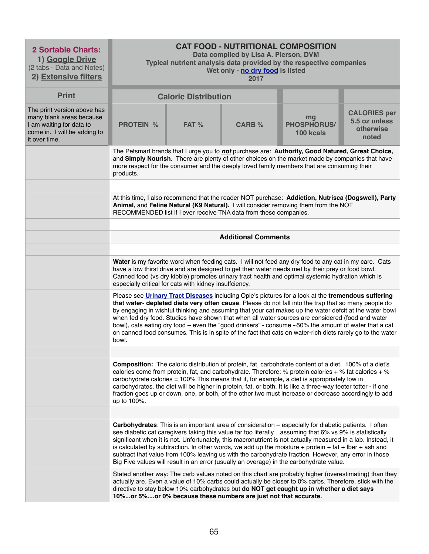| <b>2 Sortable Charts:</b><br>1) Google Drive<br>(2 tabs - Data and Notes)<br>2) Extensive filters                                    | <b>CAT FOOD - NUTRITIONAL COMPOSITION</b><br>Data compiled by Lisa A. Pierson, DVM<br>Typical nutrient analysis data provided by the respective companies<br>Wet only - no dry food is listed<br>2017                                                                                                                                                                                                                                                                                                                                                                                                                                                                    |         |               |                                                                                                                                                                                                                                                                                                                                                                                                                                                                                                                                                                                                                                                            |                                                            |  |  |
|--------------------------------------------------------------------------------------------------------------------------------------|--------------------------------------------------------------------------------------------------------------------------------------------------------------------------------------------------------------------------------------------------------------------------------------------------------------------------------------------------------------------------------------------------------------------------------------------------------------------------------------------------------------------------------------------------------------------------------------------------------------------------------------------------------------------------|---------|---------------|------------------------------------------------------------------------------------------------------------------------------------------------------------------------------------------------------------------------------------------------------------------------------------------------------------------------------------------------------------------------------------------------------------------------------------------------------------------------------------------------------------------------------------------------------------------------------------------------------------------------------------------------------------|------------------------------------------------------------|--|--|
| <b>Print</b>                                                                                                                         | <b>Caloric Distribution</b>                                                                                                                                                                                                                                                                                                                                                                                                                                                                                                                                                                                                                                              |         |               |                                                                                                                                                                                                                                                                                                                                                                                                                                                                                                                                                                                                                                                            |                                                            |  |  |
| The print version above has<br>many blank areas because<br>I am waiting for data to<br>come in. I will be adding to<br>it over time. | <b>PROTEIN %</b>                                                                                                                                                                                                                                                                                                                                                                                                                                                                                                                                                                                                                                                         | $FAT$ % | <b>CARB %</b> | mg<br><b>PHOSPHORUS/</b><br>100 kcals                                                                                                                                                                                                                                                                                                                                                                                                                                                                                                                                                                                                                      | <b>CALORIES per</b><br>5.5 oz unless<br>otherwise<br>noted |  |  |
|                                                                                                                                      | The Petsmart brands that I urge you to not purchase are: Authority, Good Natured, Grreat Choice,<br>and Simply Nourish. There are plenty of other choices on the market made by companies that have<br>more respect for the consumer and the deeply loved family members that are consuming their<br>products.                                                                                                                                                                                                                                                                                                                                                           |         |               |                                                                                                                                                                                                                                                                                                                                                                                                                                                                                                                                                                                                                                                            |                                                            |  |  |
|                                                                                                                                      |                                                                                                                                                                                                                                                                                                                                                                                                                                                                                                                                                                                                                                                                          |         |               |                                                                                                                                                                                                                                                                                                                                                                                                                                                                                                                                                                                                                                                            |                                                            |  |  |
|                                                                                                                                      | At this time, I also recommend that the reader NOT purchase: Addiction, Nutrisca (Dogswell), Party<br>Animal, and Feline Natural (K9 Natural). I will consider removing them from the NOT<br>RECOMMENDED list if I ever receive TNA data from these companies.                                                                                                                                                                                                                                                                                                                                                                                                           |         |               |                                                                                                                                                                                                                                                                                                                                                                                                                                                                                                                                                                                                                                                            |                                                            |  |  |
|                                                                                                                                      |                                                                                                                                                                                                                                                                                                                                                                                                                                                                                                                                                                                                                                                                          |         |               |                                                                                                                                                                                                                                                                                                                                                                                                                                                                                                                                                                                                                                                            |                                                            |  |  |
|                                                                                                                                      | <b>Additional Comments</b>                                                                                                                                                                                                                                                                                                                                                                                                                                                                                                                                                                                                                                               |         |               |                                                                                                                                                                                                                                                                                                                                                                                                                                                                                                                                                                                                                                                            |                                                            |  |  |
|                                                                                                                                      |                                                                                                                                                                                                                                                                                                                                                                                                                                                                                                                                                                                                                                                                          |         |               |                                                                                                                                                                                                                                                                                                                                                                                                                                                                                                                                                                                                                                                            |                                                            |  |  |
|                                                                                                                                      | Water is my favorite word when feeding cats. I will not feed any dry food to any cat in my care. Cats<br>have a low thirst drive and are designed to get their water needs met by their prey or food bowl.<br>Canned food (vs dry kibble) promotes urinary tract health and optimal systemic hydration which is<br>especially critical for cats with kidney insuffciency.                                                                                                                                                                                                                                                                                                |         |               |                                                                                                                                                                                                                                                                                                                                                                                                                                                                                                                                                                                                                                                            |                                                            |  |  |
|                                                                                                                                      | Please see <b>Urinary Tract Diseases</b> including Opie's pictures for a look at the <b>tremendous suffering</b><br>that water- depleted diets very often cause. Please do not fall into the trap that so many people do<br>by engaging in wishful thinking and assuming that your cat makes up the water defcit at the water bowl<br>when fed dry food. Studies have shown that when all water sources are considered (food and water<br>bowl), cats eating dry food – even the "good drinkers" - consume $~50\%$ the amount of water that a cat<br>on canned food consumes. This is in spite of the fact that cats on water-rich diets rarely go to the water<br>bowl. |         |               |                                                                                                                                                                                                                                                                                                                                                                                                                                                                                                                                                                                                                                                            |                                                            |  |  |
|                                                                                                                                      |                                                                                                                                                                                                                                                                                                                                                                                                                                                                                                                                                                                                                                                                          |         |               |                                                                                                                                                                                                                                                                                                                                                                                                                                                                                                                                                                                                                                                            |                                                            |  |  |
|                                                                                                                                      | <b>Composition:</b> The caloric distribution of protein, fat, carbohdrate content of a diet. 100% of a diet's<br>calories come from protein, fat, and carbohydrate. Therefore: % protein calories + % fat calories + %<br>carbohydrate calories = 100% This means that if, for example, a diet is appropriately low in<br>carbohydrates, the diet will be higher in protein, fat, or both. It is like a three-way teeter totter - if one<br>fraction goes up or down, one, or both, of the other two must increase or decrease accordingly to add<br>up to 100%.                                                                                                         |         |               |                                                                                                                                                                                                                                                                                                                                                                                                                                                                                                                                                                                                                                                            |                                                            |  |  |
|                                                                                                                                      |                                                                                                                                                                                                                                                                                                                                                                                                                                                                                                                                                                                                                                                                          |         |               |                                                                                                                                                                                                                                                                                                                                                                                                                                                                                                                                                                                                                                                            |                                                            |  |  |
|                                                                                                                                      |                                                                                                                                                                                                                                                                                                                                                                                                                                                                                                                                                                                                                                                                          |         |               | <b>Carbohydrates:</b> This is an important area of consideration – especially for diabetic patients. I often<br>see diabetic cat caregivers taking this value far too literallyassuming that 6% vs 9% is statistically<br>significant when it is not. Unfortunately, this macronutrient is not actually measured in a lab. Instead, it<br>is calculated by subtraction. In other words, we add up the moisture $+$ protein $+$ fat $+$ fber $+$ ash and<br>subtract that value from 100% leaving us with the carbohydrate fraction. However, any error in those<br>Big Five values will result in an error (usually an overage) in the carbohydrate value. |                                                            |  |  |
|                                                                                                                                      | Stated another way: The carb values noted on this chart are probably higher (overestimating) than they<br>actually are. Even a value of 10% carbs could actually be closer to 0% carbs. Therefore, stick with the<br>directive to stay below 10% carbohydrates but do NOT get caught up in whether a diet says<br>10%or 5%or 0% because these numbers are just not that accurate.                                                                                                                                                                                                                                                                                        |         |               |                                                                                                                                                                                                                                                                                                                                                                                                                                                                                                                                                                                                                                                            |                                                            |  |  |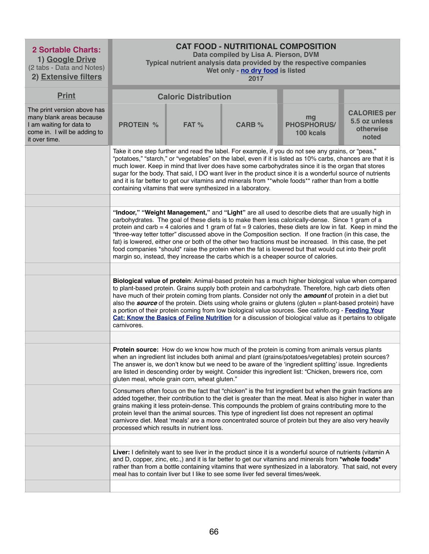| <b>2 Sortable Charts:</b><br>1) Google Drive<br>(2 tabs - Data and Notes)<br>2) Extensive filters                                    | <b>CAT FOOD - NUTRITIONAL COMPOSITION</b><br>Data compiled by Lisa A. Pierson, DVM<br>Typical nutrient analysis data provided by the respective companies<br>Wet only - no dry food is listed<br>2017                                                                                                                                                                                                                                                                                                                                                                                                                                                                                                                                       |       |               |                                       |                                                            |  |  |
|--------------------------------------------------------------------------------------------------------------------------------------|---------------------------------------------------------------------------------------------------------------------------------------------------------------------------------------------------------------------------------------------------------------------------------------------------------------------------------------------------------------------------------------------------------------------------------------------------------------------------------------------------------------------------------------------------------------------------------------------------------------------------------------------------------------------------------------------------------------------------------------------|-------|---------------|---------------------------------------|------------------------------------------------------------|--|--|
| <b>Print</b>                                                                                                                         | <b>Caloric Distribution</b>                                                                                                                                                                                                                                                                                                                                                                                                                                                                                                                                                                                                                                                                                                                 |       |               |                                       |                                                            |  |  |
| The print version above has<br>many blank areas because<br>I am waiting for data to<br>come in. I will be adding to<br>it over time. | <b>PROTEIN %</b>                                                                                                                                                                                                                                                                                                                                                                                                                                                                                                                                                                                                                                                                                                                            | FAT % | <b>CARB %</b> | mg<br><b>PHOSPHORUS/</b><br>100 kcals | <b>CALORIES per</b><br>5.5 oz unless<br>otherwise<br>noted |  |  |
|                                                                                                                                      | Take it one step further and read the label. For example, if you do not see any grains, or "peas,"<br>"potatoes," "starch," or "vegetables" on the label, even if it is listed as 10% carbs, chances are that it is<br>much lower. Keep in mind that liver does have some carbohydrates since it is the organ that stores<br>sugar for the body. That said, I DO want liver in the product since it is a wonderful source of nutrients<br>and it is far better to get our vitamins and minerals from **whole foods** rather than from a bottle<br>containing vitamins that were synthesized in a laboratory.                                                                                                                                |       |               |                                       |                                                            |  |  |
|                                                                                                                                      | "Indoor," "Weight Management," and "Light" are all used to describe diets that are usually high in<br>carbohydrates. The goal of these diets is to make them less calorically-dense. Since 1 gram of a<br>protein and carb = 4 calories and 1 gram of fat = 9 calories, these diets are low in fat. Keep in mind the<br>"three-way tetter totter" discussed above in the Composition section. If one fraction (in this case, the<br>fat) is lowered, either one or both of the other two fractions must be increased. In this case, the pet<br>food companies *should* raise the protein when the fat is lowered but that would cut into their profit<br>margin so, instead, they increase the carbs which is a cheaper source of calories. |       |               |                                       |                                                            |  |  |
|                                                                                                                                      |                                                                                                                                                                                                                                                                                                                                                                                                                                                                                                                                                                                                                                                                                                                                             |       |               |                                       |                                                            |  |  |
|                                                                                                                                      | Biological value of protein: Animal-based protein has a much higher biological value when compared<br>to plant-based protein. Grains supply both protein and carbohydrate. Therefore, high carb diets often<br>have much of their protein coming from plants. Consider not only the <i>amount</i> of protein in a diet but<br>also the source of the protein. Diets using whole grains or glutens (gluten $=$ plant-based protein) have<br>a portion of their protein coming from low biological value sources. See catinfo.org - Feeding Your<br>Cat: Know the Basics of Feline Nutrition for a discussion of biological value as it pertains to obligate<br>carnivores.                                                                   |       |               |                                       |                                                            |  |  |
|                                                                                                                                      |                                                                                                                                                                                                                                                                                                                                                                                                                                                                                                                                                                                                                                                                                                                                             |       |               |                                       |                                                            |  |  |
|                                                                                                                                      | <b>Protein source:</b> How do we know how much of the protein is coming from animals versus plants<br>when an ingredient list includes both animal and plant (grains/potatoes/vegetables) protein sources?<br>The answer is, we don't know but we need to be aware of the 'ingredient splitting' issue. Ingredients<br>are listed in descending order by weight. Consider this ingredient list: "Chicken, brewers rice, corn<br>gluten meal, whole grain corn, wheat gluten."                                                                                                                                                                                                                                                               |       |               |                                       |                                                            |  |  |
|                                                                                                                                      | Consumers often focus on the fact that "chicken" is the frst ingredient but when the grain fractions are<br>added together, their contribution to the diet is greater than the meat. Meat is also higher in water than<br>grains making it less protein-dense. This compounds the problem of grains contributing more to the<br>protein level than the animal sources. This type of ingredient list does not represent an optimal<br>carnivore diet. Meat 'meals' are a more concentrated source of protein but they are also very heavily<br>processed which results in nutrient loss.                                                                                                                                                     |       |               |                                       |                                                            |  |  |
|                                                                                                                                      | Liver: I definitely want to see liver in the product since it is a wonderful source of nutrients (vitamin A<br>and D, copper, zinc, etc.,) and it is far better to get our vitamins and minerals from *whole foods*<br>rather than from a bottle containing vitamins that were synthesized in a laboratory. That said, not every<br>meal has to contain liver but I like to see some liver fed several times/week.                                                                                                                                                                                                                                                                                                                          |       |               |                                       |                                                            |  |  |
|                                                                                                                                      |                                                                                                                                                                                                                                                                                                                                                                                                                                                                                                                                                                                                                                                                                                                                             |       |               |                                       |                                                            |  |  |